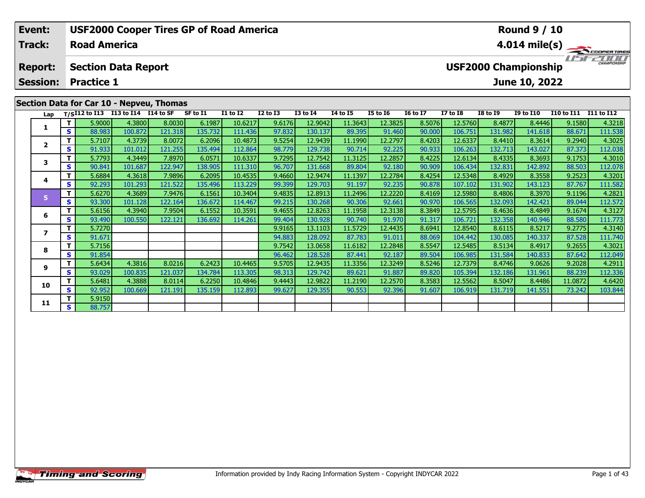| Event:<br><b>Track:</b>                                                              |     | <b>Road America</b> |                                                    | <b>USF2000 Cooper Tires GP of Road America</b> |          |                 |              |                 |                 | <b>Round 9 / 10</b><br>$4.014 \text{ mile(s)}$ |                 |                 |                 |                                              |                   |                     |
|--------------------------------------------------------------------------------------|-----|---------------------|----------------------------------------------------|------------------------------------------------|----------|-----------------|--------------|-----------------|-----------------|------------------------------------------------|-----------------|-----------------|-----------------|----------------------------------------------|-------------------|---------------------|
| <b>Section Data Report</b><br><b>Report:</b><br><b>Session:</b><br><b>Practice 1</b> |     |                     |                                                    |                                                |          |                 |              |                 |                 |                                                |                 |                 |                 | <b>USF2000 Championship</b><br>June 10, 2022 |                   | <b>CHAMPIONSHIP</b> |
|                                                                                      |     |                     | Lap T/S <sup>I12</sup> to I13 I13 to I14 I14 to SF | Section Data for Car 10 - Nepveu, Thomas       | SF to I1 | <b>I1 to I2</b> | $I2$ to $I3$ | <b>I3 to I4</b> | <b>I4 to I5</b> | <b>I5 to 16</b>                                | <b>16 to 17</b> | <b>I7 to I8</b> | <b>I8 to I9</b> | <b>I9 to I10</b>                             | <b>I10 to I11</b> | <b>I11 to I12</b>   |
|                                                                                      |     | 5.9000              | 4.3800                                             | 8.0030                                         | 6.1987   | 10.6217         | 9.6176       | 12.9042         | 11.3643         | 12.3825                                        | 8.5076          | 12.5760         | 8.4877          | 8.4446                                       | 9.1580            | 4.3218              |
|                                                                                      | S I | 88.983              | 100.872                                            | 121.318                                        | 135.732  | 111.436         | 97.832       | 130.137         | 89.395          | 91.460                                         | 90.000          | 106.751         | 131.982         | 141.618                                      | 88.671            | 111.538             |
| 2                                                                                    |     | 5.7107              | 4.3739                                             | 8.0072                                         | 6.2096   | 10.4873         | 9.5254       | 12.9439         | 11.1990         | 12.2797                                        | 8.4203          | 12.6337         | 8.4410          | 8.3614                                       | 9.2940            | 4.3025              |
|                                                                                      | S.  | 91.933              | 101.012                                            | 121.255                                        | 135.494  | 112.864         | 98.779       | 129.738         | 90.714          | 92.225                                         | 90.933          | 106.263         | 132.713         | 143.027                                      | 87.373            | 112.038             |

12.7542

131.66

12.9474

129.703

12.8913

130.268

12.8263

130.92

13.1103

128.092

13.0658

128.52

12.9435

129.742

12.9822

129.355

11.3125

89.80

11.1397

91.19

11.2496

90.30

11.1958

90.740

11.5729

87.783

11.6182

87.441

11.3356

89.621

11.2190

90.553

12.2857

92.180

12.2784

92.235

12.2220

92.661

12.3138

91.970

12.4435

91.011

12.2848

92.187

12.3249

91.887

12.2570

92.396

8.4225

90.909

8.4254

90.878

8.4169

90.970

8.3849

91.317

8.6941

88.069

8.5547

89.504

8.5246

89.820

8.3583

91.607

12.6134

106.434

12.5348

107.102

12.5980

106.565

12.5795

106.721

12.8540

104.442

12.5485

106.985

12.7379

105.394

12.5562

106.919

8.4335

132.831

131.90

132.093

132.358

130.08

131.584

132.18

8.5047

131.719

8.4929

8.4806

8.4636

8.6115

8.5134

8.4746

8.3693

8.3558

8.3970

8.4849

140.946

8.5217

8.4917

140.833

131.961

141.551

8.4486

9.0626

140.337

142.892

143.123

142.421

9.1753

88.503

9.2523

87.767

9.1196

89.044

9.1674

88.580

9.2775

87.528

9.2655

87.642

9.2028

88.239

11.0872

73.242

4.3010

112.078

4.3201

111.58

4.2821

112.572

4.3127

111.773

4.3140

111.740

4.3021

112.049

4.2911

112.336

4.6420

103.844

 $\overline{\mathsf{r}}$ 

 $\overline{\mathbf{s}}$ 

 $\overline{\mathsf{r}}$ 

 ${\sf s}$ 

T.

 $\overline{\mathbf{s}}$ 

 $\mathbf{T}$ 

S

 $\mathbf T$ 

 $\overline{\mathbf{s}}$ 

T.

 $\overline{\mathbf{s}}$ 

T

S

 $\overline{\mathsf{T}}$ 

 $\overline{\mathbf{s}}$ 

 $\mathbf{T}$ 

 $\overline{\mathbf{s}}$ 

 $\mathbf{3}$ 

 $\overline{\mathbf{4}}$ 

 $\overline{\mathbf{5}}$ 

6

 $\overline{\mathbf{z}}$ 

8

 $\mathbf{9}$ 

10

 $11$ 

5.7793

90.841

5.6884

92.293

5.6270

93.30

5.6156

93.490

5.7270

91.671

5.7156

91.854

5.6434

93.029

5.6481

92.952

5.9150

88.757

4.3449

101.687

101.293

101.128

100.550

4.3689

4.3940

4.3816

100.835

4.3888

100.669

4.3618

7.8970

122.947

7.9896

7.9476

122.164

7.9504

122.121

8.0216

121.037

 $8.0114$ 

121.191

121.522

6.0571

138.905

6.2095

135.496

6.1561

136.672

6.1552

136.692

6.2423

134.784

6.2250

135.159

10.6337

111.310

10.4535

113.229

10.3404

114.467

10.3591

114.261

10.4465

113.305

10.4846

112.893

9.7295

96.707

9.4660

99.399

9.4835

99.215

9.4655

99.404

9.9165

94.883

9.7542

96.462

9.5705

98.313

9.4443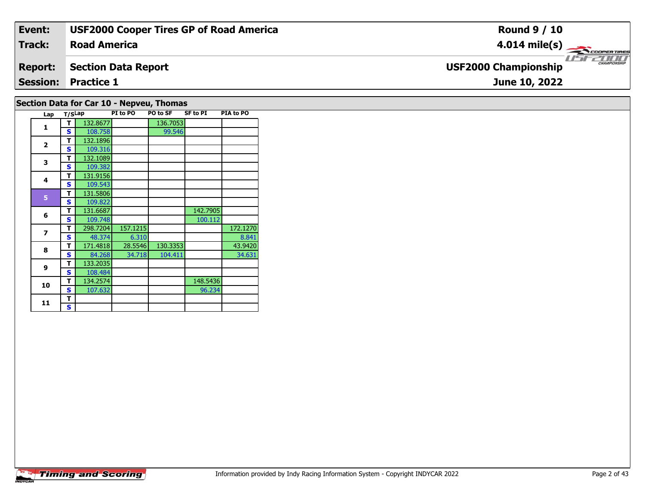| Event:         | <b>USF2000 Cooper Tires GP of Road America</b> | <b>Round 9 / 10</b>                                |
|----------------|------------------------------------------------|----------------------------------------------------|
| Track:         | <b>Road America</b>                            | $4.014 \text{ mile(s)}$                            |
| <b>Report:</b> | Section Data Report                            | <b>CHAMPIONSHIP</b><br><b>USF2000 Championship</b> |
|                | <b>Session: Practice 1</b>                     | June 10, 2022                                      |
|                |                                                |                                                    |

# **Section Data for Car 10 - Nepveu, Thomas**

| Lap            | T/SLap |          | PI to PO | PO to SF | <b>SF to PI</b> | PIA to PO |
|----------------|--------|----------|----------|----------|-----------------|-----------|
| $\mathbf{1}$   | т      | 132.8677 |          | 136.7053 |                 |           |
|                | S      | 108.758  |          | 99.546   |                 |           |
| $\overline{2}$ | т      | 132.1896 |          |          |                 |           |
|                | S      | 109.316  |          |          |                 |           |
| 3              | т      | 132.1089 |          |          |                 |           |
|                | S      | 109.382  |          |          |                 |           |
| 4              | т      | 131.9156 |          |          |                 |           |
|                | S      | 109.543  |          |          |                 |           |
| 5              | т      | 131.5806 |          |          |                 |           |
|                | S      | 109.822  |          |          |                 |           |
|                | т      | 131.6687 |          |          | 142.7905        |           |
| 6              | S      | 109.748  |          |          | 100.112         |           |
| $\overline{z}$ | т      | 298.7204 | 157.1215 |          |                 | 172.1270  |
|                | S      | 48.374   | 6.310    |          |                 | 8.841     |
| 8              | т      | 171.4818 | 28.5546  | 130.3353 |                 | 43.9420   |
|                | S      | 84.268   | 34.718   | 104.411  |                 | 34.631    |
| 9              | т      | 133.2035 |          |          |                 |           |
|                | S      | 108.484  |          |          |                 |           |
| 10             | т      | 134.2574 |          |          | 148.5436        |           |
|                | S      | 107.632  |          |          | 96.234          |           |
| 11             | т      |          |          |          |                 |           |
|                | S      |          |          |          |                 |           |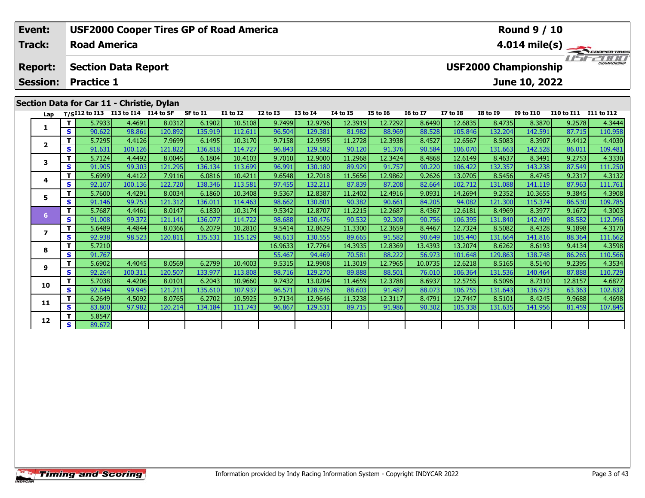| Event:                                    |            |                     | <b>USF2000 Cooper Tires GP of Road America</b> |         |          |                 |            |                 |                 |                 |                 |           |                             | <b>Round 9 / 10</b> |                   |                             |
|-------------------------------------------|------------|---------------------|------------------------------------------------|---------|----------|-----------------|------------|-----------------|-----------------|-----------------|-----------------|-----------|-----------------------------|---------------------|-------------------|-----------------------------|
| <b>Track:</b>                             |            | <b>Road America</b> |                                                |         |          |                 |            |                 |                 |                 |                 |           |                             |                     |                   | $4.014 \text{ mile(s)}$     |
| <b>Report:</b>                            |            |                     | <b>Section Data Report</b>                     |         |          |                 |            |                 |                 |                 |                 |           | <b>USF2000 Championship</b> |                     |                   | 2000<br><b>CHAMPIONSHIP</b> |
| <b>Session:</b>                           |            | <b>Practice 1</b>   |                                                |         |          |                 |            |                 |                 |                 |                 |           |                             | June 10, 2022       |                   |                             |
| Section Data for Car 11 - Christie, Dylan |            |                     |                                                |         |          |                 |            |                 |                 |                 |                 |           |                             |                     |                   |                             |
|                                           |            |                     | Lap T/SI12 to I13 113 to I14 I14 to SF         |         | SF to I1 | <b>I1 to I2</b> | I2 to I3   | <b>I3 to I4</b> | <b>I4 to I5</b> | <b>I5 to 16</b> | <b>16 to 17</b> | I7 to I8  | <b>I8 to I9</b>             | <b>I9 to I10</b>    | <b>I10 to I11</b> | I11 to I12                  |
|                                           |            | 5.7933              | 4.4691                                         | 8.03121 | 6.1902   | 10.5108         | 9.7499     | 12.9796         | 12.3919         | 12.7292         | 8.6490          | 12.6835   | 8.4735                      | 8.3870              | 9.2578            | 4.3444                      |
|                                           | S I        | 90.622              | 98.861                                         | 120.892 | 135.919  | 112.611         | 96.504     | 129.381         | 81.982          | 88.969          | 88.528          | 105.846   | 132.204                     | 142.591             | 87.715            | 110.958                     |
|                                           |            | 5.7295              | 4.4126                                         | 7.9699  | 6.1495   | 10.3170         | 9.7158     | 12.9595         | 11.2728         | 12.3938         | 8.4527          | 12.6567   | 8.5083                      | 8.3907              | 9.4412            | 4.4030                      |
| $\overline{2}$                            | s l        | 91.631              | 100.126                                        | 121.822 | 136.818  | 114.727         | 96.843     | 129.582         | 90.120          | 91.376          | 90.584          | 106.070   | 131.663                     | 142.528             | 86.011            | 109.481                     |
|                                           |            | 5.7124              | 4.4492                                         | 8.0045  | 6.1804   | 10.4103         | 9.7010     | 12.9000         | 11.2968         | 12.3424         | 8.4868          | 12.6149   | 8.4637                      | 8.3491              | 9.2753            | 4.3330                      |
|                                           | $\epsilon$ | 01.005              | 00303                                          | 121.205 | $126121$ | 112.600         | $QG$ $QQ1$ | 120190          | <u>Recolog</u>  | 01757           | lace na         | $106$ 422 | 122257                      | 14222               | 97540             | 111250                      |

| Lap            |    |        | $T/SI12$ to $I13$ $I13$ to $I14$ $I14$ to SF |         | SF to 11 | 11 to 12 | 12 to 13 | 13 to 14 | 14 to 15 | 15 to 16 | 16 to 17 | 17 to 18 | 18 to 19 | 19 to 110 | <b>I10 to I11</b> | <b>I11 to I12</b> |
|----------------|----|--------|----------------------------------------------|---------|----------|----------|----------|----------|----------|----------|----------|----------|----------|-----------|-------------------|-------------------|
|                | T. | 5.7933 | 4.4691                                       | 8.0312  | 6.1902   | 10.5108  | 9.7499   | 12.9796  | 12.3919  | 12.7292  | 8.6490   | 12.6835  | 8.4735   | 8.3870    | 9.2578            | 4.3444            |
|                | S. | 90.622 | 98.861                                       | 120.892 | 135.919  | 112.611  | 96.504   | 129.381  | 81.982   | 88.969   | 88.528   | 105.846  | 132.204  | 142.591   | 87.715            | 110.958           |
| $\overline{2}$ | т  | 5.7295 | 4.4126                                       | 7.9699  | 6.1495   | 10.3170  | 9.7158   | 12.9595  | 11.2728  | 12.3938  | 8.4527   | 12.6567  | 8.5083   | 8.3907    | 9.4412            | 4.4030            |
|                | S  | 91.631 | 100.126                                      | 121.822 | 136.818  | 114.727  | 96.843   | 129.582  | 90.120   | 91.376   | 90.584   | 106.070  | 131.663  | 142.528   | 86.011            | 109.481           |
| 3              | т  | 5.7124 | 4.4492                                       | 8.0045  | 6.1804   | 10.4103  | 9.7010   | 12.9000  | 11.2968  | 12.3424  | 8.4868   | 12.6149  | 8.4637   | 8.3491    | 9.2753            | 4.3330            |
|                | S  | 91.905 | 99.303                                       | 121.295 | 136.134  | 113.699  | 96.991   | 130.180  | 89.929   | 91.757   | 90.220   | 106.422  | 132.357  | 143.238   | 87.549            | 111.250           |
| 4              | т  | 5.6999 | 4.4122                                       | 7.9116  | 6.0816   | 10.4211  | 9.6548   | 12.7018  | 11.5656  | 12.9862  | 9.2626   | 13.0705  | 8.5456   | 8.4745    | 9.2317            | 4.3132            |
|                | S. | 92.107 | 100.136                                      | 122.720 | 138.346  | 113.581  | 97.455   | 132.211  | 87.839   | 87.208   | 82.664   | 102.712  | 131.088  | 141.119   | 87.963            | 111.761           |
| 5              |    | 5.7600 | 4.4291                                       | 8.0034  | 6.1860   | 10.3408  | 9.5367   | 12.8387  | 11.2402  | 12.4916  | 9.0931   | 14.2694  | 9.2352   | 10.3655   | 9.3845            | 4.3908            |
|                | S  | 91.146 | 99.753                                       | 121.312 | 136.011  | 114.463  | 98.662   | 130.801  | 90.382   | 90.661   | 84.205   | 94.082   | 121.300  | 115.374   | 86.530            | 109.785           |
| 6              |    | 5.7687 | 4.4461                                       | 8.0147  | 6.1830   | 10.3174  | 9.5342   | 12.8707  | 11.2215  | 12.2687  | 8.4367   | 12.6181  | 8.4969   | 8.3977    | 9.1672            | 4.3003            |
|                | S  | 91.008 | 99.372                                       | 121.141 | 136.077  | 114.722  | 98.688   | 130.476  | 90.532   | 92.308   | 90.756   | 106.395  | 131.840  | 142.409   | 88.582            | 112.096           |
| 7              |    | 5.6489 | 4.4844                                       | 8.0366  | 6.2079   | 10.2810  | 9.5414   | 12.8629  | 11.3300  | 12.3659  | 8.4467   | 12.7324  | 8.5082   | 8.4328    | 9.1898            | 4.3170            |
|                | S  | 92.938 | 98.523                                       | 120.811 | 135.531  | 115.129  | 98.613   | 130.555  | 89.665   | 91.582   | 90.649   | 105.440  | 131.664  | 141.816   | 88.364            | 111.662           |
| 8              |    | 5.7210 |                                              |         |          |          | 16.9633  | 17.7764  | 14.3935  | 12.8369  | 13.4393  | 13.2074  | 8.6262   | 8.6193    | 9.4134            | 4.3598            |
|                | S  | 91.767 |                                              |         |          |          | 55.467   | 94.469   | 70.581   | 88.222   | 56.973   | 101.648  | 129.863  | 138.748   | 86.265            | 110.566           |
| 9              |    | 5.6902 | 4.4045                                       | 8.0569  | 6.2799   | 10.4003  | 9.5315   | 12.9908  | 11.3019  | 12.7965  | 10.0735  | 12.6218  | 8.5165   | 8.5140    | 9.2395            | 4.3534            |
|                | S  | 92.264 | 100.311                                      | 120.507 | 133.977  | 113.808  | 98.716   | 129.270  | 89.888   | 88.501   | 76.010   | 106.364  | 131.536  | 140.464   | 87.888            | 110.729           |
| 10             | т  | 5.7038 | 4.4206                                       | 8.0101  | 6.2043   | 10.9660  | 9.7432   | 13.0204  | 11.4659  | 12.3788  | 8.6937   | 12.5755  | 8.5096   | 8.7310    | 12.8157           | 4.6877            |
|                | S. | 92.044 | 99.945                                       | 121.211 | 135.610  | 107.937  | 96.571   | 128.976  | 88.603   | 91.487   | 88.073   | 106.755  | 131.643  | 136.973   | 63.363            | 102.832           |
| 11             | T. | 6.2649 | 4.5092                                       | 8.0765  | 6.2702   | 10.5925  | 9.7134   | 12.9646  | 11.3238  | 12.3117  | 8.4791   | 12.7447  | 8.5101   | 8.4245    | 9.9688            | 4.4698            |
|                | S  | 83.800 | 97.982                                       | 120.214 | 134.184  | 111.743  | 96.867   | 129.531  | 89.715   | 91.986   | 90.302   | 105.338  | 131.635  | 141.956   | 81.459            | 107.845           |
| 12             | т  | 5.8547 |                                              |         |          |          |          |          |          |          |          |          |          |           |                   |                   |
|                | S. | 89.672 |                                              |         |          |          |          |          |          |          |          |          |          |           |                   |                   |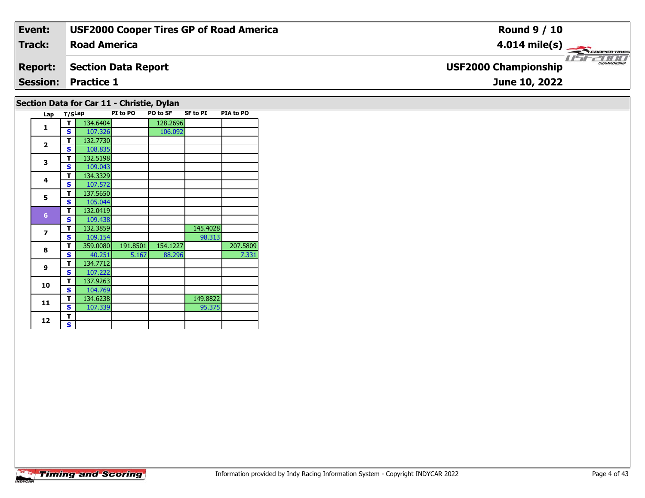| Event:         | <b>USF2000 Cooper Tires GP of Road America</b> | <b>Round 9 / 10</b>                                |
|----------------|------------------------------------------------|----------------------------------------------------|
| Track:         | <b>Road America</b>                            | $4.014 \text{ mile(s)}$                            |
| <b>Report:</b> | Section Data Report                            | <b>CHAMPIONSHIP</b><br><b>USF2000 Championship</b> |
|                | <b>Session: Practice 1</b>                     | June 10, 2022                                      |
|                |                                                |                                                    |

# **Section Data for Car 11 - Christie, Dylan**

|  | Lap            | T/SLap |          | PI to PO | PO to SF | <b>SF to PI</b> | PIA to PO |
|--|----------------|--------|----------|----------|----------|-----------------|-----------|
|  | 1              | т      | 134.6404 |          | 128.2696 |                 |           |
|  |                | S      | 107.326  |          | 106.092  |                 |           |
|  |                | т      | 132.7730 |          |          |                 |           |
|  | $\overline{2}$ | S      | 108.835  |          |          |                 |           |
|  | 3              | T      | 132.5198 |          |          |                 |           |
|  |                | S      | 109.043  |          |          |                 |           |
|  | 4              | т      | 134.3329 |          |          |                 |           |
|  |                | S      | 107.572  |          |          |                 |           |
|  | 5              | т      | 137.5650 |          |          |                 |           |
|  |                | S      | 105.044  |          |          |                 |           |
|  | $6\phantom{1}$ | T      | 132.0419 |          |          |                 |           |
|  |                | S      | 109.438  |          |          |                 |           |
|  | 7              | T      | 132.3859 |          |          | 145.4028        |           |
|  |                | S      | 109.154  |          |          | 98.313          |           |
|  | 8              | т      | 359.0080 | 191.8501 | 154.1227 |                 | 207.5809  |
|  |                | S      | 40.251   | 5.167    | 88.296   |                 | 7.331     |
|  | 9              | T      | 134.7712 |          |          |                 |           |
|  |                | S      | 107.222  |          |          |                 |           |
|  |                | T      | 137.9263 |          |          |                 |           |
|  | 10<br>11       | Ś      | 104.769  |          |          |                 |           |
|  |                | т      | 134.6238 |          |          | 149.8822        |           |
|  |                | S      | 107.339  |          |          | 95.375          |           |
|  | 12             | T      |          |          |          |                 |           |
|  |                | S      |          |          |          |                 |           |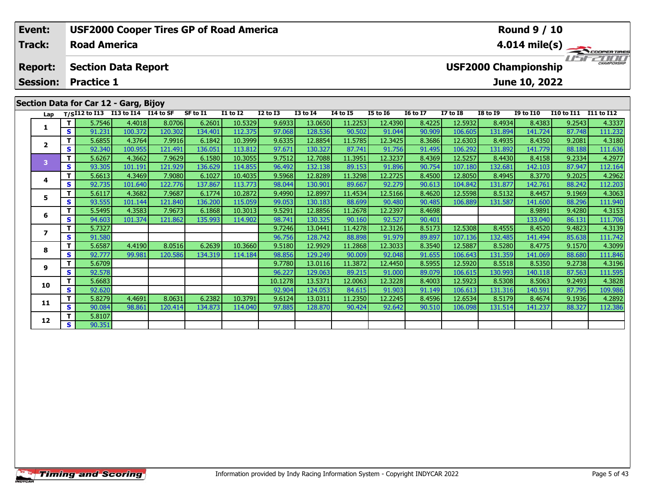| Event:<br><b>Track:</b> |     | <b>Road America</b>                                        |            | <b>USF2000 Cooper Tires GP of Road America</b> |          |                 |              |                 |                 |                 | <b>Round 9 / 10</b><br>$4.014 \text{ mile(s)}$ |                 |                             |                  |                   |                     |  |
|-------------------------|-----|------------------------------------------------------------|------------|------------------------------------------------|----------|-----------------|--------------|-----------------|-----------------|-----------------|------------------------------------------------|-----------------|-----------------------------|------------------|-------------------|---------------------|--|
| <b>Report:</b>          |     | <b>Section Data Report</b>                                 |            |                                                |          |                 |              |                 |                 |                 |                                                |                 | <b>USF2000 Championship</b> |                  |                   | <b>CHAMPIONSHIP</b> |  |
| <b>Session:</b>         |     | <b>Practice 1</b>                                          |            |                                                |          |                 |              |                 |                 |                 |                                                |                 |                             | June 10, 2022    |                   |                     |  |
| Lap                     |     | Section Data for Car 12 - Garg, Bijoy<br>$T/SI12$ to $I13$ | I13 to I14 | I14 to SF                                      | SF to I1 | <b>I1 to I2</b> | $I2$ to $I3$ | <b>I3 to I4</b> | <b>I4 to I5</b> | <b>I5 to 16</b> | <b>16 to 17</b>                                | <b>I7 to I8</b> | <b>I8 to I9</b>             | <b>I9 to I10</b> | <b>I10 to I11</b> | I11 to I12          |  |
|                         |     | 5.7546                                                     | 4.4018     | 8.0706                                         | 6.2601   | 10.5329         | 9.6933       | 13.0650         | 11.2253         | 12.4390         | 8.4225                                         | 12.5932         | 8.4934                      | 8.4383           | 9.2543            | 4.3337              |  |
|                         | s l | 91.231                                                     | 100.372    | 120.302                                        | 134.401  | 112.375         | 97.068       | 128.536         | 90.502          | 91.044          | 90.909                                         | 106.605         | 131.894                     | 141.724          | 87.748            | 111.232             |  |
| $\overline{2}$          |     | 5.6855                                                     | 4.3764     | 7.9916                                         | 6.1842   | 10.3999         | 9.6335       | 12.8854         | 11.5785         | 12.3425         | 8.3686                                         | 12.6303         | 8.4935                      | 8.4350           | 9.2081            | 4.3180              |  |
|                         |     | s l<br>92.340                                              | 100.955    | 121.491                                        | 136.051  | 113.812         | 97.671       | 130.327         | 87.741          | 91.756          | 91.495                                         | 106.292         | 131.892                     | 141.779          | 88.188            | 111.636             |  |
| 3                       |     | 5.6267                                                     | 4.3662     | 7.9629                                         | 6.1580   | 10.3055         | 9.7512       | 12.7088         | 11.3951         | 12.3237         | 8.4369                                         | 12.5257         | 8.4430                      | 8.4158           | 9.2334            | 4.2977              |  |
|                         | S I | 93.305                                                     | 101.191    | 121.929                                        | 136.629  | 114.855         | 96.492       | 132.138         | 89.153          | 91.896          | 90.754                                         | 107.180         | 132.681                     | 142.103          | 87.947            | 112.164             |  |
|                         |     | 5.6613                                                     | 4.3469     | 7.9080                                         | 6.1027   | 10.4035         | 9.5968       | 12.8289         | 11.3298         | 12.2725         | 8.4500                                         | 12,8050         | 8.4945                      | 8.3770           | 9.2025            | 4.2962              |  |

|                         | т        | 5.7546 | 4.4018  | 8.0706  | 6.2601  | 10.5329 | 9.6933  | 13.0650 | 11.2253 | 12.4390 | 8.4225 | 12.5932 | 8.4934  | 8.4383  | 9.2543 | 4.3337  |
|-------------------------|----------|--------|---------|---------|---------|---------|---------|---------|---------|---------|--------|---------|---------|---------|--------|---------|
|                         | s        | 91.231 | 100.372 | 120.302 | 134.401 | 112.375 | 97.068  | 128.536 | 90.502  | 91.044  | 90.909 | 106.605 | 131.894 | 141.724 | 87.748 | 111.232 |
| $\overline{\mathbf{2}}$ |          | 5.6855 | 4.3764  | 7.9916  | 6.1842  | 10.3999 | 9.6335  | 12.8854 | 11.5785 | 12.3425 | 8.3686 | 12.6303 | 8.4935  | 8.4350  | 9.2081 | 4.3180  |
|                         | S        | 92.340 | 100.955 | 121.491 | 136.051 | 113.812 | 97.671  | 130.327 | 87.741  | 91.756  | 91.495 | 106.292 | 131.892 | 141.779 | 88.188 | 111.636 |
| 3                       | T.       | 5.6267 | 4.3662  | 7.9629  | 6.1580  | 10.3055 | 9.7512  | 12.7088 | 11.3951 | 12.3237 | 8.4369 | 12.5257 | 8.4430  | 8.4158  | 9.2334 | 4.2977  |
|                         | S        | 93.305 | 101.191 | 121.929 | 136.629 | 114.855 | 96.492  | 132.138 | 89.153  | 91.896  | 90.754 | 107.180 | 132.681 | 142.103 | 87.947 | 112.164 |
|                         | T.       | 5.6613 | 4.3469  | 7.9080  | 6.1027  | 10.4035 | 9.5968  | 12.8289 | 11.3298 | 12.2725 | 8.4500 | 12.8050 | 8.4945  | 8.3770  | 9.2025 | 4.2962  |
| 4                       | S        | 92.735 | 101.640 | 122.776 | 137.867 | 113.773 | 98.044  | 130.901 | 89.667  | 92.279  | 90.613 | 104.842 | 131.877 | 142.761 | 88.242 | 112.203 |
| 5                       | T.       | 5.6117 | 4.3682  | 7.9687  | 6.1774  | 10.2872 | 9.4990  | 12.8997 | 11.4534 | 12.5166 | 8.4620 | 12.5598 | 8.5132  | 8.4457  | 9.1969 | 4.3063  |
|                         | S.       | 93.555 | 101.144 | 121.840 | 136.200 | 115.059 | 99.053  | 130.183 | 88.699  | 90.480  | 90.485 | 106.889 | 131.587 | 141.600 | 88.296 | 111.940 |
|                         | т        | 5.5495 | 4.3583  | 7.9673  | 6.1868  | 10.3013 | 9.5291  | 12.8856 | 11.2678 | 12.2397 | 8.4698 |         |         | 8.9891  | 9.4280 | 4.3153  |
| 6                       | S.       | 94.603 | 101.374 | 121.862 | 135.993 | 114.902 | 98.741  | 130.325 | 90.160  | 92.527  | 90.401 |         |         | 133.040 | 86.131 | 111.706 |
|                         | т        | 5.7327 |         |         |         |         | 9.7246  | 13.0441 | 11.4278 | 12.3126 | 8.5173 | 12.5308 | 8.4555  | 8.4520  | 9.4823 | 4.3139  |
|                         | S        | 91.580 |         |         |         |         | 96.756  | 128.742 | 88.898  | 91.979  | 89.897 | 107.136 | 132.485 | 141.494 | 85.638 | 111.742 |
| 8                       | T.       | 5.6587 | 4.4190  | 8.0516  | 6.2639  | 10.3660 | 9.5180  | 12.9929 | 11.2868 | 12.3033 | 8.3540 | 12.5887 | 8.5280  | 8.4775  | 9.1570 | 4.3099  |
|                         | <b>S</b> | 92.777 | 99.981  | 120.586 | 134.319 | 114.184 | 98.856  | 129.249 | 90.009  | 92.048  | 91.655 | 106.643 | 131.359 | 141.069 | 88.680 | 111.846 |
| 9                       | T.       | 5.6709 |         |         |         |         | 9.7780  | 13.0116 | 11.3872 | 12.4450 | 8.5955 | 12.5920 | 8.5518  | 8.5350  | 9.2738 | 4.3196  |
|                         | S.       | 92.578 |         |         |         |         | 96.227  | 129.063 | 89.215  | 91.000  | 89.079 | 106.615 | 130.993 | 140.118 | 87.563 | 111.595 |
| 10                      | T.       | 5.6683 |         |         |         |         | 10.1278 | 13.5371 | 12.0063 | 12.3228 | 8.4003 | 12.5923 | 8.5308  | 8.5063  | 9.2493 | 4.3828  |
|                         | S.       | 92.620 |         |         |         |         | 92.904  | 124.053 | 84.615  | 91.903  | 91.149 | 106.613 | 131.316 | 140.591 | 87.795 | 109.986 |
| 11                      | Τ.       | 5.8279 | 4.4691  | 8.0631  | 6.2382  | 10.3791 | 9.6124  | 13.0311 | 11.2350 | 12.2245 | 8.4596 | 12.6534 | 8.5179  | 8.4674  | 9.1936 | 4.2892  |
|                         | S.       | 90.084 | 98.861  | 120.414 | 134.873 | 114.040 | 97.885  | 128.870 | 90.424  | 92.642  | 90.510 | 106.098 | 131.514 | 141.237 | 88.327 | 112.386 |
| 12                      | T.       | 5.8107 |         |         |         |         |         |         |         |         |        |         |         |         |        |         |
|                         | S.       | 90.351 |         |         |         |         |         |         |         |         |        |         |         |         |        |         |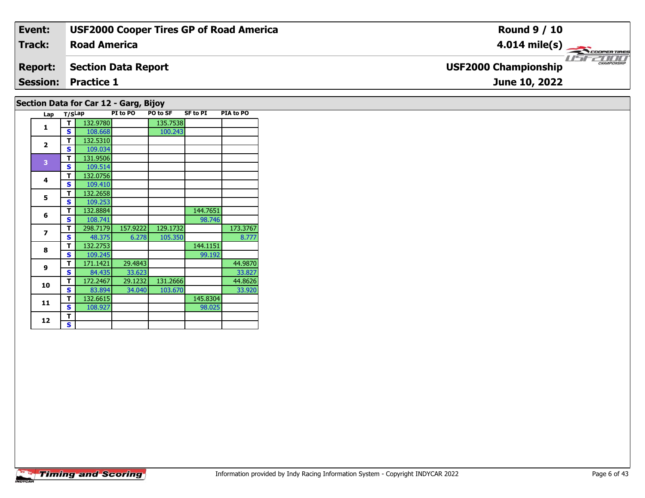| Event:          | <b>USF2000 Cooper Tires GP of Road America</b> | <b>Round 9 / 10</b>                                     |
|-----------------|------------------------------------------------|---------------------------------------------------------|
| Track:          | <b>Road America</b>                            | $4.014$ mile(s) $\longrightarrow$<br><b>COOPERTIRES</b> |
| <b>Report:</b>  | Section Data Report                            | <b>CHAMPIONSHIP</b><br><b>USF2000 Championship</b>      |
| <b>Session:</b> | <b>Practice 1</b>                              | June 10, 2022                                           |
|                 |                                                |                                                         |

# **Section Data for Car 12 - Garg, Bijoy**

| Lap                      | T/SLap |          | PI to PO | PO to SF | <b>SF to PI</b> | <b>PIA to PO</b> |
|--------------------------|--------|----------|----------|----------|-----------------|------------------|
| 1                        | т      | 132.9780 |          | 135.7538 |                 |                  |
|                          | S      | 108.668  |          | 100.243  |                 |                  |
| $\overline{2}$           | т      | 132.5310 |          |          |                 |                  |
|                          | S      | 109.034  |          |          |                 |                  |
| 3                        | т      | 131.9506 |          |          |                 |                  |
|                          | S      | 109.514  |          |          |                 |                  |
| 4                        | т      | 132.0756 |          |          |                 |                  |
|                          | Ś      | 109.410  |          |          |                 |                  |
| 5                        | т      | 132.2658 |          |          |                 |                  |
|                          | Ś      | 109.253  |          |          |                 |                  |
| 6                        | т      | 132.8884 |          |          | 144.7651        |                  |
|                          | S      | 108.741  |          |          | 98.746          |                  |
| $\overline{\phantom{a}}$ | т      | 298.7179 | 157.9222 | 129.1732 |                 | 173.3767         |
|                          | S      | 48.375   | 6.278    | 105.350  |                 | 8.777            |
| 8                        | т      | 132.2753 |          |          | 144.1151        |                  |
|                          | S      | 109.245  |          |          | 99.192          |                  |
| 9                        | т      | 171.1421 | 29.4843  |          |                 | 44.9870          |
|                          | S      | 84.435   | 33.623   |          |                 | 33.827           |
| 10                       | т      | 172.2467 | 29.1232  | 131.2666 |                 | 44.8626          |
|                          | S      | 83.894   | 34.040   | 103.670  |                 | 33.920           |
| 11                       | т      | 132.6615 |          |          | 145.8304        |                  |
|                          | S      | 108.927  |          |          | 98.025          |                  |
| 12                       | т      |          |          |          |                 |                  |
|                          | S      |          |          |          |                 |                  |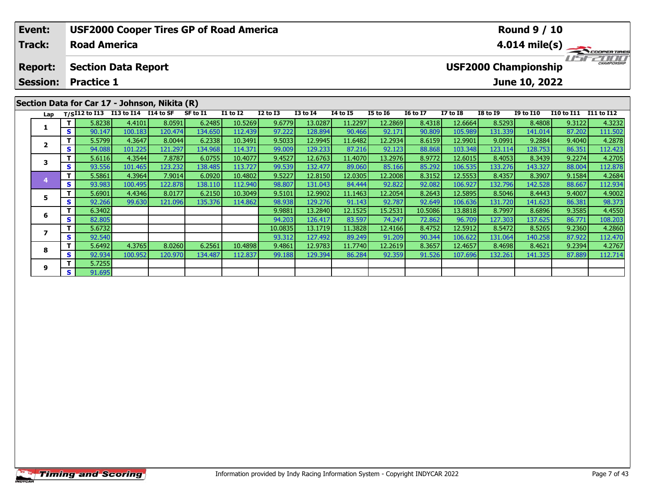| Event:                                        |     |                     |                                                    | <b>USF2000 Cooper Tires GP of Road America</b> |                                           |                 |                      |                 |                                 |                                 |                 |                                              |                 | <b>Round 9 / 10</b>                          |                       |                         |
|-----------------------------------------------|-----|---------------------|----------------------------------------------------|------------------------------------------------|-------------------------------------------|-----------------|----------------------|-----------------|---------------------------------|---------------------------------|-----------------|----------------------------------------------|-----------------|----------------------------------------------|-----------------------|-------------------------|
| <b>Track:</b>                                 |     | <b>Road America</b> |                                                    |                                                |                                           |                 |                      |                 |                                 |                                 |                 |                                              |                 |                                              |                       | $4.014 \text{ mile(s)}$ |
| <b>Report:</b><br><b>Session:</b>             |     | <b>Practice 1</b>   | <b>Section Data Report</b>                         |                                                |                                           |                 |                      |                 |                                 |                                 |                 |                                              |                 | <b>USF2000 Championship</b><br>June 10, 2022 |                       | CHAMPIONSHIP            |
| Section Data for Car 17 - Johnson, Nikita (R) |     |                     |                                                    |                                                |                                           |                 |                      |                 |                                 |                                 |                 |                                              |                 |                                              |                       |                         |
|                                               |     |                     | Lap T/S <sup>I12</sup> to I13 I13 to I14 I14 to SF |                                                | SF to I1                                  | <b>I1 to I2</b> | $I2$ to $I3$         | <b>I3 to I4</b> | <b>I4 to I5</b>                 | <b>I5 to 16</b>                 | <b>16 to 17</b> | <b>I7 to I8</b>                              | <b>I8 to 19</b> | <b>I9 to I10</b>                             | I10 to I11 I11 to I12 |                         |
|                                               |     | 5.8238              | 4.4101                                             | 8.0591                                         | 6.2485                                    | 10.5269         | 9.6779               | 13.0287         | 11.2297                         | 12.2869                         | 8.4318          | 12.6664                                      | 8.5293          | 8.4808                                       | 9.3122                | 4.3232                  |
|                                               | S I | 90.147              | 100.183                                            | 120.474                                        | 134.650                                   | 112.439         | 97.222               | 128.894         | 90.466                          | 92.171                          | 90.809          | 105.989                                      | 131.339         | 141.014                                      | 87.202                | 111.502                 |
|                                               |     | 5.5799              | 4.3647                                             | 8.0044                                         | 6.2338                                    | 10.3491         | 9.5033               | 12.9945         | 11.6482                         | 12.2934                         | 8.6159          | 12.9901                                      | 9.0991          | 9.2884                                       | 9.4040                | 4.2878                  |
|                                               | S.  | 94.088              | 101.225                                            | 121.297                                        | 134.968                                   | 114.371         | 99.009               | 129.233         | 87.216                          | 92.123                          | 88.868          | 103.348                                      | 123.114         | 128.753                                      | 86.351                | 112.423                 |
|                                               | - 1 | maaaa l             | $\overline{A}$ of $\overline{A}$ $\overline{A}$    | $\sim$ $\sim$ $\sim$ $\sim$ $\sim$ $\sim$      | $\sim$ $\sim$ $\sim$ $\sim$ $\sim$ $\sim$ |                 | $\sim$ $\sim$ $\sim$ |                 | $\overline{11}$ $\overline{12}$ | $\overline{12}$ $\overline{22}$ | 0.0771          | $\mathbf{A} \cap \mathbf{A} \cap \mathbf{A}$ | 0.4000          | 0.222                                        | 0.2221                | 1.2727                  |

| Lap |     |        | T/SI12 to I13 I13 to I14 I14 to SF |         | SF to I1 | <b>I1 to I2</b> | <b>I2 to I3</b> | <b>I3 to I4</b> | 14 to 15 | I5 to 16 | <b>16 to 17</b> | I7 to I8 | <b>I8 to I9</b> | <b>I9 to I10</b> | I10 to I11 | I11 to I12 |
|-----|-----|--------|------------------------------------|---------|----------|-----------------|-----------------|-----------------|----------|----------|-----------------|----------|-----------------|------------------|------------|------------|
|     |     | 5.8238 | 4.4101                             | 8.0591  | 6.2485   | 10.5269         | 9.6779          | 13.0287         | 11.2297  | 12.2869  | 8.4318          | 12.6664  | 8.5293          | 8.4808           | 9.3122     | 4.3232     |
|     | S.  | 90.147 | 100.183                            | 120.474 | 134.650  | 112.439         | 97.222          | 128.894         | 90.466   | 92.171   | 90.809          | 105.989  | 131.339         | 141.014          | 87.202     | 111.502    |
|     |     | 5.5799 | 4.3647                             | 8.0044  | 6.2338   | 10.3491         | 9.5033          | 12.9945         | 11.6482  | 12.2934  | 8.6159          | 12.9901  | 9.0991          | 9.2884           | 9,4040     | 4.2878     |
|     | S.  | 94.088 | 101.225                            | 121.297 | 134.968  | 114.371         | 99.009          | 129.233         | 87.216   | 92.123   | 88.868          | 103.348  | 123.114         | 128.753          | 86.351     | 112.423    |
|     |     | 5.6116 | 4.3544                             | 7.8787  | 6.0755   | 10.4077         | 9.4527          | 12.6763         | 11.4070  | 13.2976  | 8.9772          | 12.6015  | 8.4053          | 8.3439           | 9.2274     | 4.2705     |
|     | S I | 93.556 | 101.465                            | 123.232 | 138.485  | 113.727         | 99.539          | 132.477         | 89.060   | 85.166   | 85.292          | 106.535  | 133.276         | 143.327          | 88.004     | 112.878    |
|     |     | 5.5861 | 4.3964                             | 7.9014  | 6.0920   | 10.4802         | 9.5227          | 12.8150         | 12.0305  | 12.2008  | 8.3152          | 12.5553  | 8.4357          | 8.3907           | 9.1584     | 4.2684     |
|     | S.  | 93.983 | 100.495                            | 122.878 | 138.110  | 112.940         | 98.807          | 131.043         | 84.444   | 92.822   | 92.082          | 106.927  | 132.796         | 142.528          | 88.667     | 112.934    |
| 5   |     | 5.6901 | 4.4346                             | 8.0177  | 6.2150   | 10.3049         | 9.5101          | 12.9902         | 11.1463  | 12.2054  | 8.2643          | 12.5895  | 8.5046          | 8.4443           | 9.4007     | 4.9002     |
|     | S.  | 92.266 | 99.630                             | 121.096 | 135.376  | 114.862         | 98.938          | 129.276         | 91.143   | 92.787   | 92.649          | 106.636  | 131.720         | 141.623          | 86.381     | 98.373     |
|     |     | 6.3402 |                                    |         |          |                 | 9.9881          | 13.2840         | 12.1525  | 15.2531  | 10.5086         | 13.8818  | 8.7997          | 8.6896           | 9.3585     | 4.4550     |
| ь   | S.  | 82.805 |                                    |         |          |                 | 94.203          | 126.417         | 83.597   | 74.247   | 72.862          | 96.709   | 127.303         | 137.6251         | 86.771     | 108.203    |
|     |     | 5.6732 |                                    |         |          |                 | 10.0835         | 13.1719         | 11.3828  | 12.4166  | 8.4752          | 12.5912  | 8.5472          | 8.5265           | 9.2360     | 4.2860     |
|     | S.  | 92.540 |                                    |         |          |                 | 93.312          | 127.492         | 89.249   | 91.209   | 90.344          | 106.622  | 131.064         | 140.2581         | 87.922     | 112.470    |
| 8   |     | 5.6492 | 4.3765                             | 8.0260  | 6.2561   | 10.4898         | 9.4861          | 12.9783         | 11.7740  | 12.2619  | 8.3657          | 12.4657  | 8.4698          | 8.4621           | 9.2394     | 4.2767     |
|     | S.  | 92.934 | 100.952                            | 120.970 | 134.487  | 112.837         | 99.188          | 129.394         | 86.284   | 92.359   | 91.526          | 107.696  | 132.261         | 141.325          | 87.889     | 112.714    |
| 9   |     | 5.7255 |                                    |         |          |                 |                 |                 |          |          |                 |          |                 |                  |            |            |
|     | S I | 91.695 |                                    |         |          |                 |                 |                 |          |          |                 |          |                 |                  |            |            |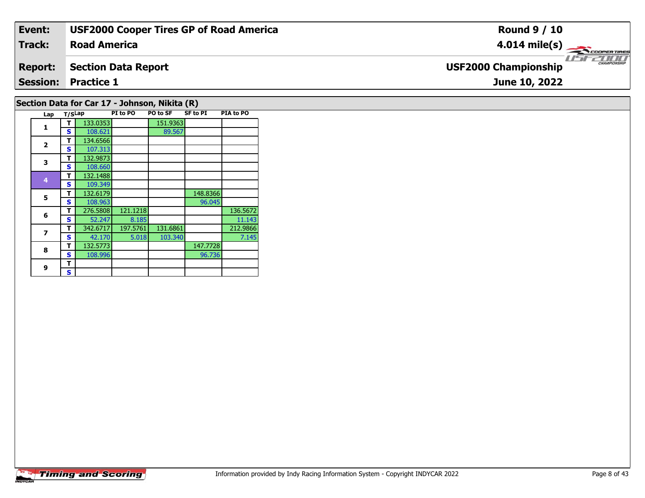| Event:         | <b>USF2000 Cooper Tires GP of Road America</b> | <b>Round 9 / 10</b>                                |
|----------------|------------------------------------------------|----------------------------------------------------|
| Track:         | <b>Road America</b>                            | $4.014 \text{ mile(s)}$                            |
| <b>Report:</b> | Section Data Report                            | <b>CHAMPIONSHIP</b><br><b>USF2000 Championship</b> |
|                | <b>Session: Practice 1</b>                     | June 10, 2022                                      |
|                | $\cdots$                                       |                                                    |

## **Section Data for Car 17 - Johnson, Nikita (R)**

| Lap            | T/SLap |          | PI to PO | PO to SF | <b>SF to PI</b> | PIA to PO |
|----------------|--------|----------|----------|----------|-----------------|-----------|
| 1              | т      | 133.0353 |          | 151.9363 |                 |           |
|                | S      | 108.621  |          | 89.567   |                 |           |
| $\overline{2}$ | т      | 134.6566 |          |          |                 |           |
|                | S      | 107.313  |          |          |                 |           |
| 3              | т      | 132.9873 |          |          |                 |           |
|                | S      | 108.660  |          |          |                 |           |
| 4              | т      | 132.1488 |          |          |                 |           |
|                | S      | 109.349  |          |          |                 |           |
| 5              | т      | 132.6179 |          |          | 148.8366        |           |
|                | S      | 108.963  |          |          | 96.045          |           |
| 6              | т      | 276.5808 | 121.1218 |          |                 | 136.5672  |
|                | S      | 52.247   | 8.185    |          |                 | 11.143    |
| 7              | т      | 342.6717 | 197.5761 | 131.6861 |                 | 212.9866  |
|                | S      | 42.170   | 5.018    | 103.340  |                 | 7.145     |
| 8              | т      | 132.5773 |          |          | 147.7728        |           |
|                | S      | 108.996  |          |          | 96.736          |           |
| 9              | т      |          |          |          |                 |           |
|                | S      |          |          |          |                 |           |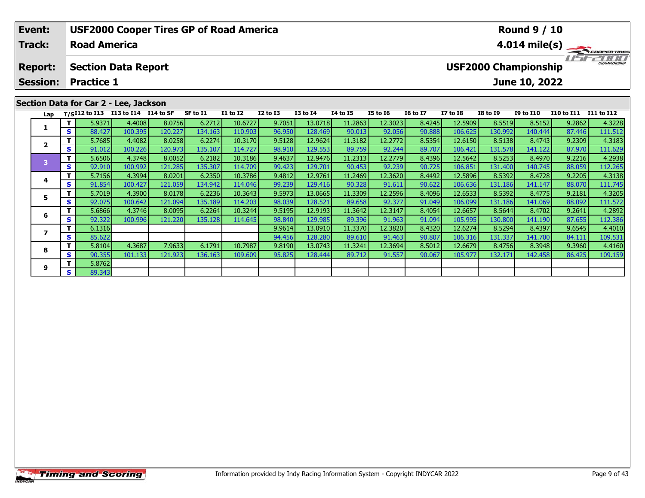| Event:                            |     |                     | <b>USF2000 Cooper Tires GP of Road America</b> |           |                   |                 |              |              |                 |                 |                 |                 |                 | <b>Round 9 / 10</b>                          |                   |                         |
|-----------------------------------|-----|---------------------|------------------------------------------------|-----------|-------------------|-----------------|--------------|--------------|-----------------|-----------------|-----------------|-----------------|-----------------|----------------------------------------------|-------------------|-------------------------|
| <b>Track:</b>                     |     | <b>Road America</b> |                                                |           |                   |                 |              |              |                 |                 |                 |                 |                 |                                              |                   | $4.014 \text{ mile(s)}$ |
| <b>Report:</b><br><b>Session:</b> |     | <b>Practice 1</b>   | <b>Section Data Report</b>                     |           |                   |                 |              |              |                 |                 |                 |                 |                 | <b>USF2000 Championship</b><br>June 10, 2022 |                   | $\frac{1}{1}$           |
|                                   |     |                     | Section Data for Car 2 - Lee, Jackson          |           |                   |                 |              |              |                 |                 |                 |                 |                 |                                              |                   |                         |
|                                   |     |                     | Lap T/SI12 to I13 113 to I14 I14 to SF         |           | SF to I1          | <b>I1 to I2</b> | $I2$ to $I3$ | $I3$ to $I4$ | <b>I4 to I5</b> | <b>I5 to 16</b> | <b>16 to 17</b> | <b>I7 to I8</b> | <b>I8 to I9</b> | <b>I9 to I10</b>                             | <b>I10 to I11</b> | I11 to I12              |
|                                   |     | 5.9371              | 4.4008                                         | 8.0756    | 6.2712            | 10.6727         | 9.7051       | 13.0718      | 11.2863         | 12.3023         | 8.4245          | 12.5909         | 8.5519          | 8.5152                                       | 9.2862            | 4.3228                  |
|                                   | S I | 88.427              | 100.395                                        | 120.227   | 134.163           | 110.903         | 96.950       | 128,469      | 90.013          | 92.056          | 90.888          | 106.625         | 130.992         | 140.444                                      | 87.446            | 111.512                 |
|                                   |     | 5.7685              | 4.4082                                         | 8.0258    | 6.2274            | 10.3170         | 9.5128       | 12.9624      | 11.3182         | 12.2772         | 8.5354          | 12.6150         | 8.5138          | 8.4743                                       | 9.2309            | 4.3183                  |
|                                   | S I | 91.012              | 100.226                                        | 120.973   | 135.107           | 114.727         | 98.910       | 129.553      | 89.759          | 92.244          | 89.707          | 106.421         | 131.578         | 141.122                                      | 87.970            | 111.629                 |
|                                   |     | FCTOC               | 12710                                          | le noro l | $\epsilon$ as and | 10.210c         | 0.4027       | 12027        | 11.2212         | 12.2720         | 0.420c          | 12 F(A2)        | lo cocoli       | 0.40701                                      | 0.221c            | 1.2020                  |

| Lap |    |        | $T/SI12$ to I13 I13 to I14 | I14 to SF | SF to I1 | <b>I1 to I2</b> | <b>I2 to I3</b> | <b>I3 to I4</b> | 14 to 15 | <b>I5 to 16</b> | <b>16 to 17</b> | <b>I7 to I8</b> | <b>I8 to I9</b> | <b>I9 to I10</b> | I10 to I11 | I11 to I12 |
|-----|----|--------|----------------------------|-----------|----------|-----------------|-----------------|-----------------|----------|-----------------|-----------------|-----------------|-----------------|------------------|------------|------------|
|     | Τ. | 5.9371 | 4.4008                     | 8.0756    | 6.2712   | 10.6727         | 9.7051          | 13.0718         | 11.2863  | 12.3023         | 8.4245          | 12.5909         | 8.5519          | 8.5152           | 9.2862     | 4.3228     |
|     | S. | 88.427 | 100.395                    | 120.227   | 134.163  | 110.903         | 96.950          | 128.469         | 90.013   | 92.056          | 90.888          | 106.625         | 130.992         | 140.444          | 87.446     | 111.512    |
|     |    | 5.7685 | 4.4082                     | 8.0258    | 6.2274   | 10.3170         | 9.5128          | 12.9624         | 11.3182  | 12.2772         | 8.5354          | 12.6150         | 8.5138          | 8.4743           | 9.2309     | 4.3183     |
|     | S. | 91.012 | 100.226                    | 120.973   | 135.107  | 114.727         | 98.910          | 129.553         | 89.759   | 92.244          | 89.707          | 106.421         | 131.578         | 141.122          | 87.970     | 111.629    |
| в   |    | 5.6506 | 4.3748                     | 8.0052    | 6.2182   | 10.3186         | 9.4637          | 12.9476         | 11.2313  | 12.2779         | 8.4396          | 12.5642         | 8.5253          | 8.4970           | 9.2216     | 4.2938     |
|     | S. | 92.910 | 100.992                    | 121.285   | 135.307  | 114.709         | 99.423          | 129.701         | 90.453   | 92.239          | 90.725          | 106.851         | 131.400         | 140.745          | 88.059     | 112.265    |
|     |    | 5.7156 | 4.3994                     | 8.0201    | 6.2350   | 10.3786         | 9.4812          | 12.9761         | 11.2469  | 12.3620         | 8.4492          | 12.5896         | 8.5392          | 8.4728           | 9.2205     | 4.3138     |
|     | S  | 91.854 | 100.427                    | 121.059   | 134.942  | 114.046         | 99.239          | 129.416         | 90.328   | 91.611          | 90.622          | 106.636         | 131.186         | 141.147          | 88.070     | 111.745    |
|     |    | 5.7019 | 4.3900                     | 8.0178    | 6.2236   | 10.3643         | 9.5973          | 13.0665         | 11.3309  | 12.2596         | 8.4096          | 12.6533         | 8.5392          | 8.4775           | 9.2181     | 4.3205     |
|     | S. | 92.075 | 100.642                    | 121.094   | 135.189  | 114.203         | 98.039          | 128.521         | 89.658   | 92.377          | 91.049          | 106.099         | 131.186         | 141.069          | 88.092     | 111.572    |
| 6   |    | 5.6866 | 4.3746                     | 8.0095    | 6.2264   | 10.3244         | 9.5195          | 12.9193         | 11.3642  | 12.3147         | 8.4054          | 12.6657         | 8.5644          | 8.4702           | 9.2641     | 4.2892     |
|     | S. | 92.322 | 100.996                    | 121.220   | 135.128  | 114.645         | 98.840          | 129.985         | 89.396   | 91.963          | 91.094          | 105.995         | 130.800         | 141.190          | 87.655     | 112.386    |
|     |    | 6.1316 |                            |           |          |                 | 9.9614          | 13.0910         | 11.3370  | 12.3820         | 8.4320          | 12.6274         | 8.5294          | 8.4397           | 9.6545     | 4.4010     |
|     | S. | 85.622 |                            |           |          |                 | 94.456          | 128.280         | 89.610   | 91.463          | 90.807          | 106.316         | 131.337         | 141.700          | 84.111     | 109.531    |
| 8   |    | 5.8104 | 4.3687                     | 7.9633    | 6.1791   | 10.7987         | 9.8190          | 13.0743         | 11.3241  | 12.3694         | 8.5012          | 12.6679         | 8.4756          | 8.3948           | 9.3960     | 4.4160     |
|     | S. | 90.355 | 101.133                    | 121.923   | 136.163  | 109.609         | 95.825          | 128.444         | 89.712   | 91.557          | 90.067          | 105.977         | 132.171         | 142.458          | 86.425     | 109.159    |
| 9   |    | 5.8762 |                            |           |          |                 |                 |                 |          |                 |                 |                 |                 |                  |            |            |
|     | S. | 89.343 |                            |           |          |                 |                 |                 |          |                 |                 |                 |                 |                  |            |            |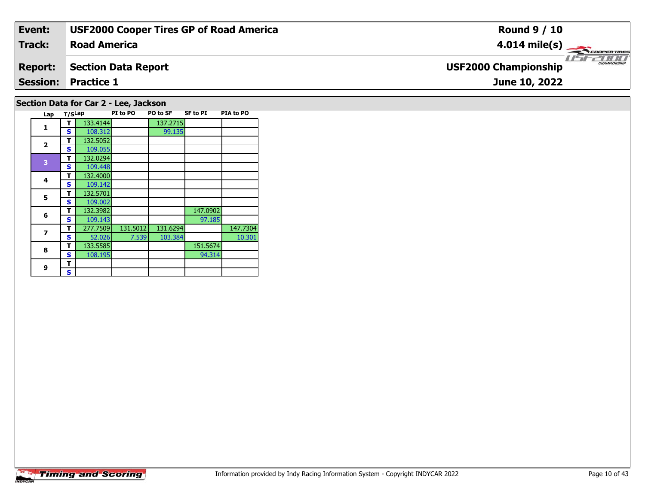| Event:         | <b>USF2000 Cooper Tires GP of Road America</b> | <b>Round 9 / 10</b>                         |
|----------------|------------------------------------------------|---------------------------------------------|
| Track:         | <b>Road America</b>                            | $4.014 \text{ mile(s)}$                     |
| <b>Report:</b> | <b>Section Data Report</b>                     | CHAMPIONSHIP<br><b>USF2000 Championship</b> |
|                | <b>Session: Practice 1</b>                     | June 10, 2022                               |
|                | Section Data for Car 2 - Lee, Jackson          |                                             |

### **Lap T/SLap PI to PO PO to SF SF to PI PIA to PO 1T** 133.4144 137.2715<br> **S** 108.312 99.135 **2 <sup>T</sup>** 132.5052 **<sup>S</sup>** 109.055109.055<br>132.0294 **<sup>T</sup>** 132.0294 **<sup>S</sup>** 109.448 **4 <sup>T</sup>** 132.4000 **<sup>S</sup>** 109.142109.142 **5 <sup>T</sup>** 132.5701 **<sup>S</sup>** 109.002**66 T** 132.3982 147.0902<br>**S** 109.143 97.185 **7T** 277.7509 131.5012 131.6294 147.7304<br>**S** 52.026 7.539 103.384 10.301 10.301 **8R T** 133.5585 108.195 151.5674 94.314 **9**9 <mark>「S</mark>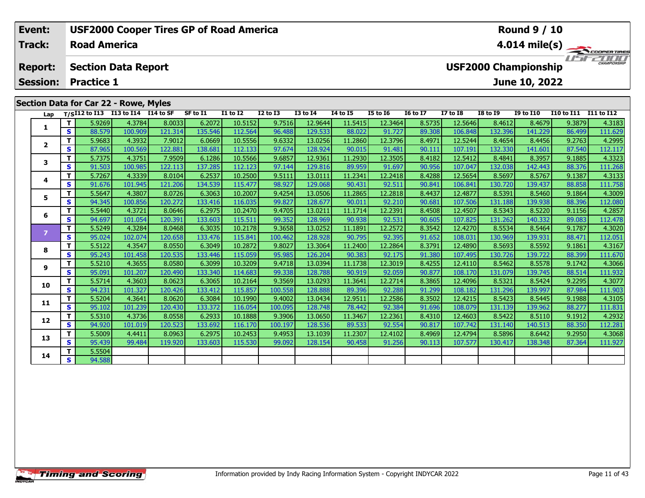| Event:                                                                               |    |                     | <b>USF2000 Cooper Tires GP of Road America</b>                |         |          |              |                 |              |          |                                                                     |                 |                 |                 | <b>Round 9 / 10</b>     |            |            |
|--------------------------------------------------------------------------------------|----|---------------------|---------------------------------------------------------------|---------|----------|--------------|-----------------|--------------|----------|---------------------------------------------------------------------|-----------------|-----------------|-----------------|-------------------------|------------|------------|
| Track:                                                                               |    | <b>Road America</b> |                                                               |         |          |              |                 |              |          |                                                                     |                 |                 |                 | $4.014 \text{ mile(s)}$ |            |            |
| <b>Section Data Report</b><br><b>Report:</b><br><b>Practice 1</b><br><b>Session:</b> |    |                     |                                                               |         |          |              |                 |              |          | <b>CHAMPIONSHIP</b><br><b>USF2000 Championship</b><br>June 10, 2022 |                 |                 |                 |                         |            | 2000       |
| Lap                                                                                  |    | T/SI12 to I13       | Section Data for Car 22 - Rowe, Myles<br>I13 to I14 I14 to SF |         | SF to I1 | $I1$ to $I2$ | <b>I2 to I3</b> | $I3$ to $I4$ | 14 to 15 | I5 to 16                                                            | <b>16 to 17</b> | <b>I7 to I8</b> | <b>I8 to I9</b> | <b>I9 to I10</b>        | I10 to I11 | I11 to I12 |
|                                                                                      |    | 5.9269              | 4.3784                                                        | 8.0033  | 6.2072   | 10.5152      | 9.7516          | 12.9644      | 11.5415  | 12.3464                                                             | 8.5735          | 12.5646         | 8.4612          | 8.4679                  | 9.3879     | 4.3183     |
| л.                                                                                   | S. | 88.579              | 100.909                                                       | 121.314 | 135.546  | 112.564      | 96.488          | 129.533      | 88.022   | 91.727                                                              | 89.308          | 106.848         | 132.396         | 141.229                 | 86.499     | 111.629    |
| $\overline{2}$                                                                       |    | 5.9683              | 4.3932                                                        | 7.9012  | 6.0669   | 10.5556      | 9.6332          | 13.0256      | 11.2860  | 12.3796                                                             | 8.4971          | 12.5244         | 8.4654          | 8.4456                  | 9.2763     | 4.2995     |
|                                                                                      | S. | 87.965              | 100.569                                                       | 122.881 | 138.681  | 112.133      | 97.674          | 128.924      | 90.015   | 91.481                                                              | 90.111          | 107.191         | 132.330         | 141.601                 | 87.540     | 112.117    |
|                                                                                      |    | 5.7375              | 4.3751                                                        | 7.9509  | 6.1286   | 10.5566      | 9.6857          | 12.9361      | 11.2930  | 12.3505                                                             | 8.4182          | 12.5412         | 8.4841          | 8.3957                  | 9.1885     | 4.3323     |

| Lap            |              |        | T/SI12 to I13 I13 to I14 I14 to SF |         | SF to I1 | <b>I1 to I2</b> | <b>I2 to I3</b> | <b>I3 to I4</b> | <b>I4 to I5</b> | <b>I5 to 16</b> | <b>16 to 17</b> | <b>I7 to I8</b> | <b>I8 to I9</b> | <b>I9 to I10</b> | <b>I10 to I11</b> | <b>I11 to I12</b> |
|----------------|--------------|--------|------------------------------------|---------|----------|-----------------|-----------------|-----------------|-----------------|-----------------|-----------------|-----------------|-----------------|------------------|-------------------|-------------------|
|                | T.           | 5.9269 | 4.3784                             | 8.0033  | 6.2072   | 10.5152         | 9.7516          | 12.9644         | 11.5415         | 12.3464         | 8.5735          | 12.5646         | 8.4612          | 8.4679           | 9.3879            | 4.3183            |
| 1              | S.           | 88.579 | 100.909                            | 121.314 | 135.546  | 112.564         | 96.488          | 129.533         | 88.022          | 91.727          | 89.308          | 106.848         | 132.396         | 141.229          | 86.499            | 111.629           |
| $\overline{2}$ | T.           | 5.9683 | 4.3932                             | 7.9012  | 6.0669   | 10.5556         | 9.6332          | 13.0256         | 11.2860         | 12.3796         | 8.4971          | 12.5244         | 8.4654          | 8.4456           | 9.2763            | 4.2995            |
|                | S.           | 87.965 | 100.569                            | 122.881 | 138.681  | 112.133         | 97.674          | 128.924         | 90.015          | 91.481          | 90.111          | 107.191         | 132.330         | 141.601          | 87.540            | 112.117           |
| 3              | T.           | 5.7375 | 4.3751                             | 7.9509  | 6.1286   | 10.5566         | 9.6857          | 12.9361         | 11.2930         | 12.3505         | 8.4182          | 12.5412         | 8.4841          | 8.3957           | 9.1885            | 4.3323            |
|                | S.           | 91.503 | 100.985                            | 122.113 | 137.285  | 112.123         | 97.144          | 129.816         | 89.959          | 91.697          | 90.956          | 107.047         | 132.038         | 142.443          | 88.376            | 111.268           |
| 4              | T.           | 5.7267 | 4.3339                             | 8.0104  | 6.2537   | 10.2500         | 9.5111          | 13.0111         | 11.2341         | 12.2418         | 8.4288          | 12.5654         | 8.5697          | 8.5767           | 9.1387            | 4.3133            |
|                | S.           | 91.676 | 101.945                            | 121.206 | 134.539  | 115.477         | 98.927          | 129.068         | 90.431          | 92.511          | 90.841          | 106.841         | 130.720         | 139.437          | 88.858            | 111.758           |
| 5              | T.           | 5.5647 | 4.3807                             | 8.0726  | 6.3063   | 10.2007         | 9.4254          | 13.0506         | 11.2865         | 12.2818         | 8.4437          | 12.4877         | 8.5391          | 8.5460           | 9.1864            | 4.3009            |
|                | s            | 94.345 | 100.856                            | 120.272 | 133.416  | 116.035         | 99.827          | 128.677         | 90.011          | 92.210          | 90.681          | 107.506         | 131.188         | 139.938          | 88.396            | 112.080           |
| 6              | T.           | 5.5440 | 4.3721                             | 8.0646  | 6.2975   | 10.2470         | 9.4705          | 13.0211         | 11.1714         | 12.2391         | 8.4508          | 12.4507         | 8.5343          | 8.5220           | 9.1156            | 4.2857            |
|                | S.           | 94.697 | 101.054                            | 120.391 | 133.603  | 115.511         | 99.352          | 128.969         | 90.938          | 92.531          | 90.605          | 107.825         | 131.262         | 140.332          | 89.083            | 112.478           |
| 7              | T.           | 5.5249 | 4.3284                             | 8.0468  | 6.3035   | 10.2178         | 9.3658          | 13.0252         | 11.1891         | 12.2572         | 8.3542          | 12.4270         | 8.5534          | 8.5464           | 9.1787            | 4.3020            |
|                | S            | 95.024 | 102.074                            | 120.658 | 133.476  | 115.841         | 100.462         | 128.928         | 90.795          | 92.395          | 91.652          | 108.031         | 130.969         | 139.931          | 88.471            | 112.051           |
| 8              | T.           | 5.5122 | 4.3547                             | 8.0550  | 6.3049   | 10.2872         | 9.8027          | 13.3064         | 11.2400         | 12.2864         | 8.3791          | 12.4890         | 8.5693          | 8.5592           | 9.1861            | 4.3167            |
|                | S            | 95.243 | 101.458                            | 120.535 | 133.446  | 115.059         | 95.985          | 126.204         | 90.383          | 92.175          | 91.380          | 107.495         | 130.726         | 139.722          | 88.399            | 111.670           |
| 9              | T.           | 5.5210 | 4.3655                             | 8.0580  | 6.3099   | 10.3209         | 9.4718          | 13.0394         | 11.1738         | 12.3019         | 8.4255          | 12.4110         | 8.5462          | 8.5578           | 9.1742            | 4.3066            |
|                | S.           | 95.091 | 101.207                            | 120.490 | 133.340  | 114.683         | 99.338          | 128.788         | 90.919          | 92.059          | 90.877          | 108.170         | 131.079         | 139.745          | 88.514            | 111.932           |
| 10             | T.           | 5.5714 | 4.3603                             | 8.0623  | 6.3065   | 10.2164         | 9.3569          | 13.0293         | 11.3641         | 12.2714         | 8.3865          | 12.4096         | 8.5321          | 8.5424           | 9.2295            | 4.3077            |
|                | $\mathbf{s}$ | 94.231 | 101.327                            | 120.426 | 133.412  | 115.857         | 100.558         | 128.888         | 89.396          | 92.288          | 91.299          | 108.182         | 131.296         | 139.997          | 87.984            | 111.903           |
| 11             | T.           | 5.5204 | 4.3641                             | 8.0620  | 6.3084   | 10.1990         | 9.4002          | 13.0434         | 12.9511         | 12.2586         | 8.3502          | 12.4215         | 8.5423          | 8.5445           | 9.1988            | 4.3105            |
|                | S            | 95.102 | 101.239                            | 120.430 | 133.372  | 116.054         | 100.095         | 128.748         | 78.442          | 92.384          | 91.696          | 108.079         | 131.139         | 139.962          | 88.277            | 111.831           |
| 12             | T.           | 5.5310 | 4.3736                             | 8.0558  | 6.2933   | 10.1888         | 9.3906          | 13.0650         | 11.3467         | 12.2361         | 8.4310          | 12.4603         | 8.5422          | 8.5110           | 9.1912            | 4.2932            |
|                | S.           | 94.920 | 101.019                            | 120.523 | 133.692  | 116.170         | 100.197         | 128.536         | 89.533          | 92.554          | 90.817          | 107.742         | 131.140         | 140.513          | 88.350            | 112.281           |
| 13             | T.           | 5.5009 | 4.4411                             | 8.0963  | 6.2975   | 10.2453         | 9.4953          | 13.1039         | 11.2307         | 12.4102         | 8.4969          | 12.4794         | 8.5896          | 8.6442           | 9.2950            | 4.3068            |
|                | S.           | 95.439 | 99.484                             | 119.920 | 133.603  | 115.530         | 99.092          | 128.154         | 90.458          | 91.256          | 90.113          | 107.577         | 130.417         | 138.348          | 87.364            | 111.927           |
| 14             | T.           | 5.5504 |                                    |         |          |                 |                 |                 |                 |                 |                 |                 |                 |                  |                   |                   |
|                | S.           | 94.588 |                                    |         |          |                 |                 |                 |                 |                 |                 |                 |                 |                  |                   |                   |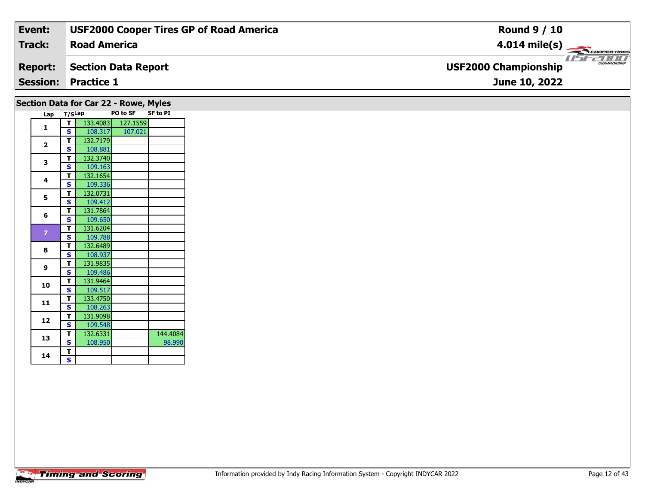| Event:         | <b>USF2000 Cooper Tires GP of Road America</b> | <b>Round 9 / 10</b>                                |
|----------------|------------------------------------------------|----------------------------------------------------|
| Track:         | <b>Road America</b>                            | $4.014 \text{ mile(s)}$                            |
| <b>Report:</b> | Section Data Report                            | <b>CHAMPIONSHIP</b><br><b>USF2000 Championship</b> |
|                | <b>Session: Practice 1</b>                     | June 10, 2022                                      |
|                |                                                |                                                    |

| Section Data for Car 22 - Rowe, Myles |  |  |
|---------------------------------------|--|--|
|---------------------------------------|--|--|

| Lap                     | T/SLap |          | <b>PO to SF</b> | <b>SF to PI</b> |
|-------------------------|--------|----------|-----------------|-----------------|
| 1                       | т      | 133.4083 | 127.1559        |                 |
|                         | S      | 108.317  | 107.021         |                 |
| $\overline{\mathbf{2}}$ | T      | 132.7179 |                 |                 |
|                         | S      | 108.881  |                 |                 |
| 3                       | т      | 132.3740 |                 |                 |
|                         | S      | 109.163  |                 |                 |
| 4                       | T      | 132.1654 |                 |                 |
|                         | S      | 109.336  |                 |                 |
| 5                       | T      | 132.0731 |                 |                 |
|                         | S      | 109.412  |                 |                 |
| 6                       | T      | 131.7864 |                 |                 |
|                         | S      | 109.650  |                 |                 |
| $\overline{z}$          | T      | 131.6204 |                 |                 |
|                         | S      | 109.788  |                 |                 |
| 8                       | T      | 132.6489 |                 |                 |
|                         | S      | 108.937  |                 |                 |
| 9                       | T      | 131.9835 |                 |                 |
|                         | S      | 109.486  |                 |                 |
| 10                      | T      | 131.9464 |                 |                 |
|                         | Ś      | 109.517  |                 |                 |
| 11                      | T      | 133.4750 |                 |                 |
|                         | S      | 108.263  |                 |                 |
| 12                      | T      | 131.9098 |                 |                 |
|                         | S      | 109.548  |                 |                 |
| 13                      | T      | 132.6331 |                 | 144.4084        |
|                         | S      | 108.950  |                 | 98.990          |
| 14                      | T      |          |                 |                 |
|                         | S      |          |                 |                 |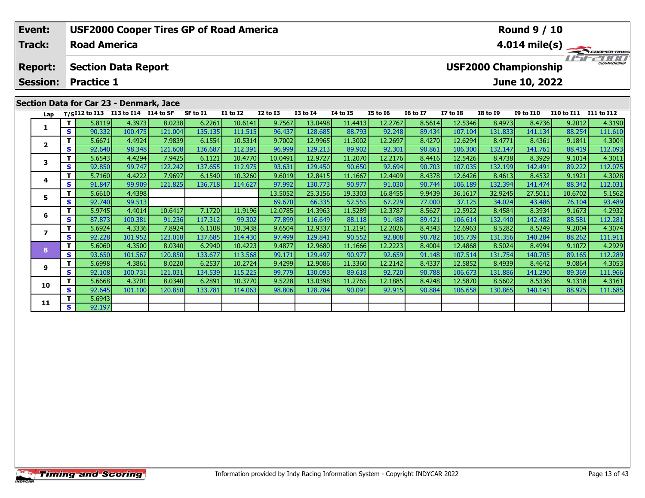| Event:                                                                                                                               |     |                                         |         |         | <b>USF2000 Cooper Tires GP of Road America</b> |                 |                 |                 |          |                 |                 |          |                 | <b>Round 9 / 10</b> |                       |                         |
|--------------------------------------------------------------------------------------------------------------------------------------|-----|-----------------------------------------|---------|---------|------------------------------------------------|-----------------|-----------------|-----------------|----------|-----------------|-----------------|----------|-----------------|---------------------|-----------------------|-------------------------|
| <b>Track:</b><br><b>Road America</b>                                                                                                 |     |                                         |         |         |                                                |                 |                 |                 |          |                 |                 |          |                 |                     |                       | $4.014 \text{ mile(s)}$ |
| <b>USF2000 Championship</b><br><b>Section Data Report</b><br><b>Report:</b><br><b>Practice 1</b><br><b>Session:</b><br>June 10, 2022 |     |                                         |         |         |                                                |                 |                 |                 |          |                 |                 |          |                 |                     | CHAMPIONSHIP          |                         |
|                                                                                                                                      |     | Section Data for Car 23 - Denmark, Jace |         |         |                                                |                 |                 |                 |          |                 |                 |          |                 |                     |                       |                         |
|                                                                                                                                      |     | Lap T/SI12 to I13 I13 to I14 I14 to SF  |         |         | SF to I1                                       | <b>I1 to I2</b> | <b>I2 to I3</b> | <b>I3 to I4</b> | 14 to 15 | <b>I5 to 16</b> | <b>16 to 17</b> | I7 to I8 | <b>I8 to 19</b> | <b>I9 to I10</b>    | I10 to I11 I11 to I12 |                         |
|                                                                                                                                      |     | 5.8119                                  | 4.3973  | 8.0238  | 6.2261                                         | 10.6141         | 9.7567          | 13.0498         | 11.4413  | 12.2767         | 8.5614          | 12.5346  | 8.4973          | 8.4736              | 9.2012                | 4.3190                  |
| 1                                                                                                                                    | s l | 90.332                                  | 100.475 | 121.004 | 135.135                                        | 111.515         | 96.437          | 128.685         | 88.793   | 92.248          | 89.434          | 107.104  | 131.833         | 141.134             | 88.254                | 111.610                 |
|                                                                                                                                      |     | 5.6671                                  | 4.4924  | 7.9839  | 6.1554                                         | 10.5314         | 9.7002          | 12.9965         | 11.3002  | 12.2697         | 8.4270          | 12.6294  | 8.4771          | 8.4361              | 9.1841                | 4.3004                  |
| $\overline{2}$                                                                                                                       | s l | 92.640                                  | 98.348  | 121.608 | 136.687                                        | 112.391         | 96.999          | 129.213         | 89.902   | 92.301          | 90.861          | 106.300  | 132.147         | 141.761             | 88.419                | 112.093                 |
|                                                                                                                                      |     | 5.6543                                  | 4.4294  | 7.9425  | 6.1121                                         | 10.4770         | 10.0491         | 12.9727         | 11.2070  | 12.2176         | 8.4416          | 12.5426  | 8.4738          | 8.3929              | 9.1014                | 4.3011                  |

| Lap            |    |        | T/SI12 to I13 I13 to I14 I14 to SF |         | SF to I1 | <b>I1 to I2</b> | <b>I2 to I3</b> | <b>I3 to I4</b> | <b>I4 to I5</b> | <b>I5 to 16</b> | <b>16 to 17</b> | <b>I7 to I8</b> | <b>I8 to I9</b> | <b>I9 to I10</b> | I10 to I11 | I11 to I12 |
|----------------|----|--------|------------------------------------|---------|----------|-----------------|-----------------|-----------------|-----------------|-----------------|-----------------|-----------------|-----------------|------------------|------------|------------|
|                | T. | 5.8119 | 4.3973                             | 8.0238  | 6.2261   | 10.6141         | 9.7567          | 13.0498         | 11.4413         | 12.2767         | 8.5614          | 12.5346         | 8.4973          | 8.4736           | 9.2012     | 4.3190     |
|                | S. | 90.332 | 100.475                            | 121.004 | 135.135  | 111.515         | 96.437          | 128.685         | 88.793          | 92.248          | 89.434          | 107.104         | 131.833         | 141.134          | 88.254     | 111.610    |
| $\overline{2}$ | т  | 5.6671 | 4.4924                             | 7.9839  | 6.1554   | 10.5314         | 9.7002          | 12.9965         | 11.3002         | 12.2697         | 8.4270          | 12.6294         | 8.4771          | 8.4361           | 9.1841     | 4.3004     |
|                | S. | 92.640 | 98.348                             | 121.608 | 136.687  | 112.391         | 96.999          | 129.213         | 89.902          | 92.301          | 90.861          | 106.300         | 132.147         | 141.761          | 88.419     | 112.093    |
| 3              | T. | 5.6543 | 4.4294                             | 7.9425  | 6.1121   | 10.4770         | 10.0491         | 12.9727         | 11.2070         | 12.2176         | 8.4416          | 12.5426         | 8.4738          | 8.3929           | 9.1014     | 4.3011     |
|                | S. | 92.850 | 99.747                             | 122.242 | 137.655  | 112.975         | 93.631          | 129.450         | 90.650          | 92.694          | 90.703          | 107.035         | 132.199         | 142.491          | 89.222     | 112.075    |
| 4              | Τ. | 5.7160 | 4.4222                             | 7.9697  | 6.1540   | 10.3260         | 9.6019          | 12.8415         | 11.1667         | 12.4409         | 8.4378          | 12.6426         | 8.4613          | 8.4532           | 9.1921     | 4.3028     |
|                | S. | 91.847 | 99.909                             | 121.825 | 136.718  | 114.627         | 97.992          | 130.773         | 90.977          | 91.030          | 90.744          | 106.189         | 132.394         | 141.474          | 88.342     | 112.031    |
| 5              | T. | 5.6610 | 4.4398                             |         |          |                 | 13.5052         | 25.3156         | 19.3303         | 16.8455         | 9.9439          | 36.1617         | 32.9245         | 27.5011          | 10.6702    | 5.1562     |
|                | S. | 92.740 | 99.513                             |         |          |                 | 69.670          | 66.335          | 52.555          | 67.229          | 77.000          | 37.125          | 34.024          | 43.486           | 76.104     | 93.489     |
| 6              |    | 5.9745 | 4.4014                             | 10.6417 | 7.1720   | 11.9196         | 12.0785         | 14.3963         | 11.5289         | 12.3787         | 8.5627          | 12.5922         | 8.4584          | 8.3934           | 9.1673     | 4.2932     |
|                | S. | 87.873 | 100.381                            | 91.236  | 117.312  | 99.302          | 77.899          | 116.649         | 88.118          | 91.488          | 89.421          | 106.614         | 132.440         | 142.482          | 88.581     | 112.281    |
|                |    | 5.6924 | 4.3336                             | 7.8924  | 6.1108   | 10.3438         | 9.6504          | 12.9337         | 11.2191         | 12.2026         | 8.4343          | 12.6963         | 8.5282          | 8.5249           | 9.2004     | 4.3074     |
|                | S. | 92.228 | 101.952                            | 123.018 | 137.685  | 114.430         | 97.499          | 129.841         | 90.552          | 92.808          | 90.782          | 105.739         | 131.356         | 140.284          | 88.262     | 111.911    |
| 8              | т. | 5.6060 | 4.3500                             | 8.0340  | 6.2940   | 10.4223         | 9.4877          | 12.9680         | 11.1666         | 12.2223         | 8.4004          | 12.4868         | 8.5024          | 8.4994           | 9.1072     | 4.2929     |
|                | S  | 93.650 | 101.567                            | 120.850 | 133.677  | 113.568         | 99.171          | 129.497         | 90.977          | 92.659          | 91.148          | 107.514         | 131.754         | 140.705          | 89.165     | 112.289    |
| 9              |    | 5.6998 | 4.3861                             | 8.0220  | 6.2537   | 10.2724         | 9.4299          | 12.9086         | 11.3360         | 12.2142         | 8.4337          | 12.5852         | 8.4939          | 8.4642           | 9.0864     | 4.3053     |
|                | S. | 92.108 | 100.731                            | 121.031 | 134.539  | 115.225         | 99.779          | 130.093         | 89.618          | 92.720          | 90.788          | 106.673         | 131.886         | 141.290          | 89.369     | 111.966    |
| 10             | Τ. | 5.6668 | 4.3701                             | 8.0340  | 6.2891   | 10.3770         | 9.5228          | 13.0398         | 11.2765         | 12.1885         | 8.4248          | 12.5870         | 8.5602          | 8.5336           | 9.1318     | 4.3161     |
|                | S. | 92.645 | 101.100                            | 120.850 | 133.781  | 114.063         | 98.806          | 128.784         | 90.091          | 92.915          | 90.884          | 106.658         | 130.865         | 140.141          | 88.925     | 111.685    |
|                | Τ. | 5.6943 |                                    |         |          |                 |                 |                 |                 |                 |                 |                 |                 |                  |            |            |
| 11             | S. | 92.197 |                                    |         |          |                 |                 |                 |                 |                 |                 |                 |                 |                  |            |            |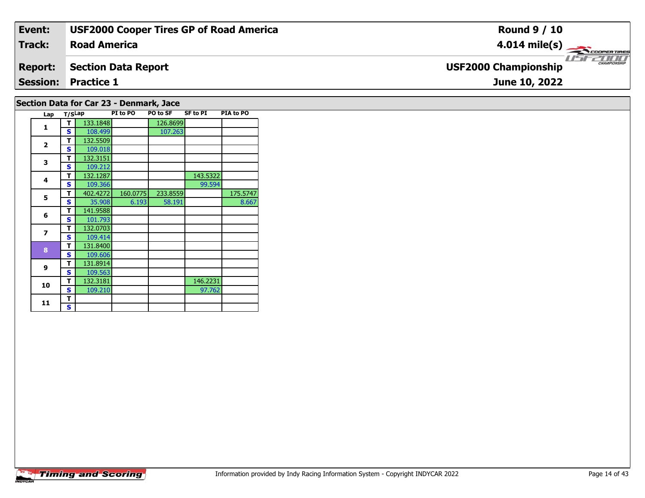| Event:         | <b>USF2000 Cooper Tires GP of Road America</b> | <b>Round 9 / 10</b>                              |
|----------------|------------------------------------------------|--------------------------------------------------|
| <b>Track:</b>  | <b>Road America</b>                            | $4.014 \text{ mile(s)}$                          |
| <b>Report:</b> | <b>Section Data Report</b>                     | <b>CHAMPIONSH</b><br><b>USF2000 Championship</b> |
|                | <b>Session: Practice 1</b>                     | June 10, 2022                                    |
|                | Section Data for Car 23 - Denmark, Jace        |                                                  |

| Lap                     | T/SLap |          | PI to PO | PO to SF | SF to PI | PIA to PO |
|-------------------------|--------|----------|----------|----------|----------|-----------|
| $\mathbf{1}$            | т      | 133.1848 |          | 126.8699 |          |           |
|                         | S      | 108.499  |          | 107.263  |          |           |
| $\overline{2}$          | т      | 132.5509 |          |          |          |           |
|                         | S      | 109.018  |          |          |          |           |
| 3                       | т      | 132.3151 |          |          |          |           |
|                         | S      | 109.212  |          |          |          |           |
| 4                       | т      | 132.1287 |          |          | 143.5322 |           |
|                         | S      | 109.366  |          |          | 99.594   |           |
| 5                       | т      | 402.4272 | 160.0775 | 233.8559 |          | 175.5747  |
|                         | S      | 35.908   | 6.193    | 58.191   |          | 8.667     |
| 6                       | T      | 141.9588 |          |          |          |           |
|                         | S      | 101.793  |          |          |          |           |
| $\overline{\mathbf{z}}$ | т      | 132.0703 |          |          |          |           |
|                         | S      | 109.414  |          |          |          |           |
| 8                       | т      | 131.8400 |          |          |          |           |
|                         | S      | 109.606  |          |          |          |           |
|                         | т      | 131.8914 |          |          |          |           |
| 9                       | S      | 109.563  |          |          |          |           |
| 10                      | т      | 132.3181 |          |          | 146.2231 |           |
|                         | S      | 109.210  |          |          | 97.762   |           |
| 11                      | т      |          |          |          |          |           |
|                         | S      |          |          |          |          |           |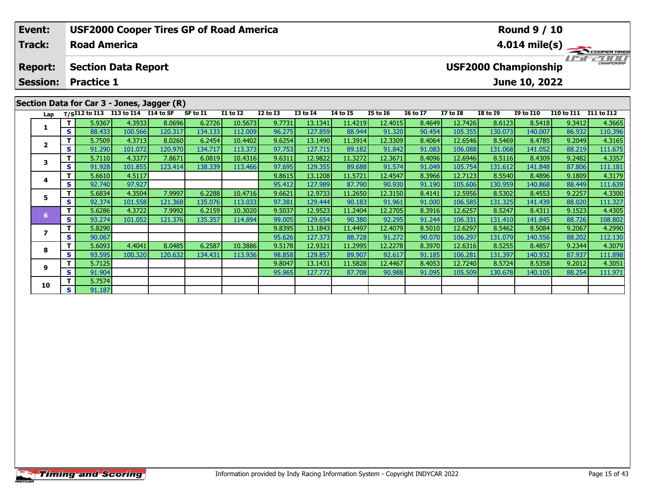| Event:          |     |                            |            |                                            |          | <b>USF2000 Cooper Tires GP of Road America</b> |              |                 |                 |                 |                 |                 |                             | <b>Round 9 / 10</b> |                   |                         |
|-----------------|-----|----------------------------|------------|--------------------------------------------|----------|------------------------------------------------|--------------|-----------------|-----------------|-----------------|-----------------|-----------------|-----------------------------|---------------------|-------------------|-------------------------|
| <b>Track:</b>   |     | <b>Road America</b>        |            |                                            |          |                                                |              |                 |                 |                 |                 |                 |                             |                     |                   | $4.014 \text{ mile(s)}$ |
| <b>Report:</b>  |     | <b>Section Data Report</b> |            |                                            |          |                                                |              |                 |                 |                 |                 |                 | <b>USF2000 Championship</b> |                     |                   | CHAMPIONSHIP            |
| <b>Session:</b> |     | <b>Practice 1</b>          |            |                                            |          |                                                |              |                 | June 10, 2022   |                 |                 |                 |                             |                     |                   |                         |
|                 |     |                            |            |                                            |          |                                                |              |                 |                 |                 |                 |                 |                             |                     |                   |                         |
|                 |     |                            |            | Section Data for Car 3 - Jones, Jagger (R) |          |                                                |              |                 |                 |                 |                 |                 |                             |                     |                   |                         |
| Lap             |     | T/SI12 to I13              | I13 to I14 | I14 to SF                                  | SF to I1 | <b>I1 to I2</b>                                | $I2$ to $I3$ | <b>I3 to I4</b> | <b>I4 to I5</b> | <b>I5 to 16</b> | <b>16 to 17</b> | <b>I7 to I8</b> | <b>I8 to 19</b>             | <b>I9 to I10</b>    | <b>I10 to I11</b> | I11 to I12              |
|                 |     | 5.9367                     | 4.3933     | 8.0696                                     | 6.2726   | 10.5673                                        | 9.7731       | 13.1341         | 11.4219         | 12.4015         | 8.4649          | 12.7426         | 8.6123                      | 8.5418              | 9.3412            | 4.3665                  |
|                 | s l | 88.433                     | 100.566    | 120.317                                    | 134.133  | 112.009                                        | 96.275       | 127.859         | 88.944          | 91.320          | 90.454          | 105.355         | 130.073                     | 140.007             | 86.932            | 110.396                 |
| $\overline{2}$  |     | 5.7509                     | 4.3713     | 8.0260                                     | 6.2454   | 10.4402                                        | 9.6254       | 13.1490         | 11.3914         | 12.3309         | 8.4064          | 12.6546         | 8.5469                      | 8.4785              | 9.2049            | 4.3165                  |
|                 | s l | 91.290                     | 101.072    | 120.970                                    | 134.717  | 113.373                                        | 97.753       | 127.715         | 89.182          | 91.842          | 91.083          | 106.088         | 131.068                     | 141.052             | 88.219            | 111.675                 |
| 3               |     | 5.7110                     | 4.3377     | 7.8671                                     | 6.0819   | 10.4316                                        | 9.6311       | 12.9822         | 11.3272         | 12.3671         | 8.4096          | 12.6946         | 8.5116                      | 8.4309              | 9.2482            | 4.3357                  |
|                 |     | 91.928<br>s l              | 101.855    | 123.414                                    | 138.339  | 113.466                                        | 97.695       | 129.355         | 89.688          | 91.574          | 91.049          | 105.754         | 131.612                     | 141.848             | 87.806            | 111.181                 |

| Lap                      |       |        | $T/SI12$ to I13 I13 to I14 | I14 to SF | SF to I1 | <b>I1 to I2</b> | $I2$ to $I3$ | $I3$ to $I4$ | <b>I4 to I5</b> | <b>I5 to I6</b> | 16 to 17 | <b>I7 to I8</b> | <b>I8 to I9</b> | <b>I9 to I10</b> | <b>I10 to I11</b> | <b>I11 to I12</b> |
|--------------------------|-------|--------|----------------------------|-----------|----------|-----------------|--------------|--------------|-----------------|-----------------|----------|-----------------|-----------------|------------------|-------------------|-------------------|
|                          |       | 5.9367 | 4.3933                     | 8.0696    | 6.2726   | 10.5673         | 9.7731       | 13.1341      | 11.4219         | 12.4015         | 8.4649   | 12.7426         | 8.6123          | 8.5418           | 9.3412            | 4.3665            |
|                          | S     | 88.433 | 100.566                    | 120.317   | 134.133  | 112.009         | 96.275       | 127.859      | 88.944          | 91.320          | 90.454   | 105.355         | 130.073         | 140.007          | 86.932            | 110.396           |
| $\overline{\phantom{a}}$ |       | 5.7509 | 4.3713                     | 8.0260    | 6.2454   | 10.4402         | 9.6254       | 13.1490      | 11.3914         | 12.3309         | 8.4064   | 12.6546         | 8.5469          | 8.4785           | 9.2049            | 4.3165            |
|                          | S.    | 91.290 | 101.072                    | 120.970   | 134.717  | 113.373         | 97.753       | 127.715      | 89.182          | 91.842          | 91.083   | 106.088         | 131.068         | 141.052          | 88.219            | 111.675           |
| 3                        |       | 5.7110 | 4.3377                     | 7.8671    | 6.0819   | 10.4316         | 9.6311       | 12.9822      | 11.3272         | 12.3671         | 8.4096   | 12.6946         | 8.5116          | 8.4309           | 9.2482            | 4.3357            |
|                          | S     | 91.928 | 101.855                    | 123.414   | 138.339  | 113.466         | 97.695       | 129.355      | 89.688          | 91.574          | 91.049   | 105.754         | 131.612         | 141.848          | 87.806            | 111.181           |
| 4                        | Τ.    | 5.6610 | 4.5117                     |           |          |                 | 9.8615       | 13.1208      | 11.5721         | 12.4547         | 8.3966   | 12.7123         | 8.5540          | 8.4896           | 9.1809            | 4.3179            |
|                          | S.    | 92.740 | 97.927                     |           |          |                 | 95.412       | 127.989      | 87.790          | 90.930          | 91.190   | 105.606         | 130.959         | 140.868          | 88.449            | 111.639           |
| 5                        |       | 5.6834 | 4.3504                     | 7.9997    | 6.2288   | 10.4716         | 9.6621       | 12.97331     | 11.2650         | 12.3150         | 8.4141   | 12.5956         | 8.5302          | 8.4553           | 9.2257            | 4.3300            |
|                          | S.    | 92.374 | 101.558                    | 121.368   | 135.076  | 113.033         | 97.381       | 129.444      | 90.183          | 91.961          | 91.000   | 106.585         | 131.325         | 141.439          | 88.020            | 111.327           |
| 6.                       |       | 5.6286 | 4.3722                     | 7.9992    | 6.2159   | 10.3020         | 9.5037       | 12.9523      | 11.2404         | 12.2705         | 8.3916   | 12.6257         | 8.5247          | 8.4311           | 9.1523            | 4.4305            |
|                          | S.    | 93.274 | 101.052                    | 121.376   | 135.357  | 114.894         | 99.005       | 129.654      | 90.380          | 92.295          | 91.244   | 106.331         | 131.410         | 141.845          | 88.726            | 108.802           |
|                          |       | 5.8290 |                            |           |          |                 | 9.8395       | 13.1843      | 11.4497         | 12.4079         | 8.5010   | 12.6297         | 8.5462          | 8.5084           | 9.2067            | 4.2990            |
|                          | S.    | 90.067 |                            |           |          |                 | 95.626       | 127.373      | 88.728          | 91.272          | 90.070   | 106.297         | 131.079         | 140.556          | 88.202            | 112.130           |
| 8                        |       | 5.6093 | 4.4041                     | 8.0485    | 6.2587   | 10.3886         | 9.5178       | 12.9321      | 11.2995         | 12.2278         | 8.3970   | 12.6316         | 8.5255          | 8.4857           | 9.2344            | 4.3079            |
|                          | S.    | 93.595 | 100.320                    | 120.632   | 134.431  | 113.936         | 98.858       | 129.857      | 89.907          | 92.617          | 91.185   | 106.281         | 131.397         | 140.932          | 87.937            | 111.898           |
| 9                        |       | 5.7125 |                            |           |          |                 | 9.8047       | 13.1431      | 11.5828         | 12.4467         | 8.4053   | 12.7240         | 8.5724          | 8.5358           | 9.2012            | 4.3051            |
|                          | S.    | 91.904 |                            |           |          |                 | 95.965       | 127.772      | 87.708          | 90.988          | 91.095   | 105.509         | 130.678         | 140.105          | 88.254            | 111.971           |
| 10                       | $T$ . | 5.7574 |                            |           |          |                 |              |              |                 |                 |          |                 |                 |                  |                   |                   |
|                          | S     | 91.187 |                            |           |          |                 |              |              |                 |                 |          |                 |                 |                  |                   |                   |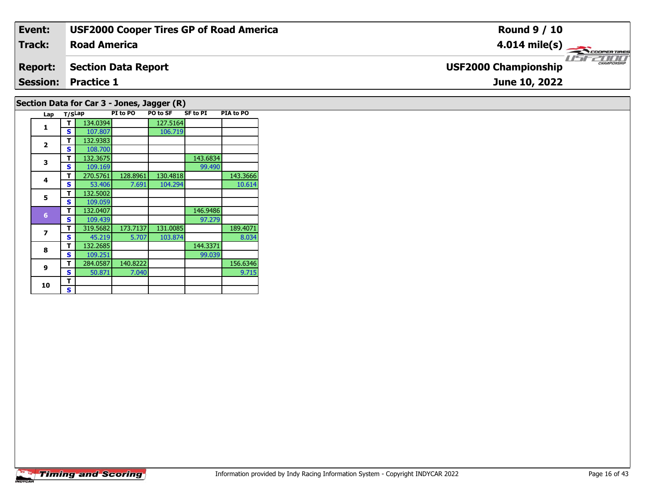| Event:         | <b>USF2000 Cooper Tires GP of Road America</b> | <b>Round 9 / 10</b>                         |
|----------------|------------------------------------------------|---------------------------------------------|
| Track:         | <b>Road America</b>                            | $4.014 \text{ mile(s)}$                     |
| <b>Report:</b> | Section Data Report                            | CHAMPIONSHIP<br><b>USF2000 Championship</b> |
|                | <b>Session: Practice 1</b>                     | June 10, 2022                               |
|                | Section Data for Car 3 - Jones, Jagger (R)     |                                             |

| Lap            | T/SLap |          | PI to PO | PO to SF | <b>SF to PI</b> | PIA to PO |
|----------------|--------|----------|----------|----------|-----------------|-----------|
| 1              | т      | 134.0394 |          | 127.5164 |                 |           |
|                | S      | 107.807  |          | 106.719  |                 |           |
| 2              | т      | 132.9383 |          |          |                 |           |
|                | S      | 108.700  |          |          |                 |           |
| 3              | т      | 132.3675 |          |          | 143.6834        |           |
|                | S      | 109.169  |          |          | 99.490          |           |
| 4              | т      | 270.5761 | 128.8961 | 130.4818 |                 | 143.3666  |
|                | S      | 53.406   | 7.691    | 104.294  |                 | 10.614    |
| 5              | т      | 132.5002 |          |          |                 |           |
|                | S      | 109.059  |          |          |                 |           |
| $6\phantom{1}$ | т      | 132.0407 |          |          | 146.9486        |           |
|                | S      | 109.439  |          |          | 97.279          |           |
| $\overline{z}$ | т      | 319.5682 | 173.7137 | 131.0085 |                 | 189.4071  |
|                | s      | 45.219   | 5.707    | 103.874  |                 | 8.034     |
| 8              | т      | 132.2685 |          |          | 144.3371        |           |
|                | s      | 109.251  |          |          | 99.039          |           |
| 9              | т      | 284.0587 | 140.8222 |          |                 | 156.6346  |
|                | s      | 50.871   | 7.040    |          |                 | 9.715     |
| 10             | т      |          |          |          |                 |           |
|                | s      |          |          |          |                 |           |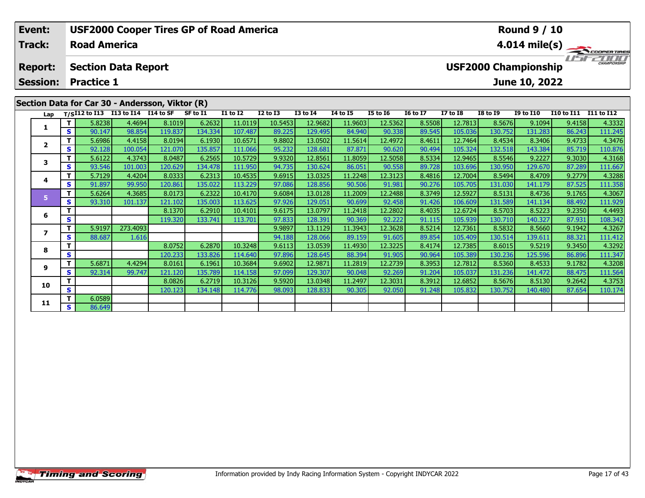| Event:<br><b>Track:</b>           |                                    | <b>Road America</b>                    |                                                  | <b>USF2000 Cooper Tires GP of Road America</b>  |          |                 |                                           |                 |                 |                 |                 |                 |                                            | <b>Round 9 / 10</b>         |                                                  | $4.014 \text{ mile(s)}$ |
|-----------------------------------|------------------------------------|----------------------------------------|--------------------------------------------------|-------------------------------------------------|----------|-----------------|-------------------------------------------|-----------------|-----------------|-----------------|-----------------|-----------------|--------------------------------------------|-----------------------------|--------------------------------------------------|-------------------------|
| <b>Report:</b><br><b>Session:</b> |                                    | <b>Section Data Report</b>             |                                                  |                                                 |          |                 |                                           |                 |                 |                 |                 |                 |                                            | <b>USF2000 Championship</b> |                                                  |                         |
|                                   | <b>Practice 1</b><br>June 10, 2022 |                                        |                                                  |                                                 |          |                 |                                           |                 |                 |                 |                 |                 |                                            |                             |                                                  |                         |
|                                   |                                    |                                        |                                                  | Section Data for Car 30 - Andersson, Viktor (R) |          |                 |                                           |                 |                 |                 |                 |                 |                                            |                             |                                                  |                         |
|                                   |                                    | Lap T/SI12 to I13 I13 to I14 I14 to SF |                                                  |                                                 | SF to I1 | <b>I1 to I2</b> | <b>I2 to I3</b>                           | <b>I3 to I4</b> | <b>I4 to I5</b> | <b>I5 to 16</b> | <b>16 to 17</b> | <b>I7 to I8</b> | <b>I8 to I9</b>                            | <b>I9 to I10</b>            | <b>I10 to I11</b>                                | I11 to I12              |
|                                   |                                    | 5.8238                                 | 4.4694                                           | 8.1019                                          | 6.2632   | 11.0119         | 10.5453                                   | 12.9682         | 11.9603         | 12.5362         | 8.5508          | 12.7813         | 8.5676                                     | 9.1094                      | 9.4158                                           | 4.3332                  |
|                                   | S.                                 | 90.147                                 | 98.854                                           | 119.837                                         | 134.334  | 107.487         | 89.225                                    | 129.495         | 84.940          | 90.338          | 89.545          | 105.036         | 130.752                                    | 131.283                     | 86.243                                           | 111.245                 |
|                                   |                                    | 5.6986                                 | 4.4158                                           | 8.0194                                          | 6.1930   | 10.6571         | 9.8802                                    | 13.0502         | 11.5614         | 12.4972         | 8.4611          | 12.7464         | 8.4534                                     | 8.3406                      | 9.4733                                           | 4.3476                  |
|                                   | S.                                 | 92.128                                 | 100.054                                          | 121.070                                         | 135.857  | 111.066         | 95.232                                    | 128.681         | 87.871          | 90.620          | 90.494          | 105.324         | 132.518                                    | 143.384                     | 85.719                                           | 110.876                 |
|                                   |                                    | 5.6122                                 | 4.3743                                           | 8.0487                                          | 6.2565   | 10.5729         | 9.9320                                    | 12.8561         | 11.8059         | 12.5058         | 8.5334          | 12.9465         | 8.5546                                     | 9.2227                      | 9.3030                                           | 4.3168                  |
|                                   | S                                  | 93.546                                 | 101.003                                          | 120.629                                         | 134.478  | 111.950         | 94.735                                    | 130.624         | 86.051          | 90.558          | 89.728          | 103.696         | 130.950                                    | 129.670                     | 87.289                                           | 111.667                 |
|                                   |                                    | - - - - - 1                            | $\sim$ $\sim$ $\sim$ $\sim$ $\sim$ $\sim$ $\sim$ | a annal                                         | المدمم   |                 | $\sim$ $\sim$ $\sim$ $\sim$ $\sim$ $\sim$ |                 | المدمم ددا      |                 | المدمدة         |                 | $\sim$ $ \sim$ $\sim$ $\sim$ $\sim$ $\sim$ | $\sim$ $-$                  | $\sim$ $\sim$ $\sim$ $\sim$ $\sim$ $\sim$ $\sim$ | $\overline{a}$          |

|    |    | 5.8238 | 4.4694   | 8.1019  | 6.2632  | 11.0119 | 10.54531 | 12.9682 | 11.9603 | 12.53621 | 8.5508 | 12.7813 | 8.5676  | 9.1094  | 9.4158 | 4.3332  |
|----|----|--------|----------|---------|---------|---------|----------|---------|---------|----------|--------|---------|---------|---------|--------|---------|
|    | S  | 90.147 | 98.854   | 119.837 | 134.334 | 107.487 | 89.225   | 129.495 | 84.940  | 90.338   | 89.545 | 105.036 | 130.752 | 131.283 | 86.243 | 111.245 |
|    |    | 5.6986 | 4.4158   | 8.0194  | 6.1930  | 10.6571 | 9.8802   | 13.0502 | 11.5614 | 12.4972  | 8.4611 | 12.7464 | 8.4534  | 8.3406  | 9.4733 | 4.3476  |
|    | S  | 92.128 | 100.054  | 121.070 | 135.857 | 111.066 | 95.232   | 128.681 | 87.871  | 90.620   | 90.494 | 105.324 | 132.518 | 143.384 | 85.719 | 110.876 |
| 3  |    | 5.6122 | 4.3743   | 8.0487  | 6.2565  | 10.5729 | 9.9320   | 12.8561 | 11.8059 | 12.5058  | 8.5334 | 12.9465 | 8.5546  | 9.2227  | 9.3030 | 4.3168  |
|    | s  | 93.546 | 101.003  | 120.629 | 134.478 | 111.950 | 94.735   | 130.624 | 86.051  | 90.558   | 89.728 | 103.696 | 130.950 | 129.670 | 87.289 | 111.667 |
| 4  |    | 5.7129 | 4.4204   | 8.0333  | 6.2313  | 10.4535 | 9.6915   | 13.0325 | 11.2248 | 12.3123  | 8.4816 | 12.7004 | 8.5494  | 8.4709  | 9.2779 | 4.3288  |
|    | S  | 91.897 | 99.950   | 120.861 | 135.022 | 113.229 | 97.086   | 128.856 | 90.506  | 91.981   | 90.276 | 105.705 | 131.030 | 141.179 | 87.525 | 111.358 |
|    |    | 5.6264 | 4.3685   | 8.0173  | 6.2322  | 10.4170 | 9.6084   | 13.0128 | 11.2009 | 12.2488  | 8.3749 | 12.5927 | 8.5131  | 8.4736  | 9.1765 | 4.3067  |
|    | s  | 93.310 | 101.137  | 121.102 | 135.003 | 113.625 | 97.926   | 129.051 | 90.699  | 92.458   | 91.426 | 106.609 | 131.589 | 141.134 | 88.492 | 111.929 |
| 6  |    |        |          | 8.1370  | 6.2910  | 10.4101 | 9.6175   | 13.0797 | 11.2418 | 12.2802  | 8.4035 | 12.6724 | 8.5703  | 8.5223  | 9.2350 | 4.4493  |
|    | S  |        |          | 119.320 | 133.741 | 113.701 | 97.833   | 128.391 | 90.369  | 92.222   | 91.115 | 105.939 | 130.710 | 140.327 | 87.931 | 108.342 |
|    |    | 5.9197 | 273.4093 |         |         |         | 9.9897   | 13.1129 | 11.3943 | 12.3628  | 8.5214 | 12.7361 | 8.5832  | 8.5660  | 9.1942 | 4.3267  |
|    | S  | 88.687 | 1.616    |         |         |         | 94.188   | 128.066 | 89.159  | 91.605   | 89.854 | 105.409 | 130.514 | 139.611 | 88.321 | 111.412 |
| 8  |    |        |          | 8.0752  | 6.2870  | 10.3248 | 9.6113   | 13.0539 | 11.4930 | 12.3225  | 8.4174 | 12.7385 | 8.6015  | 9.5219  | 9.3450 | 4.3292  |
|    | s  |        |          | 120.233 | 133.826 | 114.640 | 97.896   | 128.645 | 88.394  | 91.905   | 90.964 | 105.389 | 130.236 | 125.596 | 86.896 | 111.347 |
| 9  |    | 5.6871 | 4.4294   | 8.0161  | 6.1961  | 10.3684 | 9.6902   | 12.9871 | 11.2819 | 12.2739  | 8.3953 | 12.7812 | 8.5360  | 8.4533  | 9.1782 | 4.3208  |
|    | S. | 92.314 | 99.747   | 121.120 | 135.789 | 114.158 | 97.099   | 129.307 | 90.048  | 92.269   | 91.204 | 105.037 | 131.236 | 141.472 | 88.475 | 111.564 |
| 10 |    |        |          | 8.0826  | 6.2719  | 10.3126 | 9.5920   | 13.0348 | 11.2497 | 12.3031  | 8.3912 | 12.6852 | 8.5676  | 8.5130  | 9.2642 | 4.3753  |
|    | s  |        |          | 120.123 | 134.148 | 114.776 | 98.093   | 128.833 | 90.305  | 92.050   | 91.248 | 105.832 | 130.752 | 140.480 | 87.654 | 110.174 |
| 11 |    | 6.0589 |          |         |         |         |          |         |         |          |        |         |         |         |        |         |
|    | S. | 86.649 |          |         |         |         |          |         |         |          |        |         |         |         |        |         |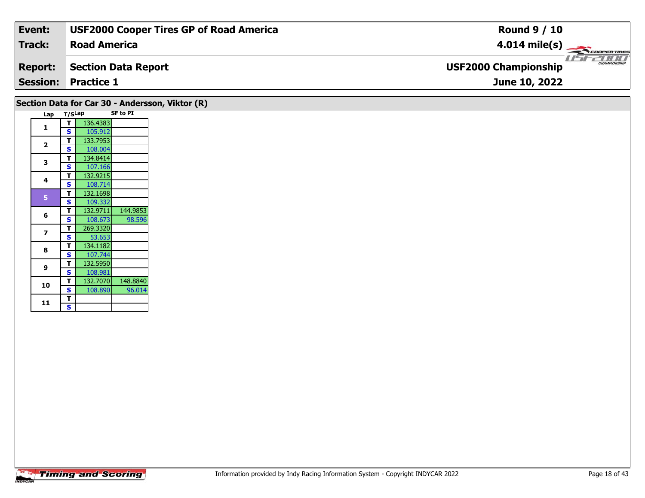| Event:         | <b>USF2000 Cooper Tires GP of Road America</b> | <b>Round 9 / 10</b>                                |
|----------------|------------------------------------------------|----------------------------------------------------|
| Track:         | <b>Road America</b>                            | $4.014 \text{ mile(s)}$                            |
| <b>Report:</b> | Section Data Report                            | <b>CHAMPIONSHIP</b><br><b>USF2000 Championship</b> |
|                | <b>Session: Practice 1</b>                     | June 10, 2022                                      |
|                |                                                |                                                    |

|                |        |          |                 | Section Data for Car 30 - Andersson, Viktor (R) |
|----------------|--------|----------|-----------------|-------------------------------------------------|
| Lap            | T/SLap |          | <b>SF to PI</b> |                                                 |
| 1              | т      | 136.4383 |                 |                                                 |
|                | S      | 105.912  |                 |                                                 |
| $\overline{2}$ | т      | 133.7953 |                 |                                                 |
|                | S      | 108.004  |                 |                                                 |
| 3              | т      | 134.8414 |                 |                                                 |
|                | S      | 107.166  |                 |                                                 |
| 4              | т      | 132.9215 |                 |                                                 |
|                | S      | 108.714  |                 |                                                 |
| 5              | т      | 132.1698 |                 |                                                 |
|                | S      | 109.332  |                 |                                                 |
| 6              | т      | 132.9711 | 144.9853        |                                                 |
|                | S      | 108.673  | 98.596          |                                                 |
| 7              | т      | 269.3320 |                 |                                                 |
|                | S      | 53.653   |                 |                                                 |
| 8              | т      | 134.1182 |                 |                                                 |
|                | S      | 107.744  |                 |                                                 |
| 9              | т      | 132.5950 |                 |                                                 |
|                | S      | 108.981  |                 |                                                 |
| 10             | т      | 132.7070 | 148.8840        |                                                 |
|                | S      | 108.890  | 96.014          |                                                 |
| 11             | т      |          |                 |                                                 |
|                | S      |          |                 |                                                 |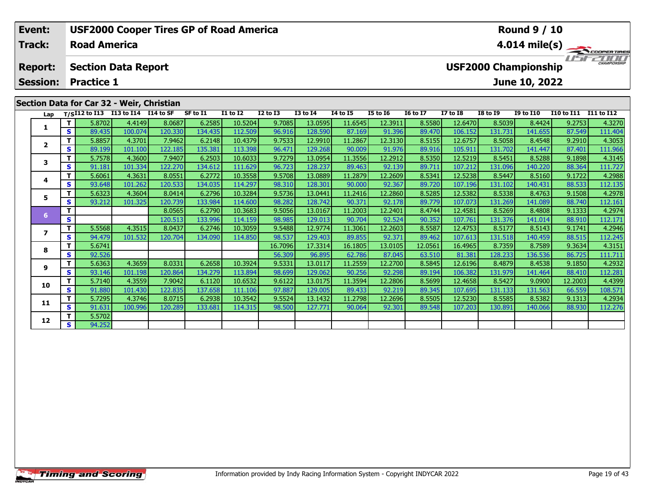|                                                                      | Event:                            |              |                     |                                    | <b>USF2000 Cooper Tires GP of Road America</b> |          |                 |              |                 |                 |                 |                 |                                              |                 | <b>Round 9 / 10</b> |                       |                         |
|----------------------------------------------------------------------|-----------------------------------|--------------|---------------------|------------------------------------|------------------------------------------------|----------|-----------------|--------------|-----------------|-----------------|-----------------|-----------------|----------------------------------------------|-----------------|---------------------|-----------------------|-------------------------|
|                                                                      | Track:                            |              | <b>Road America</b> |                                    |                                                |          |                 |              |                 |                 |                 |                 |                                              |                 |                     |                       | $4.014 \text{ mile(s)}$ |
|                                                                      | <b>Report:</b><br><b>Session:</b> |              | <b>Practice 1</b>   | <b>Section Data Report</b>         |                                                |          |                 |              |                 |                 |                 |                 | <b>USF2000 Championship</b><br>June 10, 2022 |                 | USFZOOO             |                       |                         |
|                                                                      |                                   |              |                     |                                    | Section Data for Car 32 - Weir, Christian      |          |                 |              |                 |                 |                 |                 |                                              |                 |                     |                       |                         |
|                                                                      | Lap                               |              |                     | T/SI12 to I13 I13 to I14 I14 to SF |                                                | SF to I1 | <b>I1 to I2</b> | $I2$ to $I3$ | <b>I3 to I4</b> | <b>I4 to I5</b> | <b>I5 to 16</b> | <b>16 to 17</b> | <b>I7 to I8</b>                              | <b>I8 to I9</b> | <b>I9 to I10</b>    | I10 to I11 I11 to I12 |                         |
|                                                                      |                                   |              | 5.8702              | 4.4149                             | 8.0687                                         | 6.2585   | 10.5204         | 9.7085       | 13.0595         | 11.6545         | 12.3911         | 8.5580          | 12.6470                                      | 8.5039          | 8.4424              | 9.2753                | 4.3270                  |
|                                                                      |                                   | $\mathbf{s}$ | 89.435              | 100.074                            | 120.330                                        | 134.435  | 112.509         | 96.916       | 128.590         | 87.169          | 91.396          | 89.470          | 106.152                                      | 131.731         | 141.655             | 87.549                | 111.404                 |
| 7.9462<br>6.2148<br>10.4379<br>9.7533<br>12.9910<br>5.8857<br>4.3701 |                                   |              |                     |                                    |                                                |          |                 |              | 11.2867         | 12.3130         | 8.5155          | 12.6757         | 8.5058                                       | 8.4548          | 9.2910              | 4.3053                |                         |
|                                                                      |                                   | S I          | 89.199              | 101.100                            | 122.185                                        | 135.381  | 113.398         | 96.471       | 129.268         | 90.009          | 91.976          | 89.916          | 105.911                                      | 131.702         | 141.447             | 87.401                | 111.966                 |
|                                                                      |                                   |              |                     |                                    |                                                |          |                 |              |                 |                 |                 |                 |                                              |                 |                     |                       |                         |

| Lap          |     |        | T/SI12 to I13 I13 to I14 I14 to SF |         | SF to I1 | <b>I1 to I2</b> | <b>I2 to I3</b> | <b>I3 to I4</b> | <b>I4 to I5</b> | <b>I5 to 16</b> | <b>16 to 17</b> | <b>I7 to I8</b> | <b>I8 to 19</b> | <b>I9 to I10</b> | I10 to I11 I11 to I12 |         |
|--------------|-----|--------|------------------------------------|---------|----------|-----------------|-----------------|-----------------|-----------------|-----------------|-----------------|-----------------|-----------------|------------------|-----------------------|---------|
| 1            | T.  | 5.8702 | 4.4149                             | 8.0687  | 6.2585   | 10.5204         | 9.7085          | 13.0595         | 11.6545         | 12.3911         | 8.5580          | 12.6470         | 8.5039          | 8.4424           | 9.2753                | 4.3270  |
|              | S   | 89.435 | 100.074                            | 120.330 | 134.435  | 112.509         | 96.916          | 128.590         | 87.169          | 91.396          | 89.470          | 106.152         | 131.731         | 141.655          | 87.549                | 111.404 |
| $\mathbf{2}$ | т   | 5.8857 | 4.3701                             | 7.9462  | 6.2148   | 10.4379         | 9.7533          | 12.9910         | 11.2867         | 12.3130         | 8.5155          | 12.6757         | 8.5058          | 8.4548           | 9.2910                | 4.3053  |
|              | S   | 89.199 | 101.100                            | 122.185 | 135.381  | 113.398         | 96.471          | 129.268         | 90.009          | 91.976          | 89.916          | 105.911         | 131.702         | 141.447          | 87.401                | 111.966 |
| 3            | т   | 5.7578 | 4.3600                             | 7.9407  | 6.2503   | 10.6033         | 9.7279          | 13.0954         | 11.3556         | 12.2912         | 8.5350          | 12.5219         | 8.5451          | 8.5288           | 9.1898                | 4.3145  |
|              | S   | 91.181 | 101.334                            | 122.270 | 134.612  | 111.629         | 96.723          | 128.237         | 89.463          | 92.139          | 89.711          | 107.212         | 131.096         | 140.220          | 88.364                | 111.727 |
| 4            | т   | 5.6061 | 4.3631                             | 8.0551  | 6.2772   | 10.3558         | 9.5708          | 13.0889         | 11.2879         | 12.2609         | 8.5341          | 12.5238         | 8.5447          | 8.5160           | 9.1722                | 4.2988  |
|              | S   | 93.648 | 101.262                            | 120.533 | 134.035  | 114.297         | 98.310          | 128.301         | 90.000          | 92.367          | 89.720          | 107.196         | 131.102         | 140.431          | 88.533                | 112.135 |
| 5            | т   | 5.6323 | 4.3604                             | 8.0414  | 6.2796   | 10.3284         | 9.5736          | 13.0441         | 11.2416         | 12.2860         | 8.5285          | 12.5382         | 8.5338          | 8.4763           | 9.1508                | 4.2978  |
|              | S   | 93.212 | 101.325                            | 120.739 | 133.984  | 114.600         | 98.282          | 128.742         | 90.371          | 92.178          | 89.779          | 107.073         | 131.269         | 141.089          | 88.740                | 112.161 |
| 6            |     |        |                                    | 8.0565  | 6.2790   | 10.3683         | 9.5056          | 13.0167         | 11.2003         | 12.2401         | 8.4744          | 12.4581         | 8.5269          | 8.4808           | 9.1333                | 4.2974  |
|              | S   |        |                                    | 120.513 | 133.996  | 114.159         | 98.985          | 129.013         | 90.704          | 92.524          | 90.352          | 107.761         | 131.376         | 141.014          | 88.910                | 112.171 |
| 7            | т   | 5.5568 | 4.3515                             | 8.0437  | 6.2746   | 10.3059         | 9.5488          | 12.9774         | 11.3061         | 12.2603         | 8.5587          | 12.4753         | 8.5177          | 8.5143           | 9.1741                | 4.2946  |
|              | S   | 94.479 | 101.532                            | 120.704 | 134.090  | 114.850         | 98.537          | 129.403         | 89.855          | 92.371          | 89.462          | 107.613         | 131.518         | 140.459          | 88.515                | 112.245 |
| 8            | т   | 5.6741 |                                    |         |          |                 | 16.7096         | 17.3314         | 16.1805         | 13.0105         | 12.0561         | 16.4965         | 8.7359          | 8.7589           | 9.3634                | 4.3151  |
|              | S   | 92.526 |                                    |         |          |                 | 56.309          | 96.895          | 62.786          | 87.045          | 63.510          | 81.381          | 128.233         | 136.536          | 86.725                | 111.711 |
| 9            | т   | 5.6363 | 4.3659                             | 8.0331  | 6.2658   | 10.3924         | 9.5331          | 13.0117         | 11.2559         | 12.2700         | 8.5845          | 12.6196         | 8.4879          | 8.4538           | 9.1850                | 4.2932  |
|              | S   | 93.146 | 101.198                            | 120.864 | 134.279  | 113.894         | 98.699          | 129.062         | 90.256          | 92.298          | 89.194          | 106.382         | 131.979         | 141.464          | 88.410                | 112.281 |
| 10           | т   | 5.7140 | 4.3559                             | 7.9042  | 6.1120   | 10.6532         | 9.6122          | 13.0175         | 11.3594         | 12.2806         | 8.5699          | 12.4658         | 8.5427          | 9.0900           | 12.2003               | 4.4399  |
|              | S.  | 91.880 | 101.430                            | 122.835 | 137.658  | 111.106         | 97.887          | 129.005         | 89.433          | 92.219          | 89.345          | 107.695         | 131.133         | 131.563          | 66.559                | 108.571 |
| 11           |     | 5.7295 | 4.3746                             | 8.0715  | 6.2938   | 10.3542         | 9.5524          | 13.1432         | 11.2798         | 12.2696         | 8.5505          | 12.5230         | 8.5585          | 8.5382           | 9.1313                | 4.2934  |
|              | S.  | 91.631 | 100.996                            | 120.289 | 133.681  | 114.315         | 98.500          | 127.771         | 90.064          | 92.301          | 89.548          | 107.203         | 130.891         | 140.066          | 88.930                | 112.276 |
| 12           |     | 5.5702 |                                    |         |          |                 |                 |                 |                 |                 |                 |                 |                 |                  |                       |         |
|              | s l | 94.252 |                                    |         |          |                 |                 |                 |                 |                 |                 |                 |                 |                  |                       |         |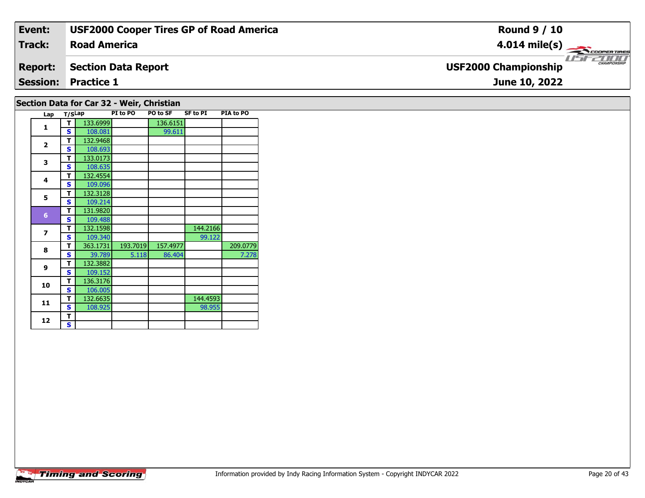| Event:         | <b>USF2000 Cooper Tires GP of Road America</b> | <b>Round 9 / 10</b>                                |
|----------------|------------------------------------------------|----------------------------------------------------|
| Track:         | <b>Road America</b>                            | $4.014 \text{ mile(s)}$                            |
| <b>Report:</b> | <b>Section Data Report</b>                     | <b>CHAMPIONSHIP</b><br><b>USF2000 Championship</b> |
|                | <b>Session: Practice 1</b>                     | June 10, 2022                                      |
|                | Section Data for Car 32 - Weir, Christian      |                                                    |

#### **Lap T/SLap PI to PO PO to SF SF to PI PIA to PO 1T** 133.6999 136.6151<br> **S** 108.081 99.611 **2a**  $\begin{array}{|c|c|c|}\n\hline\n\textbf{S} & 108.693 \\
\hline\n\end{array}$ **3CONTEX 133.0173**<br>**S** 108.635 **4 <sup>T</sup>** 132.4554 **<sup>S</sup>** 109.096109.096 **5 <sup>T</sup>** 132.3128 **<sup>S</sup>** 109.214 **<sup>T</sup>** 131.9820 **<sup>S</sup>** 109.488132.1598 **7T** 132.1598 144.2166<br>**S** 109.340 99.122 99.122 **8 <sup>T</sup>** 363.1731 193.7019 157.4977 209.0779 **<sup>S</sup>** 39.789 5.118 86.404 7.2787.278 **9 <sup>T</sup>** 132.3882 **<sup>S</sup>** 109.152109.152 **10 <sup>T</sup>** 136.3176 **<sup>S</sup>** 106.005**11T** 132.6635 108.925 144.4593<br> **S** 108.925 98.955 98.955 12  $\frac{1}{s}$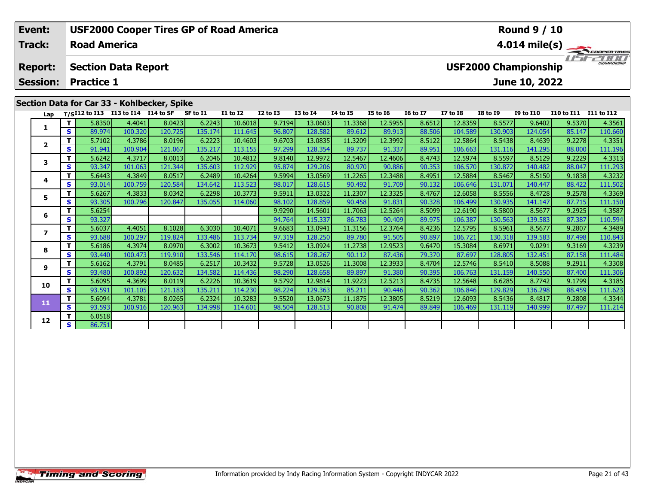| Event:          |     |                     | <b>USF2000 Cooper Tires GP of Road America</b> |         |           |                 |                 |                 |          |                 |                 |                        |                             | <b>Round 9 / 10</b> |                   |                                                             |
|-----------------|-----|---------------------|------------------------------------------------|---------|-----------|-----------------|-----------------|-----------------|----------|-----------------|-----------------|------------------------|-----------------------------|---------------------|-------------------|-------------------------------------------------------------|
| <b>Track:</b>   |     | <b>Road America</b> |                                                |         |           |                 |                 |                 |          |                 |                 |                        |                             |                     |                   | $4.014 \text{ mile(s)} \longrightarrow 4.014 \text{ miles}$ |
| <b>Report:</b>  |     |                     | <b>Section Data Report</b>                     |         |           |                 |                 |                 |          |                 |                 |                        | <b>USF2000 Championship</b> |                     |                   | 2000<br><b>CHAMPIONSHIP</b>                                 |
| <b>Session:</b> |     | <b>Practice 1</b>   |                                                |         |           |                 |                 |                 |          |                 |                 |                        |                             | June 10, 2022       |                   |                                                             |
|                 |     |                     |                                                |         |           |                 |                 |                 |          |                 |                 |                        |                             |                     |                   |                                                             |
|                 |     |                     | Section Data for Car 33 - Kohlbecker, Spike    |         |           |                 |                 |                 |          |                 |                 |                        |                             |                     |                   |                                                             |
| Lap             |     | T/SI12 to I13       | I13 to I14 I14 to SF                           |         | SF to I1  | <b>I1 to I2</b> | <b>I2 to I3</b> | <b>I3 to I4</b> | 14 to 15 | <b>I5 to 16</b> | <b>16 to 17</b> | I7 to I8               | <b>I8 to I9</b>             | <b>I9 to I10</b>    | <b>I10 to I11</b> | I11 to I12                                                  |
|                 |     | 5.8350              | 4.4041                                         | 8.0423  | 6.2243    | 10.6018         | 9.7194          | 13.0603         | 11.3368  | 12.5955         | 8.6512          | 12.8359                | 8.5577                      | 9.6402              | 9.5370            | 4.3561                                                      |
|                 | s l | 89.974              | 100.320                                        | 120.725 | 135.174   | 111.645         | 96.807          | 128.582         | 89.612   | 89.913          | 88.506          | 104.589                | 130.903                     | 124.054             | 85.147            | 110.660                                                     |
|                 |     | 5.7102              | 4.3786                                         | 8.0196  | 6.2223    | 10.4603         | 9.6703          | 13.0835         | 11.3209  | 12.3992         | 8.5122          | 12.5864                | 8.5438                      | 8.4639              | 9.2278            | 4.3351                                                      |
| $\overline{2}$  | s l | 91.941              | 100.904                                        | 121.067 | 135.217   | 113.155         | 97.299          | 128.354         | 89.737   | 91.337          | 89.951          | 106.663                | 131.116                     | 141.295             | 88.000            | 111.196                                                     |
|                 |     | 5.6242              | 4.3717                                         | 8.0013  | 6.2046    | 10.4812         | 9.8140          | 12.9972         | 12.5467  | 12.4606         | 8.4743          | 12.5974                | 8.5597                      | 8.5129              | 9.2229            | 4.3313                                                      |
|                 | C.  | 93.347              | 101051                                         | 121.344 | 135 603 L | 112999          | 95.874          | 129.206         | RO 970L  | <b>ARR OP</b>   | 90.353          | 106.570 $\blacksquare$ | 130 872 L                   | 140.482             | 88.047            | 111.293                                                     |

| Lap          |    | $T/SI12$ to $I13$ | I13 to I14 I14 to SF |         | SF to I1 | <b>I1 to I2</b> | <b>I2 to I3</b> | <b>I3 to I4</b> | 14 to 15 | <b>I5 to 16</b> | <b>16 to 17</b> | <b>I7 to I8</b> | <b>I8 to I9</b> | <b>I9 to I10</b> | <b>I10 to I11</b> | <b>I11 to I12</b> |
|--------------|----|-------------------|----------------------|---------|----------|-----------------|-----------------|-----------------|----------|-----------------|-----------------|-----------------|-----------------|------------------|-------------------|-------------------|
|              |    | 5.8350            | 4.4041               | 8.0423  | 6.2243   | 10.6018         | 9.7194          | 13.0603         | 11.3368  | 12.5955         | 8.6512          | 12.8359         | 8.5577          | 9.6402           | 9.5370            | 4.3561            |
|              | S. | 89.974            | 100.320              | 120.725 | 135.174  | 111.645         | 96.807          | 128.582         | 89.612   | 89.913          | 88.506          | 104.589         | 130.903         | 124.054          | 85.147            | 110.660           |
| $\mathbf{2}$ |    | 5.7102            | 4.3786               | 8.0196  | 6.2223   | 10.4603         | 9.6703          | 13.0835         | 11.3209  | 12.3992         | 8.5122          | 12.5864         | 8.5438          | 8.4639           | 9.2278            | 4.3351            |
|              | S. | 91.941            | 100.904              | 121.067 | 135.217  | 113.155         | 97.299          | 128.354         | 89.737   | 91.337          | 89.951          | 106.663         | 131.116         | 141.295          | 88.000            | 111.196           |
| 3            |    | 5.6242            | 4.3717               | 8.0013  | 6.2046   | 10.4812         | 9.8140          | 12.9972         | 12.5467  | 12.4606         | 8.4743          | 12.5974         | 8.5597          | 8.5129           | 9.2229            | 4.3313            |
|              | S  | 93.347            | 101.063              | 121.344 | 135.603  | 112.929         | 95.874          | 129.206         | 80.970   | 90.886          | 90.353          | 106.570         | 130.872         | 140.482          | 88.047            | 111.293           |
|              | т  | 5.6443            | 4.3849               | 8.0517  | 6.2489   | 10.4264         | 9.5994          | 13.0569         | 11.2265  | 12.3488         | 8.4951          | 12.5884         | 8.5467          | 8.5150           | 9.1838            | 4.3232            |
|              | S. | 93.014            | 100.759              | 120.584 | 134.642  | 113.523         | 98.017          | 128.615         | 90.492   | 91.709          | 90.132          | 106.646         | 131.071         | 140.447          | 88.422            | 111.502           |
| 5.           |    | 5.6267            | 4.3833               | 8.0342  | 6.2298   | 10.3773         | 9.5911          | 13.0322         | 11.2307  | 12.3325         | 8.4767          | 12.6058         | 8.5556          | 8.4728           | 9.2578            | 4.3369            |
|              | S  | 93.305            | 100.796              | 120.847 | 135.055  | 114.060         | 98.102          | 128.859         | 90.458   | 91.831          | 90.328          | 106.499         | 130.935         | 141.147          | 87.715            | 111.150           |
|              |    | 5.6254            |                      |         |          |                 | 9.9290          | 14.5601         | 11.7063  | 12.5264         | 8.5099          | 12.6190         | 8.5800          | 8.5677           | 9.2925            | 4.3587            |
|              | S  | 93.327            |                      |         |          |                 | 94.764          | 115.337         | 86.783   | 90.409          | 89.975          | 106.387         | 130.563         | 139.583          | 87.387            | 110.594           |
|              |    | 5.6037            | 4.4051               | 8.1028  | 6.3030   | 10.4071         | 9.6683          | 13.0941         | 11.3156  | 12.3764         | 8.4236          | 12.5795         | 8.5961          | 8.5677           | 9.2807            | 4.3489            |
|              | S  | 93.688            | 100.297              | 119.824 | 133.486  | 113.734         | 97.319          | 128.250         | 89.780   | 91.505          | 90.897          | 106.721         | 130.318         | 139.583          | 87.498            | 110.843           |
| 8            |    | 5.6186            | 4.3974               | 8.0970  | 6.3002   | 10.3673         | 9.5412          | 13.0924         | 11.2738  | 12.9523         | 9.6470          | 15.3084         | 8.6971          | 9.0291           | 9.3169            | 4.3239            |
|              | S  | 93.440            | 100.473              | 119.910 | 133.546  | 114.170         | 98.615          | 128.267         | 90.112   | 87.436          | 79.370          | 87.697          | 128.805         | 132.451          | 87.158            | 111.484           |
| 9            |    | 5.6162            | 4.3791               | 8.0485  | 6.2517   | 10.3432         | 9.5728          | 13.0526         | 11.3008  | 12.3933         | 8.4704          | 12.5746         | 8.5410          | 8.5088           | 9.2911            | 4.3308            |
|              | S  | 93.480            | 100.892              | 120.632 | 134.582  | 114.436         | 98.290          | 128.658         | 89.897   | 91.380          | 90.395          | 106.763         | 131.159         | 140.550          | 87.400            | 111.306           |
| 10           |    | 5.6095            | 4.3699               | 8.0119  | 6.2226   | 10.3619         | 9.5792          | 12.9814         | 11.9223  | 12.5213         | 8.4735          | 12.5648         | 8.6285          | 8.7742           | 9.1799            | 4.3185            |
|              | S. | 93.591            | 101.105              | 121.183 | 135.211  | 114.230         | 98.224          | 129.363         | 85.211   | 90.446          | 90.362          | 106.846         | 129.829         | 136.298          | 88.459            | 111.623           |
| 11           |    | 5.6094            | 4.3781               | 8.0265  | 6.2324   | 10.3283         | 9.5520          | 13.0673         | 11.1875  | 12.3805         | 8.5219          | 12.6093         | 8.5436          | 8.4817           | 9.2808            | 4.3344            |
|              | S  | 93.593            | 100.916              | 120.963 | 134.998  | 114.601         | 98.504          | 128.513         | 90.808   | 91.474          | 89.849          | 106.469         | 131.119         | 140.999          | 87.497            | 111.214           |
| 12           |    | 6.0518            |                      |         |          |                 |                 |                 |          |                 |                 |                 |                 |                  |                   |                   |
|              | S. | 86.751            |                      |         |          |                 |                 |                 |          |                 |                 |                 |                 |                  |                   |                   |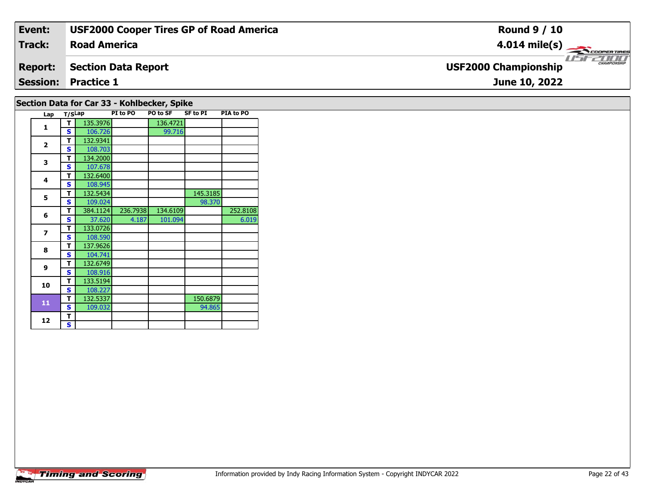| Event:         | <b>USF2000 Cooper Tires GP of Road America</b> | <b>Round 9 / 10</b>                              |
|----------------|------------------------------------------------|--------------------------------------------------|
| <b>Track:</b>  | <b>Road America</b>                            | $4.014 \text{ mile(s)}$                          |
| <b>Report:</b> | <b>Section Data Report</b>                     | <b>CHAMPIONSH</b><br><b>USF2000 Championship</b> |
|                | <b>Session: Practice 1</b>                     | June 10, 2022                                    |
|                | Section Data for Car 33 - Kohlbecker, Spike    |                                                  |

| Lap                     | T/SLap |          | PI to PO | PO to SF | <b>SF to PI</b> | PIA to PO |
|-------------------------|--------|----------|----------|----------|-----------------|-----------|
| 1                       | т      | 135.3976 |          | 136.4721 |                 |           |
|                         | S      | 106.726  |          | 99.716   |                 |           |
| $\overline{2}$          | т      | 132.9341 |          |          |                 |           |
|                         | S      | 108.703  |          |          |                 |           |
| 3                       | т      | 134.2000 |          |          |                 |           |
|                         | S      | 107.678  |          |          |                 |           |
| $\overline{\mathbf{4}}$ | т      | 132.6400 |          |          |                 |           |
|                         | S      | 108.945  |          |          |                 |           |
| 5                       | т      | 132.5434 |          |          | 145.3185        |           |
|                         | S      | 109.024  |          |          | 98.370          |           |
| 6                       | т      | 384.1124 | 236.7938 | 134.6109 |                 | 252.8108  |
|                         | S      | 37.620   | 4.187    | 101.094  |                 | 6.019     |
| $\overline{z}$          | т      | 133.0726 |          |          |                 |           |
|                         | S      | 108.590  |          |          |                 |           |
| 8                       | т      | 137.9626 |          |          |                 |           |
|                         | S      | 104.741  |          |          |                 |           |
| 9                       | т      | 132.6749 |          |          |                 |           |
|                         | S      | 108.916  |          |          |                 |           |
| 10                      | т      | 133.5194 |          |          |                 |           |
|                         | S      | 108.227  |          |          |                 |           |
| 11                      | т      | 132.5337 |          |          | 150.6879        |           |
|                         | S      | 109.032  |          |          | 94.865          |           |
| 12                      | т      |          |          |          |                 |           |
|                         | S      |          |          |          |                 |           |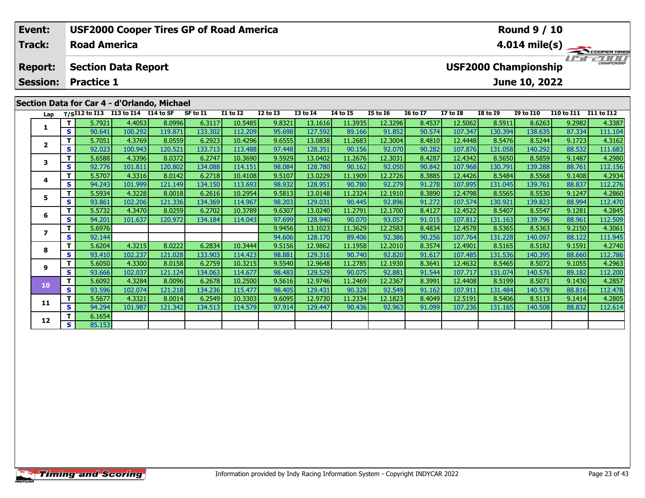| Event:<br><b>Track:</b> |     | <b>Road America</b>                                                  |         | <b>USF2000 Cooper Tires GP of Road America</b> |                 |              |              |                  |                  |                 |                 |                 |                             | <b>Round 9 / 10</b> |            | $4.014 \text{ mile(s)}$ |
|-------------------------|-----|----------------------------------------------------------------------|---------|------------------------------------------------|-----------------|--------------|--------------|------------------|------------------|-----------------|-----------------|-----------------|-----------------------------|---------------------|------------|-------------------------|
| <b>Report:</b>          |     | <b>Section Data Report</b>                                           |         |                                                |                 |              |              |                  |                  |                 |                 |                 | <b>USF2000 Championship</b> |                     |            | CHAMPIONSHIP            |
| <b>Session:</b>         |     | <b>Practice 1</b>                                                    |         |                                                |                 |              |              |                  |                  |                 |                 |                 |                             | June 10, 2022       |            |                         |
| Lap                     |     | $T/SI12$ to $I13$ $I13$ to $I14$ $\overline{I14}$ to $\overline{SF}$ |         | Section Data for Car 4 - d'Orlando, Michael    | SF to I1        | $I1$ to $I2$ | $I2$ to $I3$ | $I3$ to $I4$     | <b>I4 to I5</b>  | <b>I5 to 16</b> | <b>16 to 17</b> | <b>I7 to I8</b> | <b>I8 to I9</b>             | <b>I9 to I10</b>    | I10 to I11 | I11 to I12              |
|                         |     | 5.7921                                                               | 4.4053  | 8.0996                                         | 6.3117          | 10.5485      | 9.8321       | 13.1616          | 11.3935          | 12.3296         | 8.4537          | 12.5062         | 8.5911                      | 8.6263              | 9.2982     | 4.3387                  |
|                         | S I | 90.641                                                               | 100.292 | 119.871                                        | 133.302         | 112.209      | 95.698       | 127.592          | 89.166           | 91.852          | 90.574          | 107.347         | 130.394                     | 138.635             | 87.334     | 111.104                 |
| $\overline{\mathbf{z}}$ |     | 5.7051                                                               | 4.3769  | 8.0559                                         | 6.2923          | 10.4296      | 9.6555       | 13.0838          | 11.2683          | 12.3004         | 8.4810          | 12.4448         | 8.5476                      | 8.5244              | 9.1723     | 4.3162                  |
|                         | s l | 92.023                                                               | 100.943 | 120.521                                        | 133.713         | 113.488      | 97.448       | 128.351          | 90.156           | 92.070          | 90.282          | 107.876         | 131.058                     | 140.292             | 88.532     | 111.683                 |
| 3                       |     | 5.6588                                                               | 4.3396  | 8.0372                                         | 6.2747          | 10.3690      | 9.5929       | 13.0402          | 11.2676          | 12.3031         | 8.4287          | 12.4342         | 8.5650                      | 8.5859              | 9.1487     | 4.2980                  |
|                         | s l | 92.776                                                               | 101.811 | 120.802                                        | 134.088         | 114.151      | 98.084       | 128.780          | 90.162           | 92.050          | 90.842          | 107.968         | 130.791                     | 139.288             | 88.761     | 112.156                 |
|                         | тI  | 557071                                                               | 433161  | 80142                                          | 6.2718 <b>1</b> | 10.4108      | 95107        | 13.0229 <b>1</b> | 11 1909 <b>1</b> | 12,2726         | 8 3885          | 124476          | 8 5484                      | $R$ 5568            | 9 1408     | 4 2934                  |

| Lap            |    | 1/SIIZ tO II3 | $113 \text{ to } 114$ $114 \text{ to } 5$ |         | <b>SL 10 11</b> | <b>TT TO TY</b> | 17 IO 13 | 13 TO 14 | 14 TO 15 | <b>19 10 10</b> | <b>10 10 17</b> | <b>TA CO TO</b> | <b>19 IO 17</b> | <b>12 10 TTA</b> | <b>TTO LO TTT</b> | TTT LOTTS |
|----------------|----|---------------|-------------------------------------------|---------|-----------------|-----------------|----------|----------|----------|-----------------|-----------------|-----------------|-----------------|------------------|-------------------|-----------|
|                | Τ. | 5.7921        | 4.4053                                    | 8.0996  | 6.3117          | 10.5485         | 9.8321   | 13.1616  | 11.3935  | 12.3296         | 8.4537          | 12.5062         | 8.5911          | 8.6263           | 9.2982            | 4.3387    |
|                | S  | 90.641        | 100.292                                   | 119.871 | 133.302         | 112.209         | 95.698   | 127.592  | 89.166   | 91.852          | 90.574          | 107.347         | 130.394         | 138.635          | 87.334            | 111.104   |
| $\overline{2}$ | T. | 5.7051        | 4.3769                                    | 8.0559  | 6.2923          | 10.4296         | 9.6555   | 13.0838  | 11.2683  | 12.3004         | 8.4810          | 12.4448         | 8.5476          | 8.5244           | 9.1723            | 4.3162    |
|                | S  | 92.023        | 100.943                                   | 120.521 | 133.713         | 113.488         | 97.448   | 128.351  | 90.156   | 92.070          | 90.282          | 107.876         | 131.058         | 140.292          | 88.532            | 111.683   |
| 3              | T. | 5.6588        | 4.3396                                    | 8.0372  | 6.2747          | 10.3690         | 9.5929   | 13.0402  | 11.2676  | 12.3031         | 8.4287          | 12.4342         | 8.5650          | 8.5859           | 9.1487            | 4.2980    |
|                | S  | 92.776        | 101.811                                   | 120.802 | 134.088         | 114.151         | 98.084   | 128.780  | 90.162   | 92.050          | 90.842          | 107.968         | 130.791         | 139.288          | 88.761            | 112.156   |
| 4              | т  | 5.5707        | 4.3316                                    | 8.0142  | 6.2718          | 10.4108         | 9.5107   | 13.0229  | 11.1909  | 12.2726         | 8.3885          | 12.4426         | 8.5484          | 8.5568           | 9.1408            | 4.2934    |
|                | S  | 94.243        | 101.999                                   | 121.149 | 134.150         | 113.693         | 98.932   | 128.951  | 90.780   | 92.279          | 91.278          | 107.895         | 131.045         | 139.761          | 88.837            | 112.276   |
| 5              |    | 5.5934        | 4.3228                                    | 8.0018  | 6.2616          | 10.2954         | 9.5813   | 13.0148  | 11.2324  | 12.1910         | 8.3890          | 12.4798         | 8.5565          | 8.5530           | 9.1247            | 4.2860    |
|                | S  | 93.861        | 102.206                                   | 121.336 | 134.369         | 114.967         | 98.203   | 129.031  | 90.445   | 92.896          | 91.272          | 107.574         | 130.921         | 139.823          | 88.994            | 112.470   |
| 6              | т  | 5.5732        | 4.3470                                    | 8.0259  | 6.2702          | 10.3789         | 9.6307   | 13.0240  | 11.2791  | 12.1700         | 8.4127          | 12.4522         | 8.5407          | 8.5547           | 9.1281            | 4.2845    |
|                | S  | 94.201        | 101.637                                   | 120.972 | 134.184         | 114.043         | 97.699   | 128.940  | 90.070   | 93.057          | 91.015          | 107.812         | 131.163         | 139.796          | 88.961            | 112.509   |
| 7              | т  | 5.6976        |                                           |         |                 |                 | 9.9456   | 13.1023  | 11.3629  | 12.2583         | 8.4834          | 12.4578         | 8.5365          | 8.5363           | 9.2150            | 4.3061    |
|                | S. | 92.144        |                                           |         |                 |                 | 94.606   | 128.170  | 89.406   | 92.386          | 90.256          | 107.764         | 131.228         | 140.097          | 88.122            | 111.945   |
| 8              | т  | 5.6204        | 4.3215                                    | 8.0222  | 6.2834          | 10.3444         | 9.5156   | 12.9862  | 11.1958  | 12.2010         | 8.3574          | 12.4901         | 8.5165          | 8.5182           | 9.1591            | 4.2740    |
|                | S  | 93.410        | 102.237                                   | 121.028 | 133.903         | 114.423         | 98.881   | 129.316  | 90.740   | 92.820          | 91.617          | 107.485         | 131.536         | 140.395          | 88.660            | 112.786   |
| 9              | т  | 5.6050        | 4.3300                                    | 8.0158  | 6.2759          | 10.3215         | 9.5540   | 12.9648  | 11.2785  | 12.1930         | 8.3641          | 12.4632         | 8.5465          | 8.5072           | 9.1055            | 4.2963    |
|                | S  | 93.666        | 102.037                                   | 121.124 | 134.063         | 114.677         | 98.483   | 129.529  | 90.075   | 92.881          | 91.544          | 107.717         | 131.074         | 140.576          | 89.182            | 112.200   |
| 10             | T. | 5.6092        | 4.3284                                    | 8.0096  | 6.2678          | 10.2500         | 9.5616   | 12.9746  | 11.2469  | 12.2367         | 8.3991          | 12.4408         | 8.5199          | 8.5071           | 9.1430            | 4.2857    |
|                | S  | 93.596        | 102.074                                   | 121.218 | 134.236         | 115.477         | 98.405   | 129.431  | 90.328   | 92.549          | 91.162          | 107.911         | 131.484         | 140.578          | 88.816            | 112.478   |
| 11             | T. | 5.5677        | 4.3321                                    | 8.0014  | 6.2549          | 10.3303         | 9.6095   | 12.9730  | 11.2334  | 12.1823         | 8.4049          | 12.5191         | 8.5406          | 8.5113           | 9.1414            | 4.2805    |
|                | S. | 94.294        | 101.987                                   | 121.342 | 134.513         | 114.579         | 97.914   | 129.447  | 90.436   | 92.963          | 91.099          | 107.236         | 131.165         | 140.508          | 88.832            | 112.614   |
| 12             | T. | 6.1654        |                                           |         |                 |                 |          |          |          |                 |                 |                 |                 |                  |                   |           |
|                | S. | 85.153        |                                           |         |                 |                 |          |          |          |                 |                 |                 |                 |                  |                   |           |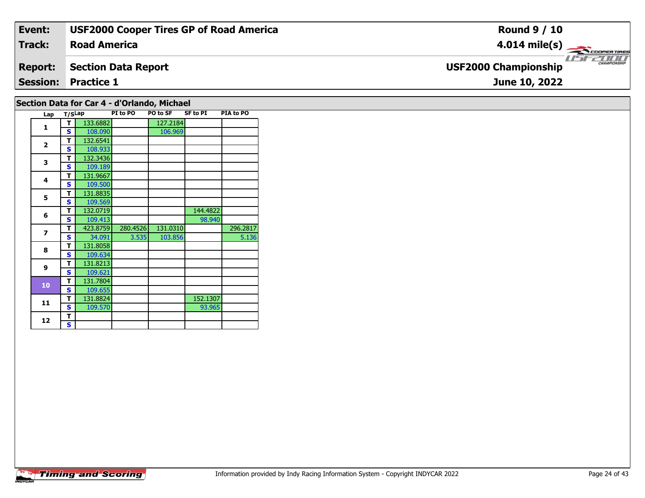| Event:         | <b>USF2000 Cooper Tires GP of Road America</b> | <b>Round 9 / 10</b>                         |
|----------------|------------------------------------------------|---------------------------------------------|
| Track:         | <b>Road America</b>                            | $4.014 \text{ mile(s)}$                     |
| <b>Report:</b> | Section Data Report                            | CHAMPIONSHIP<br><b>USF2000 Championship</b> |
|                | <b>Session: Practice 1</b>                     | June 10, 2022                               |
|                |                                                |                                             |

## **Section Data for Car 4 - d'Orlando, Michael**

| Lap            | T/SLap |          | PI to PO | PO to SF | <b>SF to PI</b> | PIA to PO |
|----------------|--------|----------|----------|----------|-----------------|-----------|
| 1              | т      | 133.6882 |          | 127.2184 |                 |           |
|                | S      | 108.090  |          | 106.969  |                 |           |
|                | т      | 132.6541 |          |          |                 |           |
| $\overline{2}$ | S      | 108.933  |          |          |                 |           |
| 3              | т      | 132.3436 |          |          |                 |           |
|                | S      | 109.189  |          |          |                 |           |
| 4              | T      | 131.9667 |          |          |                 |           |
|                | S      | 109.500  |          |          |                 |           |
| 5              | т      | 131.8835 |          |          |                 |           |
|                | S      | 109.569  |          |          |                 |           |
| 6              | т      | 132.0719 |          |          | 144.4822        |           |
|                | S      | 109.413  |          |          | 98.940          |           |
| $\overline{ }$ | T      | 423.8759 | 280.4526 | 131.0310 |                 | 296.2817  |
|                | S      | 34.091   | 3.535    | 103.856  |                 | 5.136     |
| 8              | т      | 131.8058 |          |          |                 |           |
|                | S      | 109.634  |          |          |                 |           |
| 9              | т      | 131.8213 |          |          |                 |           |
|                | S      | 109.621  |          |          |                 |           |
| 10             | т      | 131.7804 |          |          |                 |           |
|                | S      | 109.655  |          |          |                 |           |
| 11             | т      | 131.8824 |          |          | 152.1307        |           |
|                | S      | 109.570  |          |          | 93.965          |           |
| 12             | т      |          |          |          |                 |           |
|                | S      |          |          |          |                 |           |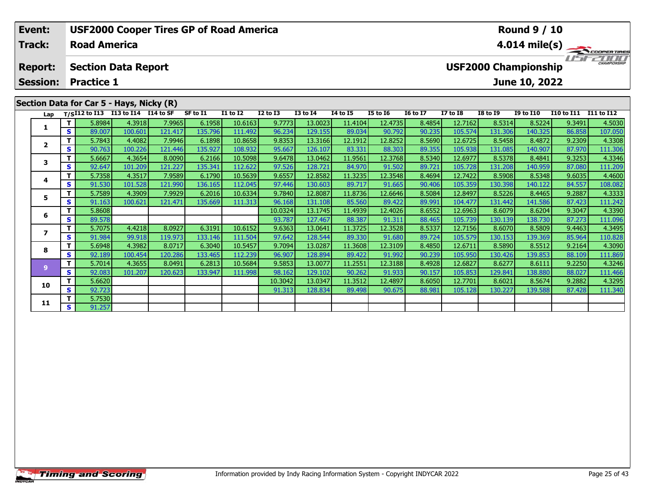| Event:<br>Track:                  |     | <b>Road America</b> | <b>USF2000 Cooper Tires GP of Road America</b>                                     |         |          |                 |                 |                 |                 |                 |                 |                 |                             | <b>Round 9 / 10</b> |                   | $4.014 \text{ mile(s)}$ |
|-----------------------------------|-----|---------------------|------------------------------------------------------------------------------------|---------|----------|-----------------|-----------------|-----------------|-----------------|-----------------|-----------------|-----------------|-----------------------------|---------------------|-------------------|-------------------------|
| <b>Report:</b><br><b>Session:</b> |     | <b>Practice 1</b>   | <b>Section Data Report</b>                                                         |         |          |                 |                 |                 |                 |                 |                 |                 | <b>USF2000 Championship</b> | June 10, 2022       |                   |                         |
|                                   |     |                     | Section Data for Car 5 - Hays, Nicky (R)<br>Lap T/SI12 to I13 I13 to I14 I14 to SF |         | SF to I1 | <b>I1 to I2</b> | <b>I2 to I3</b> | <b>I3 to I4</b> | <b>I4 to I5</b> | <b>I5 to 16</b> | <b>16 to 17</b> | <b>I7 to I8</b> | <b>I8 to I9</b>             | <b>I9 to I10</b>    | <b>I10 to I11</b> | I11 to I12              |
|                                   |     | 5.8984              | 4.3918                                                                             | 7.9965  | 6.1958   | 10.6163         | 9.7773          | 13.0023         | 11.4104         | 12.4735         | 8.4854          | 12.7162         | 8.5314                      | 8.5224              | 9.3491            | 4.5030                  |
|                                   | s l | 89.007              | 100.601                                                                            | 121.417 | 135.796  | 111.492         | 96.234          | 129.155         | 89.034          | 90.792          | 90.235          | 105.574         | 131.306                     | 140.325             | 86.858            | 107.050                 |
| 2                                 |     | 5.7843              | 4.4082                                                                             | 7.9946  | 6.1898   | 10.8658         | 9.8353          | 13.3166         | 12.1912         | 12.8252         | 8.5690          | 12.6725         | 8.5458                      | 8.4872              | 9.2309            | 4.3308                  |
|                                   | s l | 90.763              | 100.226                                                                            | 121.446 | 135.927  | 108.932         | 95.667          | 126.107         | 83.331          | 88.303          | 89.355          | 105.938         | 131.085                     | 140.907             | 87.970            | 111.306                 |
| 3                                 |     | 5.6667              | 4.3654                                                                             | 8.0090  | 6.2166   | 10.5098         | 9.6478          | 13.0462         | 11.9561         | 12.3768         | 8.5340          | 12.6977         | 8.5378                      | 8.4841              | 9.3253            | 4.3346                  |
|                                   | s l | 92.647              | 101.209                                                                            | 121.227 | 135.341  | 112.622         | 97.526          | 128.721         | 84.970          | 91.502          | 89.721          | 105.728         | 131.208                     | 140.959 <b>I</b>    | 87.080            | 111.209                 |
| 4                                 |     | 5.7358              | 4.3517                                                                             | 7.9589  | 6.1790   | 10.5639         | 9.6557          | 12.8582         | 11.3235         | 12.3548         | 8.4694          | 12.7422         | 8.5908                      | 8.5348              | 9.6035            | 4.4600                  |
|                                   | s l | 91.530              | 101.528                                                                            | 121.990 | 136.165  | 112.045         | 97.446          | 130.603         | 89.717          | 91.665          | 90.406          | 105.359         | 130.398                     | 140.122             | 84.557            | 108.082                 |
| 5                                 |     | 5.7589              | 4.3909                                                                             | 7.9929  | 6.2016   | 10.6334         | 9.7840          | 12.8087         | 11.8736         | 12.6646         | 8.5084          | 12.8497         | 8.5226                      | 8.4465              | 9.2887            | 4.3333                  |
|                                   | s l | 91.163              | 100.621                                                                            | 121.471 | 135.669  | 111.313         | 96.168          | 131.108         | 85.560          | 89.422          | 89.991          | 104.477         | 131.442                     | 141.586             | 87.423            | 111.242                 |

13.1745

127.467

13.0641

128.544

13.0287

128.894

13.0077

129.102

13.0347

128.834

11.4939

88.38

11.3725

89.330

11.3608

89.422

11.2551

90.262

11.3512

89.498

12.4026

91.311

12.3528

91.680

12.3109

91.992

12.3188

91.933

12.4897

90.675

8.6552

88.465

8.5337

89.724

8.4850

90.239

8.4928

90.157

8.6050

88.981

12.6963

105.739

12.7156

105.579

12.6711

105.950

12.6827

105.853

12.7701

105.128

8.6079

130.139

8.6070

8.5890

130.426

8.6277

129.841

8.6021

130.22

130.153

8.6204

138.730

139.369

8.5809

8.5512

139.853

8.6111

138.880

139.588

8.5674

9.3047

87.273

9.4463

85.964

9.2164

88.109

9.2250

88.027

9.2882

87.428

4.3390

111.096

4.3495

110.828

4.3090

111.869

4.3246

111.466

4.3295

111.340

10.0324

93.787

9.6363

97.642

9.7094

96.907

9.5853

98.162

10.3042

91.313

 $\overline{\mathbf{r}}$ 

S

 $\mathbf T$ 

 $\overline{\mathbf{s}}$ 

 $\mathbf{T}$ 

 $\overline{\mathbf{s}}$ 

T.

S

 $\overline{\mathsf{r}}$ 

 $\overline{\mathbf{s}}$ 

 $\mathbf T$ 

 $\overline{\mathbf{s}}$ 

 $\bf 6$ 

 $\overline{\mathbf{z}}$ 

8

 $\overline{9}$ 

10

 $11$ 

5.8608

89.578

5.7075

91.984

5.6948

92.189

5.7014

92.083

5.6620

92.723

5.7530

91.257

4.4218

99.918

4.3982

100.454

4.3655

101.207

8.0927

119.973

 $8.0717$ 

8.0491

120.623

120.286

6.3191

133.146

6.3040

133.465

6.2813

133.947

10.6152

111.504

10.5457

112.239

10.5684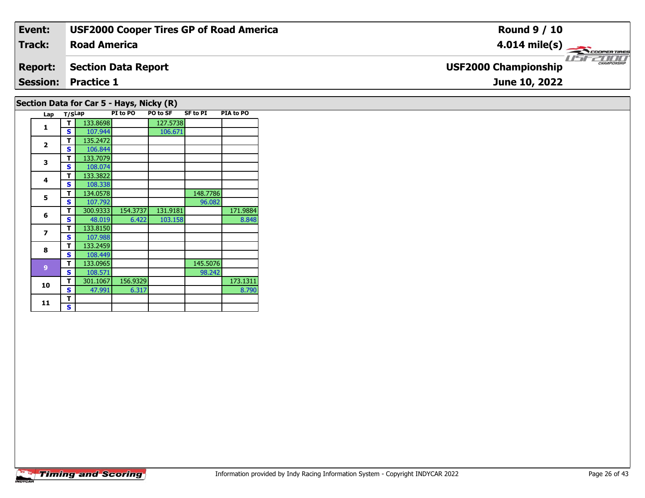| Event:         | <b>USF2000 Cooper Tires GP of Road America</b> | <b>Round 9 / 10</b>                        |
|----------------|------------------------------------------------|--------------------------------------------|
| Track:         | <b>Road America</b>                            | $4.014 \text{ mile(s)}$                    |
| <b>Report:</b> | Section Data Report                            | CHAMPIONSHI<br><b>USF2000 Championship</b> |
|                | <b>Session: Practice 1</b>                     | June 10, 2022                              |
|                | Section Data for Car 5 - Hays, Nicky (R)       |                                            |

| Lap                      | T/SLap |          | PI to PO | PO to SF | <b>SF to PI</b> | PIA to PO |
|--------------------------|--------|----------|----------|----------|-----------------|-----------|
| 1                        | т      | 133.8698 |          | 127.5738 |                 |           |
|                          | S      | 107.944  |          | 106.671  |                 |           |
| $\overline{2}$           | т      | 135.2472 |          |          |                 |           |
|                          | S      | 106.844  |          |          |                 |           |
| 3                        | т      | 133.7079 |          |          |                 |           |
|                          | S      | 108.074  |          |          |                 |           |
| 4                        | т      | 133.3822 |          |          |                 |           |
|                          | S      | 108.338  |          |          |                 |           |
| 5                        | т      | 134.0578 |          |          | 148.7786        |           |
|                          | S      | 107.792  |          |          | 96.082          |           |
| 6                        | т      | 300.9333 | 154.3737 | 131.9181 |                 | 171.9884  |
|                          | S      | 48.019   | 6.422    | 103.158  |                 | 8.848     |
| $\overline{\phantom{a}}$ | т      | 133.8150 |          |          |                 |           |
|                          | S      | 107.988  |          |          |                 |           |
| 8                        | т      | 133.2459 |          |          |                 |           |
|                          | S      | 108.449  |          |          |                 |           |
| 9                        | т      | 133.0965 |          |          | 145.5076        |           |
|                          | S      | 108.571  |          |          | 98.242          |           |
| 10                       | т      | 301.1067 | 156.9329 |          |                 | 173.1311  |
|                          | S      | 47.991   | 6.317    |          |                 | 8.790     |
| 11                       | т      |          |          |          |                 |           |
|                          | S      |          |          |          |                 |           |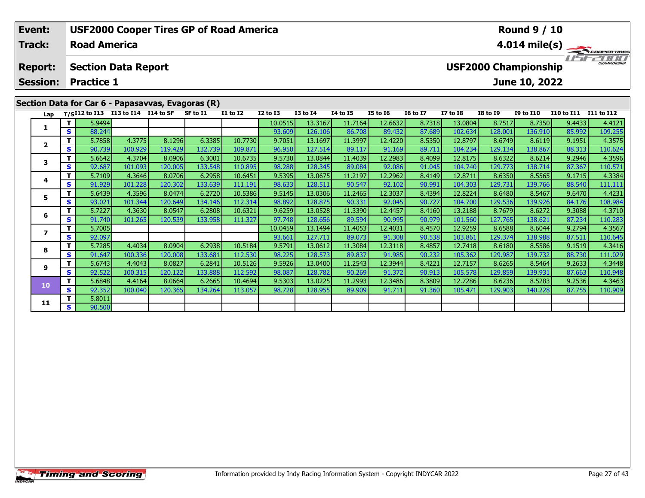| Event:<br>Track:                  | <b>USF2000 Cooper Tires GP of Road America</b><br><b>Round 9 / 10</b><br><b>Road America</b> |                   |                                                                                         |         |          |                 |                 |                 |                 |                 |                 |                                              |                 |                  |                       | $4.014 \text{ mile(s)}$ |  |  |
|-----------------------------------|----------------------------------------------------------------------------------------------|-------------------|-----------------------------------------------------------------------------------------|---------|----------|-----------------|-----------------|-----------------|-----------------|-----------------|-----------------|----------------------------------------------|-----------------|------------------|-----------------------|-------------------------|--|--|
| <b>Report:</b><br><b>Session:</b> |                                                                                              | <b>Practice 1</b> | <b>Section Data Report</b>                                                              |         |          |                 |                 |                 |                 |                 |                 | <b>USF2000 Championship</b><br>June 10, 2022 |                 |                  |                       |                         |  |  |
| Lap                               |                                                                                              |                   | Section Data for Car 6 - Papasavvas, Evagoras (R)<br>T/SI12 to I13 I13 to I14 I14 to SF |         | SF to I1 | <b>I1 to I2</b> | <b>I2 to I3</b> | <b>I3 to I4</b> | <b>I4 to I5</b> | <b>I5 to 16</b> | <b>16 to 17</b> | <b>I7 to I8</b>                              | <b>I8 to I9</b> | <b>I9 to I10</b> | I10 to I11 I11 to I12 |                         |  |  |
|                                   |                                                                                              | 5.9494            |                                                                                         |         |          |                 | 10.0515         | 13.3167         | 11.7164         | 12.6632         | 8.7318          | 13.0804                                      | 8.7517          | 8.7350           | 9.4433                | 4.4121                  |  |  |
|                                   | S.                                                                                           | 88.244            |                                                                                         |         |          |                 | 93.609          | 126.106         | 86.708          | 89.432          | 87.689          | 102.634                                      | 128.001         | 136.910          | 85.992                | 109.255                 |  |  |
| $\overline{2}$                    |                                                                                              | 5.7858            | 4.3775                                                                                  | 8.1296  | 6.3385   | 10.7730         | 9.7051          | 13.1697         | 11.3997         | 12.4220         | 8.5350          | 12.8797                                      | 8.6749          | 8.6119           | 9.1951                | 4.3575                  |  |  |
|                                   | S.                                                                                           | 90.739            | 100.929                                                                                 | 119.429 | 132.739  | 109.871         | 96.950          | 127.514         | 89.117          | 91.169          | 89.711          | 104.234                                      | 129.134         | 138.867          | 88.313                | 110.624                 |  |  |
| 3                                 |                                                                                              | 5.6642            | 4.3704                                                                                  | 8.0906  | 6.3001   | 10.6735         | 9.5730          | 13.0844         | 11.4039         | 12.2983         | 8.4099          | 12.8175                                      | 8.6322          | 8.6214           | 9.2946                | 4.3596                  |  |  |
|                                   | S.                                                                                           | 92.687            | 101.093                                                                                 | 120.005 | 133.548  | 110.895         | 98.288          | 128.345         | 89.084          | 92.086          | 91.045          | 104.740                                      | 129.773         | 138.714          | 87.367                | 110.571                 |  |  |
| 4                                 |                                                                                              | 5.7109            | 4.3646                                                                                  | 8.0706  | 6.2958   | 10.6451         | 9.5395          | 13.0675         | 11.2197         | 12.2962         | 8.4149          | 12.8711                                      | 8.6350          | 8.5565           | 9.1715                | 4.3384                  |  |  |
|                                   | <b>S</b>                                                                                     | 91.929            | 101.228                                                                                 | 120.302 | 133.639  | 111.191         | 98.633          | 128.511         | 90.547          | 92.102          | 90.991          | 104.303                                      | 129.731         | 139.766          | 88.540                | 111.111                 |  |  |
| 5.                                |                                                                                              | 5.6439            | 4.3596                                                                                  | 8.0474  | 6.2720   | 10.5386         | 9.5145          | 13.0306         | 11.2465         | 12.3037         | 8.4394          | 12.8224                                      | 8.6480          | 8.5467           | 9.6470                | 4.4231                  |  |  |
|                                   | <b>S</b>                                                                                     | 93.021            | 101.344                                                                                 | 120.649 | 134.146  | 112.314         | 98.892          | 128.875         | 90.331          | 92.045          | 90.727          | 104.700                                      | 129.536         | 139.926          | 84.176                | 108.984                 |  |  |

13.0528

128.656

13.1494

127.711

13.0612

128,573

13.0400

128.782

13.0225

128.955

11.3390

89.594

11.4053

89.073

11.3084

89.83

11.2543

90.26

11.2993

89.909

12.4457

90.995

12.4031

91.308

12.3118

91.985

12.3944

91.372

12.3486

91.711

8.4160

90.979

8.4570

90.538

8.4857

90.232

8.4221

90.913

8.3809

91.360

13.2188

101.560

12.9259

103.861

12.7418

105.362

12.7157

105.578

12.7286

105.471

8.7679

127.765

8.6588

129.374

8.6180

8.6265

129.859

8.6236

129.903

129.98

8.6272

138.621

138.988

8.6044

8.5586

139.732

139.931

140.228

8.5283

8.5464

9.3088

87.234

9.2794

87.511

 $9.1519$ 

88.730

9.2633

87.663

9.2536

87.755

4.3710

110.283

4.3567

110.645

4.3416

111.029

4.3448

110.948

4.3463

110.909

5.7227

91.740

5.7005

92.097

5.7285

91.647

5.6743

92.522

5.6848

92.352

5.8011

90.500

 $\mathbf T$ 

 $\mathbf{s}$ 

 $\mathbf T$ 

 $\overline{\mathbf{s}}$ 

 $\mathbf{T}$ 

 $\overline{\mathbf{s}}$ 

T.

S

 $\overline{\mathsf{T}}$ 

 $\overline{\mathbf{s}}$ 

 $\mathbf T$ 

 $\overline{\mathbf{s}}$ 

 $\bf 6$ 

 $\overline{\mathbf{z}}$ 

8

 $\mathbf{9}$ 

10

 $11$ 

4.3630

101.265

4.4034

4.4043

100.315

4.4164

100.040

100.336

8.0547

120.539

8.0904

8.0827

120.122

8.0664

120.365

120.008

6.2808

133.958

 $6.2938$ 

133.681

6.2841

6.2665

134.264

133.88

10.6321

111.327

10.5184

112.530

10.5126

112.592

10.4694

113.057

9.6259

97.748

10.0459

93.661

9.5791

98.225

9.5926

98.087

9.5303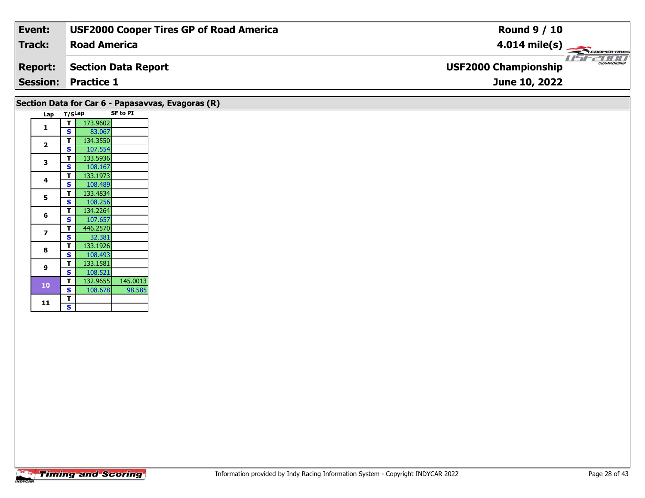| Event:         | <b>USF2000 Cooper Tires GP of Road America</b>    | <b>Round 9 / 10</b>                         |
|----------------|---------------------------------------------------|---------------------------------------------|
| <b>Track:</b>  | <b>Road America</b>                               | $4.014 \text{ mile(s)}$                     |
| <b>Report:</b> | Section Data Report                               | CHAMPIONSHIP<br><b>USF2000 Championship</b> |
|                | <b>Session: Practice 1</b>                        | June 10, 2022                               |
|                | Section Data for Car 6 - Papasavvas, Evagoras (R) |                                             |

| Lap            | T/SLap |          | <b>SF to PI</b> |
|----------------|--------|----------|-----------------|
| 1              | Т      | 173.9602 |                 |
|                | S      | 83.067   |                 |
| $\overline{2}$ | T      | 134.3550 |                 |
|                | S      | 107.554  |                 |
| 3              | T      | 133.5936 |                 |
|                | S      | 108.167  |                 |
| 4              | T      | 133.1973 |                 |
|                | S      | 108.489  |                 |
| 5              | Т      | 133.4834 |                 |
|                | S      | 108.256  |                 |
| 6              | T      | 134.2264 |                 |
|                | S      | 107.657  |                 |
| 7              | Т      | 446.2570 |                 |
|                | S      | 32.381   |                 |
| 8              | т      | 133.1926 |                 |
|                | S      | 108.493  |                 |
| 9              | T      | 133.1581 |                 |
|                | S      | 108.521  |                 |
| 10             | Т      | 132.9655 | 145.0013        |
|                | S      | 108.678  | 98.585          |
| 11             | Т      |          |                 |
|                | S      |          |                 |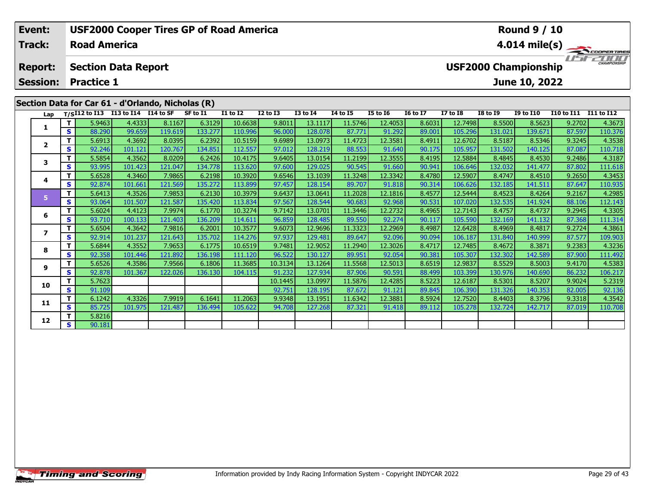| Event:          |    |                                      |         | <b>USF2000 Cooper Tires GP of Road America</b>    |          |                 |                 |                 |                 |                 |                                             |                 |                 | <b>Round 9 / 10</b> |                       |               |  |  |
|-----------------|----|--------------------------------------|---------|---------------------------------------------------|----------|-----------------|-----------------|-----------------|-----------------|-----------------|---------------------------------------------|-----------------|-----------------|---------------------|-----------------------|---------------|--|--|
| Track:          |    | <b>Road America</b>                  |         |                                                   |          |                 |                 |                 |                 |                 |                                             |                 |                 |                     |                       | 4.014 mile(s) |  |  |
| <b>Report:</b>  |    | <b>Section Data Report</b>           |         |                                                   |          |                 |                 |                 |                 |                 | CHAMPIONSHIP<br><b>USF2000 Championship</b> |                 |                 |                     |                       |               |  |  |
| <b>Session:</b> |    | <b>Practice 1</b>                    |         |                                                   |          |                 |                 |                 |                 |                 |                                             |                 |                 | June 10, 2022       |                       |               |  |  |
|                 |    |                                      |         | Section Data for Car 61 - d'Orlando, Nicholas (R) |          |                 |                 |                 |                 |                 |                                             |                 |                 |                     |                       |               |  |  |
| Lap             |    | $T/SI12$ to I13 I13 to I14 I14 to SF |         |                                                   | SF to I1 | <b>I1 to I2</b> | <b>I2 to I3</b> | <b>I3 to I4</b> | <b>I4 to I5</b> | <b>I5 to 16</b> | <b>16 to 17</b>                             | <b>I7 to I8</b> | <b>I8 to 19</b> | <b>I9 to I10</b>    | I10 to I11 I11 to I12 |               |  |  |
|                 |    | 5.9463                               | 4.4333  | 8.1167                                            | 6.3129   | 10.6638         | 9.8011          | 13.1117         | 11.5746         | 12.4053         | 8.6031                                      | 12.7498         | 8.5500          | 8.5623              | 9.2702                | 4.3673        |  |  |
|                 | S. | 88.290                               | 99.659  | 119.619                                           | 133.277  | 110.996         | 96.000          | 128.078         | 87.771          | 91.292          | 89.001                                      | 105.296         | 131.021         | 139.671             | 87.597                | 110.376       |  |  |
| $\mathbf{2}$    |    | 5.6913                               | 4.3692  | 8.0395                                            | 6.2392   | 10.5159         | 9.6989          | 13.0973         | 11.4723         | 12.3581         | 8.4911                                      | 12.6702         | 8.5187          | 8.5346              | 9.3245                | 4.3538        |  |  |
|                 | S. | 92.246                               | 101.121 | 120.767                                           | 134.851  | 112.557         | 97.012          | 128.219         | 88.553          | 91.640          | 90.175                                      | 105.957         | 131.502         | 140.125             | 87.087                | 110.718       |  |  |
| 3               |    | 5.5854                               | 4.3562  | 8.0209                                            | 6.2426   | 10.4175         | 9.6405          | 13.0154         | 11.2199         | 12.3555         | 8.4195                                      | 12.5884         | 8.4845          | 8.4530              | 9.2486                | 4.3187        |  |  |
|                 | S. | 93.995                               | 101.423 | 121.047                                           | 134.778  | 113.620         | 97.600          | 129.025         | 90.545          | 91.660          | 90.941                                      | 106.646         | 132.032         | 141.477             | 87.802                | 111.618       |  |  |
| 4               | Τ. | 5.6528                               | 4.3460  | 7.9865                                            | 6.2198   | 10.3920         | 9.6546          | 13.1039         | 11.3248         | 12.3342         | 8.4780                                      | 12.5907         | 8.4747          | 8.4510              | 9.2650                | 4.3453        |  |  |
|                 | S. | 92.874                               | 101.661 | 121.569                                           | 135.272  | 113.899         | 97.457          | 128.154         | 89.707          | 91.818          | 90.314                                      | 106.626         | 132.185         | 141.511             | 87.647                | 110.935       |  |  |
| 5               | Τ. | 5.6413                               | 4.3526  | 7.9853                                            | 6.2130   | 10.3979         | 9.6437          | 13.0641         | 11.2028         | 12.1816         | 8.4577                                      | 12.5444         | 8.4523          | 8.4264              | 9.2167                | 4.2985        |  |  |
|                 | S. | 93.064                               | 101.507 | 121.587                                           | 135.420  | 113.834         | 97.567          | 128.544         | 90.683          | 92.968          | 90.531                                      | 107.020         | 132.535         | 141.924             | 88.106                | 112.143       |  |  |
| 6               |    | 5.6024                               | 4.4123  | 7.9974                                            | 6.1770   | 10.3274         | 9.7142          | 13.0701         | 11.3446         | 12.2732         | 8.4965                                      | 12.7143         | 8.4757          | 8.4737              | 9.2945                | 4.3305        |  |  |
|                 | S. | 93.710                               | 100.133 | 121.403                                           | 136.209  | 114.611         | 96.859          | 128.485         | 89.550          | 92.274          | 90.117                                      | 105.590         | 132.169         | 141.132             | 87.368                | 111.314       |  |  |

7 | T | 5.6504 | 4.3642 | 7.9816 | 6.2001 10.3577 | 9.6073 | 12.9696 | 11.3323 | 12.2969 | 8.4987 | 12.6428 | 8.4969 | 8.4817 | 9.2724 | 4.3861<br>7 | S | 92.914 | 101.237 | 121.643 | 135.702 | 114.276 | 97.937 | 129.481 | 89

**<sup>T</sup>** 5.6844 4.3552 7.9653 6.1775 10.6519 9.7481 12.9052 11.2940 12.3026 8.4717 12.7485 8.4672 8.3871 9.2383 4.3236 **<sup>S</sup>** 92.358 101.446 121.892 136.198 111.120 96.522 130.127 89.951 92.054 90.381 105.307 132.302 142.589 87.900 111.492

8.5529 8.5529 4.3586 7.9566| 6.1806| 11.3685| 10.3134| 13.1264| 11.5568| 12.5013| 8.6519| 12.9837| 8.5529| 8.5003| 9.4170| 4.5383<br>S | S | 92.878 101.367 122.026 136.130 104.115 91.232 127.934 87.9

**<sup>T</sup>** 5.7623 10.1445 13.0997 11.5876 12.4285 8.5223 12.6187 8.5301 8.5207 9.9024 5.2319 **<sup>S</sup>** 91.109 92.751 128.195 87.672 91.121 89.845 106.390 131.326 140.353 82.005 92.136

**<sup>T</sup>** 6.1242 4.3326 7.9919 6.1641 11.2063 9.9348 13.1951 11.6342 12.3881 8.5924 12.7520 8.4403 8.3796 9.3318 4.3542 **<sup>S</sup>** 85.725 101.975 121.487 136.494 105.622 94.708 127.268 87.321 91.418 89.112 105.278 132.724 142.717 87.019 110.708

**7**

**8**

**9**

**10**

**11**

**12**

**2**  $\begin{array}{|c|c|c|c|}\n\hline\n\textbf{s} & \textbf{5.8216} \\
\hline\n\textbf{s} & \textbf{90.181}\n\hline\n\end{array}$ 

109.903

106.217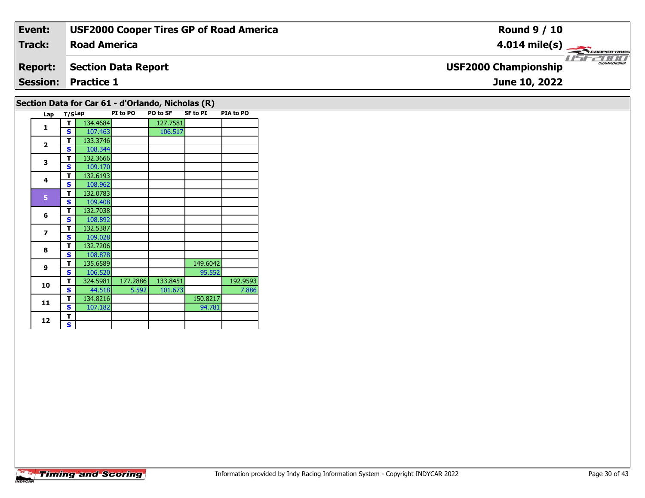| Event:         | <b>USF2000 Cooper Tires GP of Road America</b> | <b>Round 9 / 10</b>                                |
|----------------|------------------------------------------------|----------------------------------------------------|
| Track:         | <b>Road America</b>                            | $4.014 \text{ mile(s)}$                            |
| <b>Report:</b> | Section Data Report                            | <b>CHAMPIONSHIP</b><br><b>USF2000 Championship</b> |
|                | <b>Session: Practice 1</b>                     | June 10, 2022                                      |
|                | .                                              |                                                    |

## **Section Data for Car 61 - d'Orlando, Nicholas (R)**

| Lap            | T/SLap |          | PI to PO | <b>PO to SF</b> | <b>SF to PI</b> | PIA to PO |
|----------------|--------|----------|----------|-----------------|-----------------|-----------|
| $\mathbf{1}$   | т      | 134.4684 |          | 127.7581        |                 |           |
|                | S      | 107.463  |          | 106.517         |                 |           |
| $\overline{2}$ | т      | 133.3746 |          |                 |                 |           |
|                | S      | 108.344  |          |                 |                 |           |
| 3              | т      | 132.3666 |          |                 |                 |           |
|                | S      | 109.170  |          |                 |                 |           |
| 4              | T      | 132.6193 |          |                 |                 |           |
|                | S      | 108.962  |          |                 |                 |           |
| 5              | т      | 132.0783 |          |                 |                 |           |
|                | S      | 109.408  |          |                 |                 |           |
| 6              | T      | 132.7038 |          |                 |                 |           |
|                | S      | 108.892  |          |                 |                 |           |
| $\overline{z}$ | T      | 132.5387 |          |                 |                 |           |
|                | S      | 109.028  |          |                 |                 |           |
| 8              | т      | 132.7206 |          |                 |                 |           |
|                | S      | 108.878  |          |                 |                 |           |
| $\mathbf{9}$   | т      | 135.6589 |          |                 | 149.6042        |           |
|                | S      | 106.520  |          |                 | 95.552          |           |
| 10             | т      | 324.5981 | 177.2886 | 133.8451        |                 | 192.9593  |
|                | S      | 44.518   | 5.592    | 101.673         |                 | 7.886     |
| 11             | т      | 134.8216 |          |                 | 150.8217        |           |
|                | S      | 107.182  |          |                 | 94.781          |           |
| 12             | T      |          |          |                 |                 |           |
|                | S      |          |          |                 |                 |           |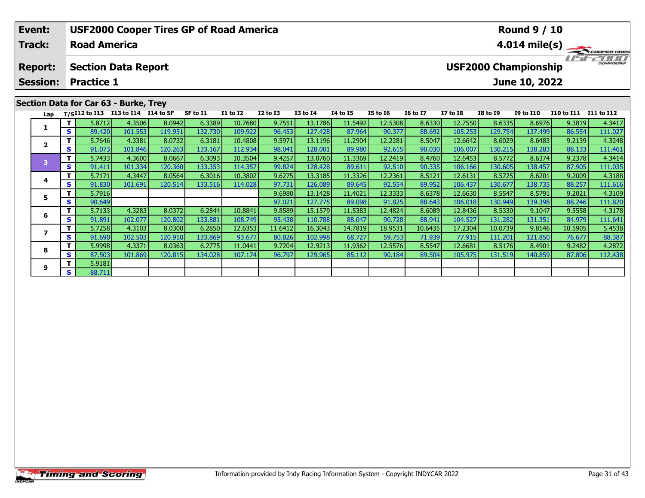| Event:                            |     | <b>USF2000 Cooper Tires GP of Road America</b>  |         |         |          |                 |                 |                 |          |                 |                 |                 |                             | <b>Round 9 / 10</b> |                   |                                  |
|-----------------------------------|-----|-------------------------------------------------|---------|---------|----------|-----------------|-----------------|-----------------|----------|-----------------|-----------------|-----------------|-----------------------------|---------------------|-------------------|----------------------------------|
| <b>Track:</b>                     |     | <b>Road America</b>                             |         |         |          |                 |                 |                 |          |                 |                 |                 |                             |                     |                   | $4.014 \text{ mile(s)}$          |
| <b>Report:</b><br><b>Session:</b> |     | <b>Section Data Report</b><br><b>Practice 1</b> |         |         |          |                 |                 |                 |          |                 |                 |                 | <b>USF2000 Championship</b> | June 10, 2022       |                   | - 1717171<br><b>CHAMPIONSHIP</b> |
|                                   |     |                                                 |         |         |          |                 |                 |                 |          |                 |                 |                 |                             |                     |                   |                                  |
|                                   |     | Section Data for Car 63 - Burke, Trey           |         |         |          |                 |                 |                 |          |                 |                 |                 |                             |                     |                   |                                  |
| Lap                               |     | $T/SI12$ to I13 I13 to I14 I14 to SF            |         |         | SF to I1 | <b>I1 to I2</b> | <b>I2 to I3</b> | <b>I3 to I4</b> | 14 to 15 | <b>I5 to 16</b> | <b>16 to 17</b> | <b>I7 to I8</b> | <b>I8 to I9</b>             | <b>I9 to I10</b>    | <b>I10 to I11</b> | I11 to I12                       |
|                                   |     | 5.8712                                          | 4.3506  | 8.0942  | 6.3389   | 10.7680         | 9.7551          | 13.1786         | 11.5492  | 12.5308         | 8.6330          | 12.7550         | 8.6335                      | 8.6976              | 9.3819            | 4.3417                           |
|                                   | S I | 89.420                                          | 101.553 | 119.951 | 132.730  | 109.922         | 96.453          | 127.428         | 87.964   | 90.377          | 88.692          | 105.253         | 129.754                     | 137.499             | 86.554            | 111.027                          |
|                                   |     | 5.7646                                          | 4.3381  | 8.0732  | 6.3181   | 10.4808         | 9.5971          | 13.1196         | 11.2904  | 12.2281         | 8.5047          | 12.6642         | 8.6029                      | 8.6483              | 9.2139            | 4.3248                           |
|                                   | S I | 91.073                                          | 101.846 | 120.263 | 133.167  | 112.934         | 98.041          | 128.001         | 89.980   | 92.615          | 90.030          | 106.007         | 130.215                     | 138.283             | 88.133            | 111.461                          |
|                                   |     | 5.7433                                          | 4.3600  | 8.0667  | 6.3093   | 10.3504         | 9.4257          | 13.0760         | 11.3369  | 12.2419         | 8.4760          | 12.6453         | 8.5772                      | 8.6374              | 9.2378            | 4.3414                           |

|   |    | 5.7433 | 4.3600  | 8.0667  | 6.3093           | 10.3504   | 9.4257  | 13.0760 | 11.3369 | 12.2419 | 8.4760  | 12.6453 | 8.5772  | 8.6374  | 9.2378  | 4.3414  |
|---|----|--------|---------|---------|------------------|-----------|---------|---------|---------|---------|---------|---------|---------|---------|---------|---------|
|   | S  | 91.411 | 101.334 | 120.360 | 133.353          | 114.357   | 99.824  | 128.428 | 89.611  | 92.510  | 90.335  | 106.166 | 130.605 | 138.457 | 87.905  | 111.035 |
|   |    | 5.7171 | 4.3447  | 8.0564  | 6.3016           | 10.3802   | 9.6275  | 13.3185 | 11.3326 | 12.2361 | 8.5121  | 12.6131 | 8.5725  | 8.6201  | 9.2009  | 4.3188  |
|   | э  | 91.830 | 101.691 | 120.514 | 133.516          | 114.028 l | 97.731  | 126.089 | 89.645  | 92.554  | 89.952  | 106.437 | 130.677 | 138.735 | 88.257  | 111.616 |
|   |    | 5.7916 |         |         |                  |           | 9.6980  | 13.1428 | 11.4021 | 12.3333 | 8.6378  | 12.6630 | 8.5547  | 8.5791  | 9.2021  | 4.3109  |
|   |    | 90.649 |         |         |                  |           | 97.021  | 127.775 | 89.098  | 91.825  | 88.643  | 106.018 | 130.949 | 139.398 | 88.246  | 111.820 |
|   |    | 5.7133 | 4.3283  | 8.0372  | 6.2844           | 10.8841   | 9.8589  | 15.1579 | 11.5383 | 12.4824 | 8.6089  | 12.8436 | 8.5330  | 9.1047  | 9.5558  | 4.3178  |
|   |    | 91.891 | 102.077 | 120.802 | 133.881          | 108.749   | 95.438  | 110.788 | 88.047  | 90.728  | 88.941  | 104.527 | 131.282 | 131.351 | 84.979  | 111.641 |
|   |    | 5.7258 | 4.3103  | 8.0300  | 6.2850           | 12.6353   | 11.6412 | 16.3043 | 14.7819 | 18.9531 | 10.6435 | 17.2304 | 10.0739 | 9.8146  | 10.5905 | 5.4538  |
|   |    | 91.690 | 102.503 | 120.910 | 133.869 <b> </b> | 93.677    | 80.826  | 102.998 | 68.727  | 59.753  | 71.939  | 77.915  | 111.201 | 121.850 | 76.677  | 88.387  |
|   |    | 5.9998 | 4.3371  | 8.0363  | 6.2775           | 11.0441   | 9.7204  | 12.9213 | 11.9362 | 12.5576 | 8.5547  | 12.6681 | 8.5176  | 8.4901  | 9.2482  | 4.2872  |
|   | S. | 87.503 | 101.869 | 120.815 | 134.028          | 107.174   | 96.797  | 129.965 | 85.112  | 90.184  | 89.504  | 105.975 | 131.519 | 140.859 | 87.806  | 112.438 |
| q |    | 5.9181 |         |         |                  |           |         |         |         |         |         |         |         |         |         |         |
|   | S. | 88.711 |         |         |                  |           |         |         |         |         |         |         |         |         |         |         |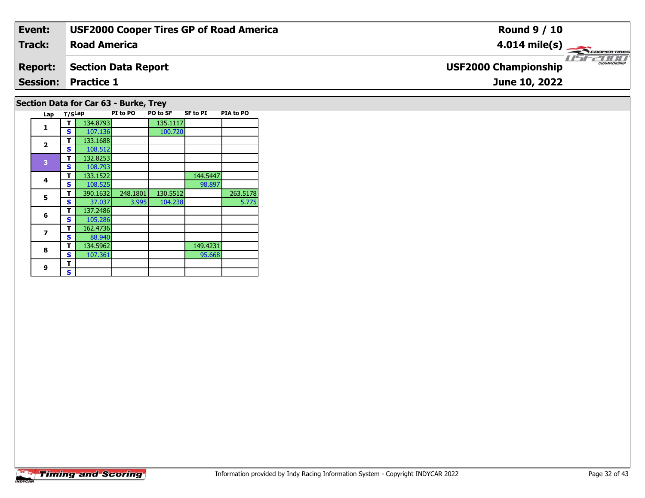| Event:         | <b>USF2000 Cooper Tires GP of Road America</b> | <b>Round 9 / 10</b>                              |
|----------------|------------------------------------------------|--------------------------------------------------|
| <b>Track:</b>  | <b>Road America</b>                            | $4.014 \text{ mile(s)}$                          |
| <b>Report:</b> | <b>Section Data Report</b>                     | <b>CHAMPIONSH</b><br><b>USF2000 Championship</b> |
|                | <b>Session: Practice 1</b>                     | June 10, 2022                                    |
|                | Section Data for Car 63 - Burke, Trey          |                                                  |

| Lap            | T/SLap |          | PI to PO | PO to SF | <b>SF to PI</b> | PIA to PO |
|----------------|--------|----------|----------|----------|-----------------|-----------|
| 1              | т      | 134.8793 |          | 135.1117 |                 |           |
|                | S      | 107.136  |          | 100.720  |                 |           |
|                | т      | 133.1688 |          |          |                 |           |
| $\mathbf{2}$   | S      | 108.512  |          |          |                 |           |
|                | т      | 132.8253 |          |          |                 |           |
| 3              | S      | 108.793  |          |          |                 |           |
| 4              | т      | 133.1522 |          |          | 144.5447        |           |
|                | S      | 108.525  |          |          | 98.897          |           |
| 5              | т      | 390.1632 | 248.1801 | 130.5512 |                 | 263.5178  |
|                | S      | 37.037   | 3.995    | 104.238  |                 | 5.775     |
| 6              | т      | 137.2486 |          |          |                 |           |
|                | s      | 105.286  |          |          |                 |           |
| $\overline{z}$ | т      | 162.4736 |          |          |                 |           |
|                | s      | 88.940   |          |          |                 |           |
| 8              | т      | 134.5962 |          |          | 149.4231        |           |
|                | s      | 107.361  |          |          | 95.668          |           |
| 9              | т      |          |          |          |                 |           |
|                | S      |          |          |          |                 |           |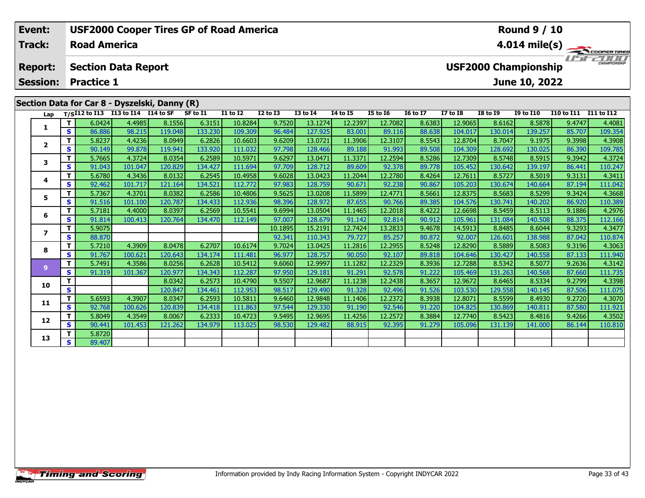|                                                                                                                                      | Event:        |    |                     | <b>USF2000 Cooper Tires GP of Road America</b> |         |          |                 |                 |              |                         |                 |                 |          |                 | <b>Round 9 / 10</b> |              |            |  |
|--------------------------------------------------------------------------------------------------------------------------------------|---------------|----|---------------------|------------------------------------------------|---------|----------|-----------------|-----------------|--------------|-------------------------|-----------------|-----------------|----------|-----------------|---------------------|--------------|------------|--|
|                                                                                                                                      | <b>Track:</b> |    | <b>Road America</b> |                                                |         |          |                 |                 |              | $4.014 \text{ mile(s)}$ |                 |                 |          |                 |                     |              |            |  |
| <b>USF2000 Championship</b><br><b>Section Data Report</b><br><b>Report:</b><br><b>Session:</b><br><b>Practice 1</b><br>June 10, 2022 |               |    |                     |                                                |         |          |                 |                 |              |                         |                 |                 |          |                 |                     | CHAMPIONSHIP |            |  |
|                                                                                                                                      |               |    |                     |                                                |         |          |                 |                 |              |                         |                 |                 |          |                 |                     |              |            |  |
|                                                                                                                                      |               |    |                     | Section Data for Car 8 - Dyszelski, Danny (R)  |         |          |                 |                 |              |                         |                 |                 |          |                 |                     |              |            |  |
|                                                                                                                                      | Lap           |    | $T/SI12$ to $I13$   | I13 to I14 I14 to SF                           |         | SF to I1 | <b>I1 to I2</b> | <b>I2 to I3</b> | $I3$ to $I4$ | 14 to 15                | <b>I5 to 16</b> | <b>16 to 17</b> | I7 to I8 | <b>I8 to I9</b> | <b>I9 to I10</b>    | I10 to I11   | I11 to I12 |  |
|                                                                                                                                      |               |    | 6.0424              | 4.4985                                         | 8.1556  | 6.3151   | 10.8284         | 9.7520          | 13.1274      | 12.2397                 | 12.7082         | 8.6383          | 12.9065  | 8.6162          | 8.5878              | 9.4747       | 4.4081     |  |
|                                                                                                                                      |               | S. | 86.886              | 98.215                                         | 119.048 | 133.230  | 109.309         | 96.484          | 127.925      | 83.001                  | 89.116          | 88.638          | 104.017  | 130.014         | 139.257             | 85.707       | 109.354    |  |
|                                                                                                                                      |               |    | 5.8237              | 4.4236                                         | 8.0949  | 6.2826   | 10.6603         | 9.6209          | 13.0721      | 11.3906                 | 12.3107         | 8.5543          | 12.8704  | 8.7047          | 9.1975              | 9.3998       | 4.3908     |  |
|                                                                                                                                      |               | s. | 90.149              | 99.878                                         | 119.941 | 133.920  | 111.032         | 97.798          | 128.466      | 89.188                  | 91.993          | 89.508          | 104.309  | 128.692         | 130.025             | 86.390       | 109.785    |  |
|                                                                                                                                      |               |    | 5.7665              | 4.3724                                         | 8.0354  | 6.2589   | 10.5971         | 9.6297          | 13.0471      | 11.3371                 | 12.2594         | 8.5286          | 12.7309  | 8.5748          | 8.5915              | 9.3942       | 4.3724     |  |

| 3  |   | 5.7665 | 4.3724  | 8.0354  | 6.2589  | 10.5971 | 9.6297  | 13.0471 | 11.3371 | 12.2594 | 8.5286 | 12.73091 | 8.5748  | 8.5915  | 9.3942 | 4.3724  |
|----|---|--------|---------|---------|---------|---------|---------|---------|---------|---------|--------|----------|---------|---------|--------|---------|
|    | S | 91.043 | 101.047 | 120.829 | 134.427 | 111.694 | 97.709  | 128.712 | 89.609  | 92.378  | 89.778 | 105.452  | 130.642 | 139.197 | 86.441 | 110.247 |
|    |   | 5.6780 | 4.3436  | 8.0132  | 6.2545  | 10.4958 | 9.6028  | 13.0423 | 11.2044 | 12.2780 | 8.4264 | 12.7611  | 8.5727  | 8.5019  | 9.3131 | 4.3411  |
| 4  | s | 92.462 | 101.717 | 121.164 | 134.521 | 112.772 | 97.983  | 128.759 | 90.671  | 92.238  | 90.867 | 105.203  | 130.674 | 140.664 | 87.194 | 111.042 |
| 5  |   | 5.7367 | 4.3701  | 8.0382  | 6.2586  | 10.4806 | 9.5625  | 13.0208 | 11.5899 | 12.4771 | 8.5661 | 12.8375  | 8.5683  | 8.5299  | 9.3424 | 4.3668  |
|    | S | 91.516 | 101.100 | 120.787 | 134.433 | 112.936 | 98.396  | 128.972 | 87.655  | 90.766  | 89.385 | 104.576  | 130.741 | 140.202 | 86.920 | 110.389 |
| 6  |   | 5.7181 | 4.4000  | 8.0397  | 6.2569  | 10.5541 | 9.6994  | 13.0504 | 11.1465 | 12.2018 | 8.4222 | 12.6698  | 8.5459  | 8.5113  | 9.1886 | 4.2976  |
|    | s | 91.814 | 100.413 | 120.764 | 134.470 | 112.149 | 97.007  | 128.679 | 91.142  | 92.814  | 90.912 | 105.961  | 131.084 | 140.508 | 88.375 | 112.166 |
|    |   | 5.9075 |         |         |         |         | 10.1895 | 15.2191 | 12.7424 | 13.2833 | 9.4678 | 14.5913  | 8.8485  | 8.6044  | 9.3293 | 4.3477  |
|    | s | 88.870 |         |         |         |         | 92.341  | 110.343 | 79.727  | 85.257  | 80.872 | 92.007   | 126.601 | 138.988 | 87.042 | 110.874 |
| 8  |   | 5.7210 | 4.3909  | 8.0478  | 6.2707  | 10.6174 | 9.7024  | 13.0425 | 11.2816 | 12.2955 | 8.5248 | 12.8290  | 8.5889  | 8.5083  | 9.3196 | 4.3063  |
|    | S | 91.767 | 100.621 | 120.643 | 134.174 | 111.481 | 96.977  | 128.757 | 90.050  | 92.107  | 89.818 | 104.646  | 130.427 | 140.558 | 87.133 | 111.940 |
| 9  |   | 5.7491 | 4.3586  | 8.0256  | 6.2628  | 10.5412 | 9.6060  | 12.9997 | 11.1282 | 12.2329 | 8.3936 | 12.7288  | 8.5342  | 8.5077  | 9.2636 | 4.3142  |
|    | S | 91.319 | 101.367 | 120.977 | 134.343 | 112.287 | 97.950  | 129.181 | 91.291  | 92.578  | 91.222 | 105.469  | 131.263 | 140.568 | 87.660 | 111.735 |
| 10 |   |        |         | 8.0342  | 6.2573  | 10.4790 | 9.5507  | 12.9687 | 11.1238 | 12.2438 | 8.3657 | 12.9672  | 8.6465  | 8.5334  | 9.2799 | 4.3398  |
|    | S |        |         | 120.847 | 134.461 | 112.953 | 98.517  | 129.490 | 91.328  | 92.496  | 91.526 | 103.530  | 129.558 | 140.145 | 87.506 | 111.075 |
| 11 |   | 5.6593 | 4.3907  | 8.0347  | 6.2593  | 10.5811 | 9.6460  | 12.9848 | 11.1406 | 12.2372 | 8.3938 | 12.8071  | 8.5599  | 8.4930  | 9.2720 | 4.3070  |
|    | S | 92.768 | 100.626 | 120.839 | 134.418 | 111.863 | 97.544  | 129.330 | 91.190  | 92.546  | 91.220 | 104.825  | 130.869 | 140.811 | 87.580 | 111.921 |
| 12 |   | 5.8049 | 4.3549  | 8.0067  | 6.2333  | 10.4723 | 9.5495  | 12.9695 | 11.4256 | 12.2572 | 8.3884 | 12.7740  | 8.5423  | 8.4816  | 9.4266 | 4.3502  |
|    | s | 90.441 | 101.453 | 121.262 | 134.979 | 113.025 | 98.530  | 129.482 | 88.915  | 92.395  | 91.279 | 105.096  | 131.139 | 141.000 | 86.144 | 110.810 |
| 13 |   | 5.8720 |         |         |         |         |         |         |         |         |        |          |         |         |        |         |
|    | S | 89.407 |         |         |         |         |         |         |         |         |        |          |         |         |        |         |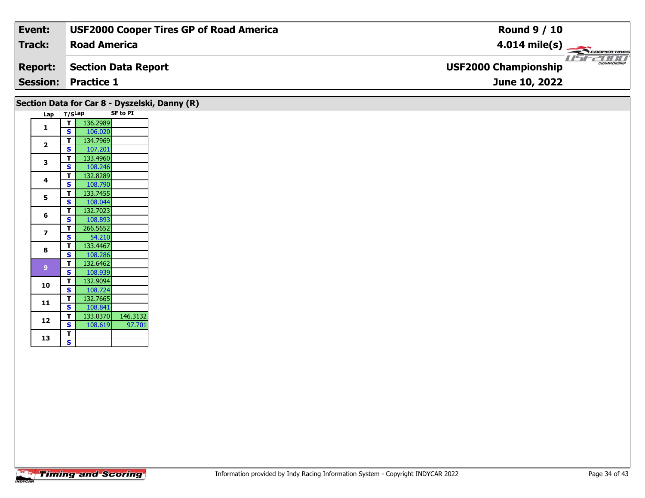| Event:         | <b>USF2000 Cooper Tires GP of Road America</b> | <b>Round 9 / 10</b>                                |
|----------------|------------------------------------------------|----------------------------------------------------|
| Track:         | <b>Road America</b>                            | $4.014 \text{ mile(s)}$                            |
| <b>Report:</b> | Section Data Report                            | <b>CHAMPIONSHIP</b><br><b>USF2000 Championship</b> |
|                | <b>Session: Practice 1</b>                     | June 10, 2022                                      |
|                |                                                |                                                    |

|                         |        |          |                 | Section Data for Car 8 - Dyszelski, Danny (R) |
|-------------------------|--------|----------|-----------------|-----------------------------------------------|
| Lap                     | T/SLap |          | <b>SF to PI</b> |                                               |
| 1                       | т      | 136.2989 |                 |                                               |
|                         | S      | 106.020  |                 |                                               |
| $\overline{\mathbf{z}}$ | т      | 134.7969 |                 |                                               |
|                         | S      | 107.201  |                 |                                               |
| 3                       | т      | 133.4960 |                 |                                               |
|                         | S      | 108.246  |                 |                                               |
| 4                       | т      | 132.8289 |                 |                                               |
|                         | Ś      | 108.790  |                 |                                               |
| 5                       | т      | 133.7455 |                 |                                               |
|                         | S      | 108.044  |                 |                                               |
| 6                       | т      | 132.7023 |                 |                                               |
|                         | S      | 108.893  |                 |                                               |
| $\overline{z}$          | T      | 266.5652 |                 |                                               |
|                         | S      | 54.210   |                 |                                               |
| 8                       | т      | 133.4467 |                 |                                               |
|                         | S      | 108.286  |                 |                                               |
| $\overline{9}$          | т      | 132.6462 |                 |                                               |
|                         | S      | 108.939  |                 |                                               |
| 10                      | т      | 132.9094 |                 |                                               |
|                         | S      | 108.724  |                 |                                               |
| 11                      | т      | 132.7665 |                 |                                               |
|                         | S      | 108.841  |                 |                                               |
| 12                      | т      | 133.0370 | 146.3132        |                                               |
|                         | S      | 108.619  | 97.701          |                                               |
| 13                      | т      |          |                 |                                               |
|                         | Ś      |          |                 |                                               |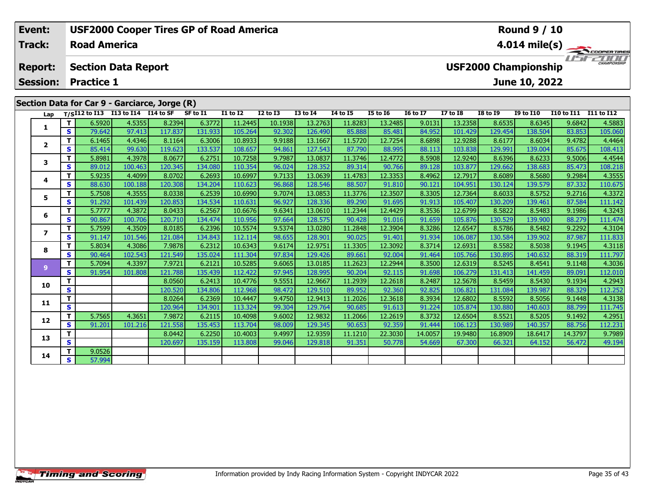| <b>USF2000 Cooper Tires GP of Road America</b><br><b>Round 9 / 10</b><br>Event:<br>Track:<br><b>Road America</b> |                                                                                                                                      |                |             |                                      |                                               |          |                 |                 |                 |          |                 |                 |                 |                 |                  |            |                                                |
|------------------------------------------------------------------------------------------------------------------|--------------------------------------------------------------------------------------------------------------------------------------|----------------|-------------|--------------------------------------|-----------------------------------------------|----------|-----------------|-----------------|-----------------|----------|-----------------|-----------------|-----------------|-----------------|------------------|------------|------------------------------------------------|
|                                                                                                                  |                                                                                                                                      |                |             |                                      |                                               |          |                 |                 |                 |          |                 |                 |                 |                 |                  |            | $4.014 \text{ mile(s)}$<br><b>CHAMPIONSHIP</b> |
|                                                                                                                  | <b>USF2000 Championship</b><br><b>Section Data Report</b><br><b>Report:</b><br><b>Practice 1</b><br><b>Session:</b><br>June 10, 2022 |                |             |                                      |                                               |          |                 |                 |                 |          |                 |                 |                 |                 |                  |            |                                                |
|                                                                                                                  |                                                                                                                                      |                |             |                                      |                                               |          |                 |                 |                 |          |                 |                 |                 |                 |                  |            |                                                |
|                                                                                                                  |                                                                                                                                      |                |             |                                      | Section Data for Car 9 - Garciarce, Jorge (R) |          |                 |                 |                 |          |                 |                 |                 |                 |                  |            |                                                |
|                                                                                                                  | Lap                                                                                                                                  |                |             | $T/SI12$ to I13 I13 to I14 I14 to SF |                                               | SF to I1 | <b>I1 to I2</b> | <b>I2 to I3</b> | <b>I3 to I4</b> | 14 to 15 | <b>I5 to 16</b> | <b>16 to 17</b> | <b>I7 to I8</b> | <b>I8 to I9</b> | <b>I9 to I10</b> | I10 to I11 | I11 to I12                                     |
|                                                                                                                  |                                                                                                                                      |                | 6.5920      | 4.5355                               | 8.2394                                        | 6.3772   | 11.2445         | 10.1938         | 13.2763         | 11.8283  | 13.2485         | 9.0131          | 13.2358         | 8.6535          | 8.6345           | 9.6842     | 4.5883                                         |
|                                                                                                                  |                                                                                                                                      | s l            | 79.642      | 97.413                               | 117.837                                       | 131.933  | 105.264         | 92.302          | 126.490         | 85.888   | 85.481          | 84.952          | 101.429         | 129.454         | 138.504          | 83.853     | 105.060                                        |
|                                                                                                                  |                                                                                                                                      |                | 6.1465      | 4.4346                               | 8.1164                                        | 6.3006   | 10.8933         | 9.9188          | 13.1667         | 11.5720  | 12.7254         | 8.6898          | 12.9288         | 8.6177          | 8.6034           | 9.4782     | 4.4464                                         |
|                                                                                                                  |                                                                                                                                      | s l            | 85.414      | 99.630                               | 119.623                                       | 133.537  | 108.657         | 94.861          | 127.543         | 87.790   | 88.995          | 88.113          | 103.838         | 129.991         | 139.004          | 85.675     | 108.413                                        |
|                                                                                                                  |                                                                                                                                      |                | 5.8981      | 4.3978                               | 8.0677                                        | 6.2751   | 10.7258         | 9.7987          | 13.0837         | 11.3746  | 12.4772         | 8.5908          | 12.9240         | 8.6396          | 8.6233           | 9.5006     | 4.4544                                         |
|                                                                                                                  |                                                                                                                                      | S.             | 89.012      | 100.463                              | 120.345                                       | 134.080  | 110.354         | 96.024          | 128.352         | 89.314   | 90.766          | 89.128          | 103.877         | 129.662         | 138.683          | 85.473     | 108.218                                        |
|                                                                                                                  |                                                                                                                                      | $\mathbf{r}$ . | <b>COOP</b> | 1.0001                               | വാചി                                          | c propl  | 10,002          | 0.7122          | 12000           | 11.4702  | 12222           | lo zoch l       | 12.7017         | lo cono         | lo rroot         | la popul   | A.2F F F                                       |

| 2  |    | 6.1465 | 4.4346  | 8.1164  | <b>0.3000</b> | 10.8933 | 9.9188 | 13.100/ | 11.5720 | 12.7254 | 8.6898  | 12.9288 | 8.017   | 8.6034  | 9.4782  | 4.4464  |
|----|----|--------|---------|---------|---------------|---------|--------|---------|---------|---------|---------|---------|---------|---------|---------|---------|
|    | S  | 85.414 | 99.630  | 119.623 | 133.537       | 108.657 | 94.861 | 127.543 | 87.790  | 88.995  | 88.113  | 103.838 | 129.991 | 139.004 | 85.675  | 108.413 |
| 3  |    | 5.8981 | 4.3978  | 8.0677  | 6.2751        | 10.7258 | 9.7987 | 13.0837 | 11.3746 | 12.4772 | 8.5908  | 12.9240 | 8.6396  | 8.6233  | 9.5006  | 4.4544  |
|    | S  | 89.012 | 100.463 | 120.345 | 134.080       | 110.354 | 96.024 | 128.352 | 89.314  | 90.766  | 89.128  | 103.877 | 129.662 | 138.683 | 85.473  | 108.218 |
| 4  | T. | 5.9235 | 4.4099  | 8.0702  | 6.2693        | 10.6997 | 9.7133 | 13.0639 | 11.4783 | 12.3353 | 8.4962  | 12.7917 | 8.6089  | 8.5680  | 9.2984  | 4.3555  |
|    | S  | 88.630 | 100.188 | 120.308 | 134.204       | 110.623 | 96.868 | 128.546 | 88.507  | 91.810  | 90.121  | 104.951 | 130.124 | 139.579 | 87.332  | 110.675 |
| 5. | T. | 5.7508 | 4.3555  | 8.0338  | 6.2539        | 10.6990 | 9.7074 | 13.0853 | 11.3776 | 12.3507 | 8.3305  | 12.7364 | 8.6033  | 8.5752  | 9.2716  | 4.3372  |
|    | S  | 91.292 | 101.439 | 120.853 | 134.534       | 110.631 | 96.927 | 128.336 | 89.290  | 91.695  | 91.913  | 105.407 | 130.209 | 139.461 | 87.584  | 111.142 |
| 6  | T. | 5.7777 | 4.3872  | 8.0433  | 6.2567        | 10.6676 | 9.6341 | 13.0610 | 11.2344 | 12.4429 | 8.3536  | 12.6799 | 8.5822  | 8.5483  | 9.1986  | 4.3243  |
|    | S  | 90.867 | 100.706 | 120.710 | 134.474       | 110.956 | 97.664 | 128.575 | 90.428  | 91.016  | 91.659  | 105.876 | 130.529 | 139.900 | 88.279  | 111.474 |
| 7  | т  | 5.7599 | 4.3509  | 8.0185  | 6.2396        | 10.5574 | 9.5374 | 13.0280 | 11.2848 | 12.3904 | 8.3286  | 12.6547 | 8.5786  | 8.5482  | 9.2292  | 4.3104  |
|    | S  | 91.147 | 101.546 | 121.084 | 134.843       | 112.114 | 98.655 | 128.901 | 90.025  | 91.401  | 91.934  | 106.087 | 130.584 | 139.902 | 87.987  | 111.833 |
| 8  |    | 5.8034 | 4.3086  | 7.9878  | 6.2312        | 10.6343 | 9.6174 | 12.9751 | 11.3305 | 12.3092 | 8.3714  | 12.6931 | 8.5582  | 8.5038  | 9.1945  | 4.3118  |
|    | S  | 90.464 | 102.543 | 121.549 | 135.024       | 111.304 | 97.834 | 129.426 | 89.661  | 92.004  | 91.464  | 105.766 | 130.895 | 140.632 | 88.319  | 111.797 |
| q  |    | 5.7094 | 4.3397  | 7.9721  | 6.2121        | 10.5285 | 9.6065 | 13.0185 | 11.2623 | 12.2944 | 8.3500  | 12.6319 | 8.5245  | 8.4541  | 9.1148  | 4.3036  |
|    | S  | 91.954 | 101.808 | 121.788 | 135.439       | 112.422 | 97.945 | 128.995 | 90.204  | 92.115  | 91.698  | 106.279 | 131.413 | 141.459 | 89.091  | 112.010 |
| 10 | T. |        |         | 8.0560  | 6.2413        | 10.4776 | 9.5551 | 12.9667 | 11.2939 | 12.2618 | 8.2487  | 12.5678 | 8.5459  | 8.5430  | 9.1934  | 4.2943  |
|    | S  |        |         | 120.520 | 134.806       | 112.968 | 98.472 | 129.510 | 89.952  | 92.360  | 92.825  | 106.821 | 131.084 | 139.987 | 88.329  | 112.252 |
| 11 | т  |        |         | 8.0264  | 6.2369        | 10.4447 | 9.4750 | 12.9413 | 11.2026 | 12.3618 | 8.3934  | 12.6802 | 8.5592  | 8.5056  | 9.1448  | 4.3138  |
|    | S  |        |         | 120.964 | 134.901       | 113.324 | 99.304 | 129.764 | 90.685  | 91.613  | 91.224  | 105.874 | 130.880 | 140.603 | 88.799  | 111.745 |
| 12 | т  | 5.7565 | 4.3651  | 7.9872  | 6.2115        | 10.4098 | 9.6002 | 12.9832 | 11.2066 | 12.2619 | 8.3732  | 12.6504 | 8.5521  | 8.5205  | 9.1492  | 4.2951  |
|    | S  | 91.201 | 101.216 | 121.558 | 135.453       | 113.704 | 98.009 | 129.345 | 90.653  | 92.359  | 91.444  | 106.123 | 130.989 | 140.357 | 88.756  | 112.231 |
| 13 | т  |        |         | 8.0442  | 6.2250        | 10.4003 | 9.4997 | 12.9359 | 11.1210 | 22.3030 | 14.0057 | 19.9480 | 16.8909 | 18.6417 | 14.3797 | 9.7989  |
|    | S  |        |         | 120.697 | 135.159       | 113.808 | 99.046 | 129.818 | 91.351  | 50.778  | 54.669  | 67.300  | 66.321  | 64.152  | 56.472  | 49.194  |
| 14 |    | 9.0526 |         |         |               |         |        |         |         |         |         |         |         |         |         |         |
|    | S. | 57.994 |         |         |               |         |        |         |         |         |         |         |         |         |         |         |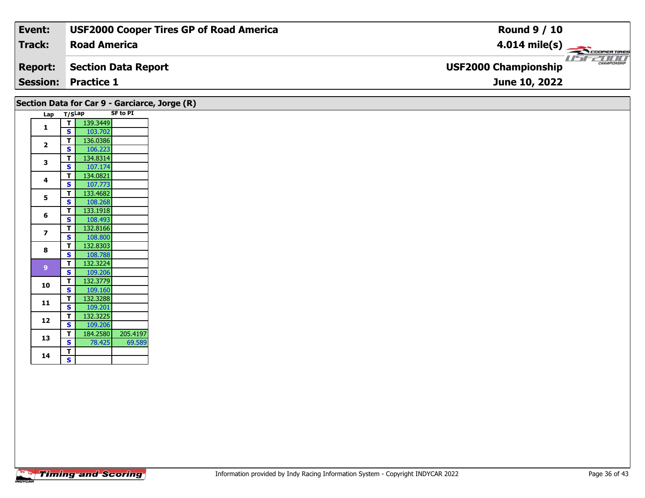| Event:         | <b>USF2000 Cooper Tires GP of Road America</b> | <b>Round 9 / 10</b>                                |
|----------------|------------------------------------------------|----------------------------------------------------|
| Track:         | <b>Road America</b>                            | $4.014 \text{ mile(s)}$                            |
| <b>Report:</b> | Section Data Report                            | <b>CHAMPIONSHIP</b><br><b>USF2000 Championship</b> |
|                | <b>Session: Practice 1</b>                     | June 10, 2022                                      |
|                |                                                |                                                    |

|                         |                              | Section Data for Car 9 - Garciarce, Jorge (R)<br><b>SF to PI</b> |
|-------------------------|------------------------------|------------------------------------------------------------------|
| Lap T/SLap              |                              |                                                                  |
| 1                       | T<br>S                       | 139.3449<br>103.702                                              |
|                         | $\mathbf{T}$                 | 136.0386                                                         |
| $\overline{2}$          | $\mathbf{s}$                 | 106.223                                                          |
|                         | $\mathbf{T}$                 | 134.8314                                                         |
| 3                       | $\mathbf{s}$                 | 107.174                                                          |
| 4                       | $\mathbf{T}$                 | 134.0821                                                         |
|                         | $\mathbf{s}$                 | 107.773                                                          |
| 5                       | T                            | 133.4682                                                         |
|                         | $\overline{\mathbf{s}}$      | 108.268                                                          |
| 6                       | T.<br>$\mathbf{s}$           | 133.1918<br>108.493                                              |
|                         | $\mathbf T$                  | 132.8166                                                         |
| $\overline{\mathbf{z}}$ | $\overline{\mathbf{s}}$      | 108.800                                                          |
|                         | $\mathbf{T}$                 | 132.8303                                                         |
| 8                       | $\mathbf{s}$                 | 108.788                                                          |
| 9 <sup>°</sup>          | $\mathbf{T}$                 | 132.3224                                                         |
|                         | $\mathbf{s}$                 | 109.206                                                          |
| 10                      | $\mathbf{T}$                 | 132.3779                                                         |
|                         | $\mathbf{s}$                 | 109.160                                                          |
| 11                      | $\mathbf{T}$<br>$\mathbf{s}$ | 132.3288                                                         |
|                         | T.                           | 109.201<br>132.3225                                              |
| 12                      | $\mathbf{s}$                 | 109.206                                                          |
|                         | $\overline{\mathsf{T}}$      | 205.4197<br>184.2580                                             |
| 13                      | $\overline{\mathbf{s}}$      | 78.425<br>69.589                                                 |
|                         | $\mathbf{T}$                 |                                                                  |
| 14                      | $\mathsf{s}$                 |                                                                  |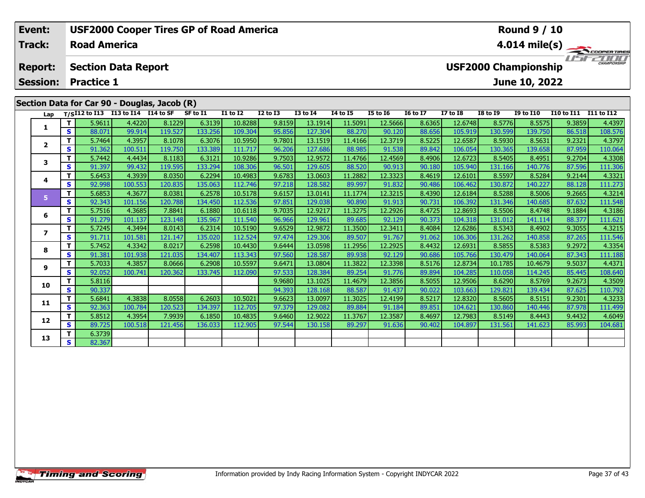| Event:<br><b>USF2000 Cooper Tires GP of Road America</b><br><b>Round 9 / 10</b> |                 |    |                     |                                                    |                                              |          |                 |              |                 |                 |                 |                 |                 |                 |                             |            |                         |
|---------------------------------------------------------------------------------|-----------------|----|---------------------|----------------------------------------------------|----------------------------------------------|----------|-----------------|--------------|-----------------|-----------------|-----------------|-----------------|-----------------|-----------------|-----------------------------|------------|-------------------------|
|                                                                                 | Track:          |    | <b>Road America</b> |                                                    |                                              |          |                 |              |                 |                 |                 |                 |                 |                 |                             |            | $4.014 \text{ mile(s)}$ |
|                                                                                 | <b>Report:</b>  |    |                     | <b>Section Data Report</b>                         |                                              |          |                 |              |                 |                 |                 |                 |                 |                 | <b>USF2000 Championship</b> |            | 20000<br>CHAMPIONSHIP   |
|                                                                                 | <b>Session:</b> |    | <b>Practice 1</b>   |                                                    |                                              |          |                 |              |                 |                 |                 |                 |                 |                 | June 10, 2022               |            |                         |
|                                                                                 |                 |    |                     |                                                    | Section Data for Car 90 - Douglas, Jacob (R) |          |                 |              |                 |                 |                 |                 |                 |                 |                             |            |                         |
|                                                                                 |                 |    |                     | Lap T/S <sup>I12</sup> to I13 I13 to I14 I14 to SF |                                              | SF to I1 | <b>I1 to I2</b> | $I2$ to $I3$ | <b>I3 to I4</b> | <b>I4 to I5</b> | <b>I5 to 16</b> | <b>16 to 17</b> | <b>I7 to I8</b> | <b>I8 to I9</b> | <b>I9 to I10</b>            | I10 to I11 | I11 to I12              |
|                                                                                 |                 |    | 5.9611              | 4.4220                                             | 8.1229                                       | 6.3139   | 10.8288         | 9.8159       | 13.1914         | 11.5091         | 12.5666         | 8.6365          | 12.6748         | 8.5776          | 8.5575                      | 9.3859     | 4.4397                  |
|                                                                                 | S.              |    | 88.071              | 99.914                                             | 119.527                                      | 133.256  | 109.304         | 95.856       | 127.304         | 88.270          | 90.120          | 88.656          | 105.919         | 130.599         | 139.750                     | 86.518     | 108.576                 |
|                                                                                 |                 |    | 5.7464              | 4.3957                                             | 8.1078                                       | 6.3076   | 10.5950         | 9.7801       | 13.1519         | 11.4166         | 12.3719         | 8.5225          | 12.6587         | 8.5930          | 8.5631                      | 9.2321     | 4.3797                  |
|                                                                                 |                 | S. | 91.362              | 100.511                                            | 119.750                                      | 133.389  | 111.717         | 96.206       | 127.686         | 88.985          | 91.538          | 89.842          | 106.054         | 130.365         | 139.658                     | 87.959     | 110.064                 |
|                                                                                 |                 |    | 5.7442              | 4.4434                                             | 8.1183                                       | 6.3121   | 10.9286         | 9.7503       | 12.9572         | 11.4766         | 12.4569         | 8.4906          | 12.6723         | 8.5405          | 8.4951                      | 9.2704     | 4.3308                  |

| Lap                      |              |        | T/SI12 to I13 I13 to I14 I14 to SF |         | SF to I1 | <b>I1 to I2</b> | <b>I2 to I3</b> | <b>I3 to I4</b> | 14 to 15 | <b>I5 to 16</b> | <b>16 to 17</b> | <b>I7 to I8</b> | <b>I8 to I9</b> | <b>I9 to I10</b> | I10 to I11 I11 to I12 |         |
|--------------------------|--------------|--------|------------------------------------|---------|----------|-----------------|-----------------|-----------------|----------|-----------------|-----------------|-----------------|-----------------|------------------|-----------------------|---------|
| 1                        | T.           | 5.9611 | 4.4220                             | 8.1229  | 6.3139   | 10.8288         | 9.8159          | 13.1914         | 11.5091  | 12.5666         | 8.6365          | 12.6748         | 8.5776          | 8.5575           | 9.3859                | 4.4397  |
|                          | S.           | 88.071 | 99.914                             | 119.527 | 133.256  | 109.304         | 95.856          | 127.304         | 88.270   | 90.120          | 88.656          | 105.919         | 130.599         | 139.750          | 86.518                | 108.576 |
| $\overline{2}$           | T.           | 5.7464 | 4.3957                             | 8.1078  | 6.3076   | 10.5950         | 9.7801          | 13.1519         | 11.4166  | 12.3719         | 8.5225          | 12.6587         | 8.5930          | 8.5631           | 9.2321                | 4.3797  |
|                          | s            | 91.362 | 100.511                            | 119.750 | 133.389  | 111.717         | 96.206          | 127.686         | 88.985   | 91.538          | 89.842          | 106.054         | 130.365         | 139.658          | 87.959                | 110.064 |
| 3                        | т            | 5.7442 | 4.4434                             | 8.1183  | 6.3121   | 10.9286         | 9.7503          | 12.9572         | 11.4766  | 12.4569         | 8.4906          | 12.6723         | 8.5405          | 8.4951           | 9.2704                | 4.3308  |
|                          | S            | 91.397 | 99.432                             | 119.595 | 133.294  | 108.306         | 96.501          | 129.605         | 88.520   | 90.913          | 90.180          | 105.940         | 131.166         | 140.776          | 87.596                | 111.306 |
| 4                        | T.           | 5.6453 | 4.3939                             | 8.0350  | 6.2294   | 10.4983         | 9.6783          | 13.0603         | 11.2882  | 12.3323         | 8.4619          | 12.6101         | 8.5597          | 8.5284           | 9.2144                | 4.3321  |
|                          | S.           | 92.998 | 100.553                            | 120.835 | 135.063  | 112.746         | 97.218          | 128.582         | 89.997   | 91.832          | 90.486          | 106.462         | 130.872         | 140.227          | 88.128                | 111.273 |
| 5 <sup>1</sup>           | т            | 5.6853 | 4.3677                             | 8.0381  | 6.2578   | 10.5178         | 9.6157          | 13.0141         | 11.1774  | 12.3215         | 8.4390          | 12.6184         | 8.5288          | 8.5006           | 9.2665                | 4.3214  |
|                          | S.           | 92.343 | 101.156                            | 120.788 | 134.450  | 112.536         | 97.851          | 129.038         | 90.890   | 91.913          | 90.731          | 106.392         | 131.346         | 140.685          | 87.632                | 111.548 |
| 6                        | T.           | 5.7516 | 4.3685                             | 7.8841  | 6.1880   | 10.6118         | 9.7035          | 12.9217         | 11.3275  | 12.2926         | 8.4725          | 12.8693         | 8.5506          | 8.4748           | 9.1884                | 4.3186  |
|                          | S.           | 91.279 | 101.137                            | 123.148 | 135.967  | 111.540         | 96.966          | 129.961         | 89.685   | 92.129          | 90.373          | 104.318         | 131.012         | 141.114          | 88.377                | 111.621 |
| $\overline{\phantom{a}}$ | T.           | 5.7245 | 4.3494                             | 8.0143  | 6.2314   | 10.5190         | 9.6529          | 12.9872         | 11.3500  | 12.3411         | 8.4084          | 12.6286         | 8.5343          | 8.4902           | 9.3055                | 4.3215  |
|                          | S            | 91.711 | 101.581                            | 121.147 | 135.020  | 112.524         | 97.474          | 129.306         | 89.507   | 91.767          | 91.062          | 106.306         | 131.262         | 140.858          | 87.265                | 111.546 |
| 8                        | T.           | 5.7452 | 4.3342                             | 8.0217  | 6.2598   | 10.4430         | 9.6444          | 13.0598         | 11.2956  | 12.2925         | 8.4432          | 12.6931         | 8.5855          | 8.5383           | 9.2972                | 4.3354  |
|                          | S.           | 91.381 | 101.938                            | 121.035 | 134.407  | 113.343         | 97.560          | 128.587         | 89.938   | 92.129          | 90.686          | 105.766         | 130.479         | 140.064          | 87.343                | 111.188 |
| 9                        | Τ.           | 5.7033 | 4.3857                             | 8.0666  | 6.2908   | 10.5597         | 9.6471          | 13.0804         | 11.3822  | 12.3398         | 8.5176          | 12.8734         | 10.1785         | 10.4679          | 9.5037                | 4.4371  |
|                          | s            | 92.052 | 100.741                            | 120.362 | 133.745  | 112.090         | 97.533          | 128.384         | 89.254   | 91.776          | 89.894          | 104.285         | 110.058         | 114.245          | 85.445                | 108.640 |
| 10                       | T.           | 5.8116 |                                    |         |          |                 | 9.9680          | 13.1025         | 11.4679  | 12.3856         | 8.5055          | 12.9506         | 8.6290          | 8.5769           | 9.2673                | 4.3509  |
|                          | S.           | 90.337 |                                    |         |          |                 | 94.393          | 128.168         | 88.587   | 91.437          | 90.022          | 103.663         | 129.821         | 139.434          | 87.625                | 110.792 |
| 11                       | T.           | 5.6841 | 4.3838                             | 8.0558  | 6.2603   | 10.5021         | 9.6623          | 13.0097         | 11.3025  | 12.4199         | 8.5217          | 12.8320         | 8.5605          | 8.5151           | 9.2301                | 4.3233  |
|                          | S.           | 92.363 | 100.784                            | 120.523 | 134.397  | 112.705         | 97.379          | 129.082         | 89.884   | 91.184          | 89.851          | 104.621         | 130.860         | 140.446          | 87.978                | 111.499 |
| 12                       | T.           | 5.8512 | 4.3954                             | 7.9939  | 6.1850   | 10.4835         | 9.6460          | 12.9022         | 11.3767  | 12.3587         | 8.4697          | 12.7983         | 8.5149          | 8.4443           | 9.4432                | 4.6049  |
|                          | S.           | 89.725 | 100.518                            | 121.456 | 136.033  | 112.905         | 97.544          | 130.158         | 89.297   | 91.636          | 90.402          | 104.897         | 131.561         | 141.623          | 85.993                | 104.681 |
| 13                       | T.           | 6.3739 |                                    |         |          |                 |                 |                 |          |                 |                 |                 |                 |                  |                       |         |
|                          | $\mathbf{s}$ | 82.367 |                                    |         |          |                 |                 |                 |          |                 |                 |                 |                 |                  |                       |         |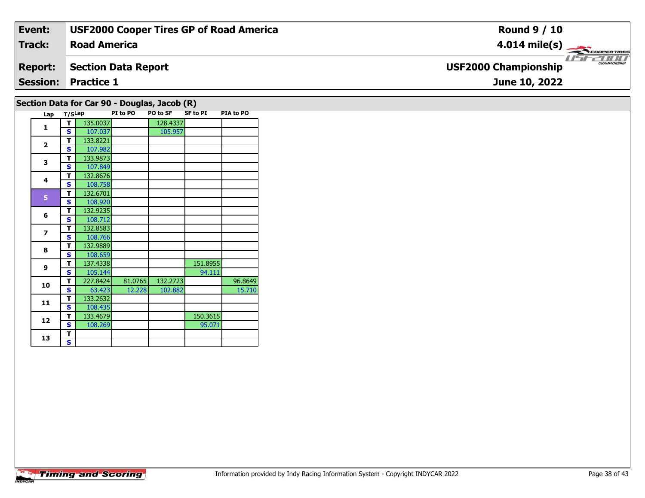| Event:         | <b>USF2000 Cooper Tires GP of Road America</b> | <b>Round 9 / 10</b>                                     |
|----------------|------------------------------------------------|---------------------------------------------------------|
| <b>Track:</b>  | <b>Road America</b>                            | $4.014 \text{ mile(s)}$                                 |
| <b>Report:</b> | <b>Section Data Report</b>                     | <b>LIST CHAMPIONSHIP</b><br><b>USF2000 Championship</b> |
|                | <b>Session: Practice 1</b>                     | June 10, 2022                                           |
|                | Section Data for Car 90 - Douglas, Jacob (R)   |                                                         |

| Lap            | T/SLap |          | PI to PO | <b>PO to SF</b> | <b>SF to PI</b> | PIA to PO |
|----------------|--------|----------|----------|-----------------|-----------------|-----------|
| $\mathbf{1}$   | т      | 135.0037 |          | 128.4337        |                 |           |
|                | S      | 107.037  |          | 105.957         |                 |           |
| $\overline{2}$ | т      | 133.8221 |          |                 |                 |           |
|                | S      | 107.982  |          |                 |                 |           |
| 3              | т      | 133.9873 |          |                 |                 |           |
|                | S      | 107.849  |          |                 |                 |           |
| 4              | т      | 132.8676 |          |                 |                 |           |
|                | S      | 108.758  |          |                 |                 |           |
| 5              | т      | 132.6701 |          |                 |                 |           |
|                | S      | 108.920  |          |                 |                 |           |
| 6              | т      | 132.9235 |          |                 |                 |           |
|                | S      | 108.712  |          |                 |                 |           |
| 7              | т      | 132.8583 |          |                 |                 |           |
|                | S      | 108.766  |          |                 |                 |           |
| 8              | т      | 132.9889 |          |                 |                 |           |
|                | S      | 108.659  |          |                 |                 |           |
| 9              | т      | 137.4338 |          |                 | 151.8955        |           |
|                | S      | 105.144  |          |                 | 94.111          |           |
| 10             | т      | 227.8424 | 81.0765  | 132.2723        |                 | 96.8649   |
|                | S      | 63.423   | 12.228   | 102.882         |                 | 15.710    |
| 11             | т      | 133.2632 |          |                 |                 |           |
|                | S      | 108.435  |          |                 |                 |           |
| 12             | T      | 133.4679 |          |                 | 150.3615        |           |
|                | S      | 108.269  |          |                 | 95.071          |           |
| 13             | т      |          |          |                 |                 |           |
|                | S.     |          |          |                 |                 |           |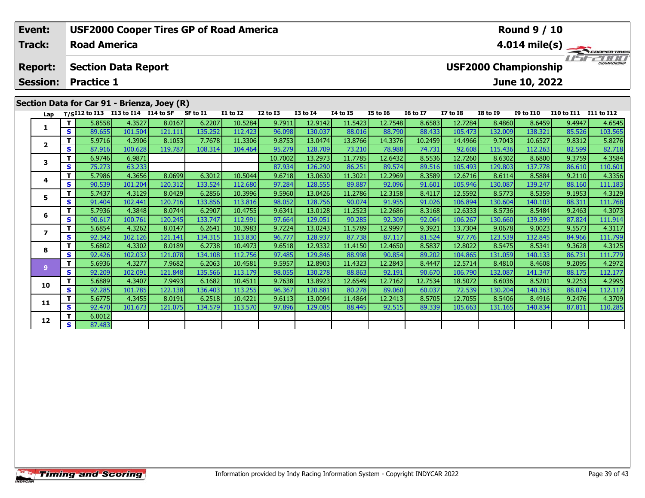| Event:<br><b>USF2000 Cooper Tires GP of Road America</b> |     |                     |                            |                                             |          |                 |              |                 |                 |                 | <b>Round 9 / 10</b> |                 |                 |                                              |                   |                         |  |  |
|----------------------------------------------------------|-----|---------------------|----------------------------|---------------------------------------------|----------|-----------------|--------------|-----------------|-----------------|-----------------|---------------------|-----------------|-----------------|----------------------------------------------|-------------------|-------------------------|--|--|
| Track:                                                   |     | <b>Road America</b> |                            |                                             |          |                 |              |                 |                 |                 |                     |                 |                 |                                              |                   | $4.014 \text{ mile(s)}$ |  |  |
| <b>Report:</b><br><b>Session:</b>                        |     | <b>Practice 1</b>   | <b>Section Data Report</b> |                                             |          |                 |              |                 |                 |                 |                     |                 |                 | <b>USF2000 Championship</b><br>June 10, 2022 |                   | <b>CHAMPIONSHIP</b>     |  |  |
|                                                          |     |                     |                            | Section Data for Car 91 - Brienza, Joey (R) |          |                 |              |                 |                 |                 |                     |                 |                 |                                              |                   |                         |  |  |
| Lap                                                      |     | T/SI12 to I13       | I13 to I14 I14 to SF       |                                             | SF to I1 | <b>I1 to I2</b> | $I2$ to $I3$ | <b>I3 to I4</b> | <b>I4 to I5</b> | <b>I5 to I6</b> | <b>16 to 17</b>     | <b>I7 to I8</b> | <b>I8 to I9</b> | <b>I9 to I10</b>                             | <b>I10 to I11</b> | I11 to I12              |  |  |
|                                                          |     | 5.8558              | 4.3527                     | 8.0167                                      | 6.2207   | 10.5284         | 9.7911       | 12.9142         | 11.5423         | 12.7548         | 8.6583              | 12.7284         | 8.4860          | 8.6459                                       | 9.4947            | 4.6545                  |  |  |
|                                                          | s l | 89.655              | 101.504                    | 121.111                                     | 135.252  | 112.423         | 96.098       | 130.037         | 88.016          | 88.790          | 88.433              | 105.473         | 132.009         | 138.321                                      | 85.526            | 103.565                 |  |  |
|                                                          |     | 5.9716              | 4.3906                     | 8.1053                                      | 7.7678   | 11.3306         | 9.8753       | 13.0474         | 13.8766         | 14.3376         | 10.2459             | 14.4966         | 9.7043          | 10.6527                                      | 9.8312            | 5.8276                  |  |  |
| 2                                                        | S.  | 87.916              | 100.628                    | 119.787                                     | 108.314  | 104.464         | 95.279       | 128,709         | 73.210          | 78.988          | 74.731              | 92.608          | 115,436         | 112.263                                      | 82.599            | 82.718                  |  |  |

**<sup>T</sup>** 6.9746 6.9871 10.7002 13.2973 11.7785 12.6432 8.5536 12.7260 8.6302 8.6800 9.3759 4.3584 **<sup>S</sup>** 75.273 63.233 87.934 126.290 86.251 89.574 89.516 105.493 129.803 137.778 86.610 110.601

4 | **T** | 5.7986 | 4.3656 | 8.0699 | 6.3012 | 10.5044 | 9.6718 | 13.0630 | 11.3021 | 12.2969 | 8.3589 | 12.6716 | 8.6114 | 8.5884 | 9.2110 | 4.3356<br>- | S | 90.539 | 101.204 | 120.312 | 133.524 | 112.680 | 97.284 | 128.555

5 | T | 5.7437| 4.3129| 8.0429| 6.2856| 10.3996| 9.5960| 13.0426| 11.2786| 12.3158| 8.4117| 12.5592| 8.5773| 8.5359| 9.1953| 4.3129<br>| S | 91.404| 102.441| 120.716| 133.856| 113.816| 98.052| 128.756| 90.074| 91.955| 91.026|

6 | T | 5.7936| 4.3848| 8.0744| 6.2907| 10.4755| 9.6341| 13.0128| 11.2523| 12.2686| 8.3168| 12.6333| 8.5736| 8.5484| 9.2463| 4.3073<br>| S | 90.617| 100.761| 120.245| 133.747| 112.991| 97.664| 129.051| 90.285| 92.309| 92.064|

7 | T | 5.6854 | 4.3262 | 8.0147 | 6.2641 | 10.3983 | 9.7224 | 13.0243 | 11.5789 | 12.9997 | 9.3921 | 13.7304 | 9.0678 | 9.0023 | 9.5573 | 4.3117<br>7 | S | 92.342 | 102.126 | 121.141 | 134.315 | 113.830 | 96.777 | 128.937 |

8 T | 5.6802 4.3302 8.0189 6.2738 10.4973 9.6518 12.9332 11.4150 12.4650 8.5837 12.8022 8.5475 8.5341 9.3628 4.3125<br>8 S 92.426 102.032 121.078 134.108 112.756 97.485 129.846 88.998 90.854 89.202 104.865 131.059 140.133 86.

11 5.6936| 4.3277| 7.9682| 6.2063| 10.4581| 9.5957| 12.8903| 11.4323| 12.2843| 8.4447| 12.5714| 8.4810| 8.4608| 9.2095| 4.2972 .<br>S 92.209| 102.091| 121.848| 135.566| 113.179| 98.055| 130.278| 88.863| 92.191| 90.670| 106.7

0 | T | 5.6889| 4.3407| 7.9493| 6.1682| 10.4511| 9.7638| 13.8923| 12.6549| 12.7162| 12.7534| 18.5072| 8.6036| 8.5201| 9.2253| 4.2995<br>| S | 92.285| 101.785| 122.138| 136.403| 113.255| 96.367| 120.881| 80.278| 89.060| 60.037

**<sup>T</sup>** 5.6775 4.3455 8.0191 6.2518 10.4221 9.6113 13.0094 11.4864 12.2413 8.5705 12.7055 8.5406 8.4916 9.2476 4.3709 **<sup>S</sup>** 92.470 101.673 121.075 134.579 113.570 97.896 129.085 88.445 92.515 89.339 105.663 131.165 140.834 87.811 110.285

**3**

**4**

**5**

**6**

**7**

**8**

**9**

**10**

**11**

**12**

**<sup>T</sup>** 6.0012 **<sup>S</sup>** 87.483

111.183

111.799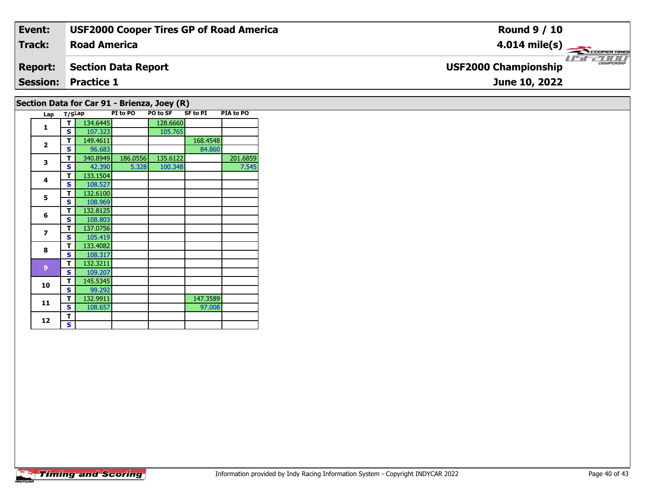| Event:                                      | <b>USF2000 Cooper Tires GP of Road America</b> | <b>Round 9 / 10</b>                         |  |  |  |  |  |
|---------------------------------------------|------------------------------------------------|---------------------------------------------|--|--|--|--|--|
| <b>Track:</b>                               | <b>Road America</b>                            | $4.014 \text{ mile(s)}$                     |  |  |  |  |  |
| <b>Report:</b>                              | <b>Section Data Report</b>                     | CHAMPIONSHIP<br><b>USF2000 Championship</b> |  |  |  |  |  |
|                                             | <b>Session: Practice 1</b>                     | June 10, 2022                               |  |  |  |  |  |
| Section Data for Car 91 - Brienza, Joey (R) |                                                |                                             |  |  |  |  |  |

|  | Lap                      | T/SLap |          | PI to PO | PO to SF | <b>SF to PI</b> | PIA to PO |
|--|--------------------------|--------|----------|----------|----------|-----------------|-----------|
|  | 1                        | т      | 134.6445 |          | 128.6660 |                 |           |
|  |                          | S      | 107.323  |          | 105.765  |                 |           |
|  | $\overline{2}$           | T      | 149.4611 |          |          | 168.4548        |           |
|  |                          | S      | 96.683   |          |          | 84.860          |           |
|  | 3                        | т      | 340.8949 | 186.0556 | 135.6122 |                 | 201.6859  |
|  |                          | S      | 42.390   | 5.328    | 100.348  |                 | 7.545     |
|  | 4                        | т      | 133.1504 |          |          |                 |           |
|  |                          | S      | 108.527  |          |          |                 |           |
|  | 5                        | т      | 132.6100 |          |          |                 |           |
|  |                          | S      | 108.969  |          |          |                 |           |
|  | 6                        | т      | 132.8125 |          |          |                 |           |
|  |                          | S      | 108.803  |          |          |                 |           |
|  | $\overline{\phantom{a}}$ | т      | 137.0756 |          |          |                 |           |
|  |                          | S      | 105.419  |          |          |                 |           |
|  | 8                        | т      | 133.4082 |          |          |                 |           |
|  |                          | S      | 108.317  |          |          |                 |           |
|  | $\overline{9}$           | т      | 132.3211 |          |          |                 |           |
|  |                          | S      | 109.207  |          |          |                 |           |
|  | 10                       | т      | 145.5345 |          |          |                 |           |
|  |                          | S      | 99.292   |          |          |                 |           |
|  | 11                       | т      | 132.9911 |          |          | 147.3589        |           |
|  |                          | S      | 108.657  |          |          | 97.008          |           |
|  | 12                       | т      |          |          |          |                 |           |
|  |                          | S      |          |          |          |                 |           |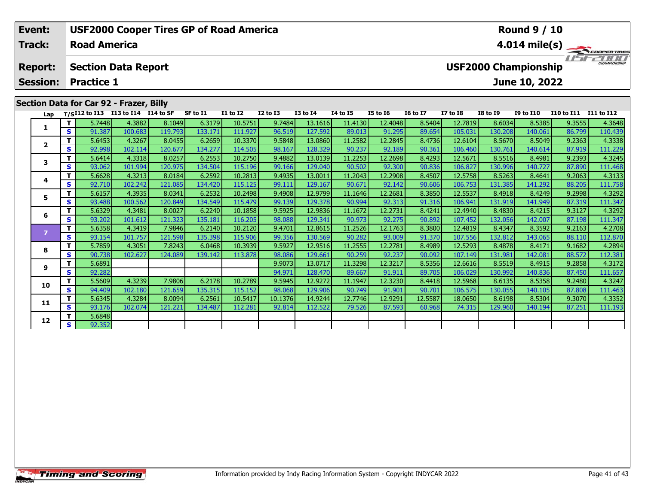| Event:                                  |                                                           | <b>USF2000 Cooper Tires GP of Road America</b> |         |         |          |                 |                 |                 |                 |                         | <b>Round 9 / 10</b>     |                 |                 |                  |                   |            |
|-----------------------------------------|-----------------------------------------------------------|------------------------------------------------|---------|---------|----------|-----------------|-----------------|-----------------|-----------------|-------------------------|-------------------------|-----------------|-----------------|------------------|-------------------|------------|
| <b>Track:</b>                           | <b>Road America</b>                                       |                                                |         |         |          |                 |                 |                 |                 |                         | $4.014 \text{ mile(s)}$ |                 |                 |                  |                   |            |
| <b>Report:</b>                          | <b>USF2000 Championship</b><br><b>Section Data Report</b> |                                                |         |         |          |                 |                 |                 |                 | <b>THE CHAMPIONSHIP</b> |                         |                 |                 |                  |                   |            |
| <b>Session:</b>                         | <b>Practice 1</b><br>June 10, 2022                        |                                                |         |         |          |                 |                 |                 |                 |                         |                         |                 |                 |                  |                   |            |
| Section Data for Car 92 - Frazer, Billy |                                                           |                                                |         |         |          |                 |                 |                 |                 |                         |                         |                 |                 |                  |                   |            |
| Lap                                     |                                                           | $T/SI12$ to I13 I13 to I14 I14 to SF           |         |         | SF to I1 | <b>I1 to I2</b> | <b>I2 to I3</b> | <b>I3 to I4</b> | <b>I4 to I5</b> | <b>I5 to 16</b>         | <b>16 to 17</b>         | <b>I7 to I8</b> | <b>I8 to I9</b> | <b>I9 to I10</b> | <b>I10 to I11</b> | I11 to I12 |
|                                         |                                                           | 5.7448                                         | 4.3882  | 8.1049  | 6.3179   | 10.5751         | 9.7484          | 13.1616         | 11.4130         | 12.4048                 | 8.5404                  | 12.7819         | 8.6034          | 8.5385           | 9.3555            | 4.3648     |
|                                         | s '                                                       | 91.387                                         | 100.683 | 119.793 | 133.171  | 111.927         | 96.519          | 127.592         | 89.013          | 91.295                  | 89.654                  | 105.031         | 130.208         | 140.061          | 86.799            | 110.439    |
|                                         |                                                           | 5.6453                                         | 4.3267  | 8.0455  | 6.2659   | 10.3370         | 9.5848          | 13.0860         | 11.2582         | 12.2845                 | 8.4736                  | 12.6104         | 8.5670          | 8.5049           | 9.2363            | 4.3338     |
|                                         | S.                                                        | 92.998                                         | 102.114 | 120.677 | 134.277  | 114.505         | 98.167          | 128.329         | 90.237          | 92.189                  | 90.361                  | 106.460         | 130.761         | 140.614          | 87.919            | 111.229    |
|                                         |                                                           | 5.6414                                         | 4.3318  | 8.0257  | 6.2553   | 10.2750         | 9.4882          | 13.0139         | 11.2253         | 12.2698                 | 8.4293                  | 12.5671         | 8.5516          | 8.4981           | 9.2393            | 4.3245     |
|                                         | S.                                                        | 93.062                                         | 101.994 | 120.975 | 134.504  | 115.196         | 99.166          | 129.040         | 90.502          | 92.300                  | 90.836                  | 106.827         | 130.996         | 140.727          | 87.890            | 111.468    |
|                                         |                                                           | 5.6628                                         | 4.3213  | 8.0184  | 6.2592   | 10.2813         | 9.4935          | 13.0011         | 11.2043         | 12.2908                 | 8.4507                  | 12.5758         | 8.5263          | 8.4641           | 9.2063            | 4.3133     |
| 4                                       | S.                                                        | 92.710                                         | 102.242 | 121.085 | 134,420  | 115.125         | 99.111          | 129.167         | 90.671          | 92.142                  | 90.606                  | 106.753         | 131.385         | 141.292          | 88.205            | 111.758    |

5 | T | 5.6157| 4.3935| 8.0341| 6.2532| 10.2498| 9.4908| 12.9799| 11.1646| 12.2681| 8.3850| 12.5537| 8.4918| 8.4249| 9.2998| 4.3292<br>| S | 93.488| 100.562| 120.849| 134.549| 115.479| 99.139| 129.378| 90.994| 92.313| 91.316|

**<sup>T</sup>** 5.6329 4.3481 8.0027 6.2240 10.1858 9.5925 12.9836 11.1672 12.2731 8.4241 12.4940 8.4830 8.4215 9.3127 4.3292 **<sup>S</sup>** 93.202 101.612 121.323 135.181 116.205 98.088 129.341 90.973 92.275 90.892 107.452 132.056 142.007 87.198 111.347

**<sup>T</sup>** 5.6358 4.3419 7.9846 6.2140 10.2120 9.4701 12.8615 11.2526 12.1763 8.3800 12.4819 8.4347 8.3592 9.2163 4.2708 **<sup>S</sup>** 93.154 101.757 121.598 135.398 115.906 99.356 130.569 90.282 93.009 91.370 107.556 132.812 143.065 88.110 112.870

**<sup>T</sup>** 5.7859 4.3051 7.8243 6.0468 10.3939 9.5927 12.9516 11.2555 12.2781 8.4989 12.5293 8.4878 8.4171 9.1682 4.2894 **<sup>S</sup>** 90.738 102.627 124.089 139.142 113.878 98.086 129.661 90.259 92.237 90.092 107.149 131.981 142.081 88.572 112.381

**<sup>T</sup>** 5.6891 9.9073 13.0717 11.3298 12.3217 8.5356 12.6616 8.5519 8.4915 9.2858 4.3172 **<sup>S</sup>** 92.282 94.971 128.470 89.667 91.911 89.705 106.029 130.992 140.836 87.450 111.657

0 T 5.5609 4.3239 7.9806 6.2178 10.2789 9.5945 12.9272 11.1947 12.3230 8.4418 12.5968 8.6135 8.5358 9.2480 4.3247<br>S 94.409 102.180 121.659 135.315 115.152 98.068 129.906 90.749 91.901 90.701 106.575 130.055 140.105 87.808

**<sup>T</sup>** 5.6345 4.3284 8.0094 6.2561 10.5417 10.1376 14.9244 12.7746 12.9291 12.5587 18.0650 8.6198 8.5304 9.3070 4.3352 **<sup>S</sup>** 93.176 102.074 121.221 134.487 112.281 92.814 112.522 79.526 87.593 60.968 74.315 129.960 140.194 87.251 111.193

**5**

**6**

**8**

**9**

**10**

**11**

**12**

**<sup>T</sup>** 5.6848 **<sup>S</sup>** 92.352

111.758

112.870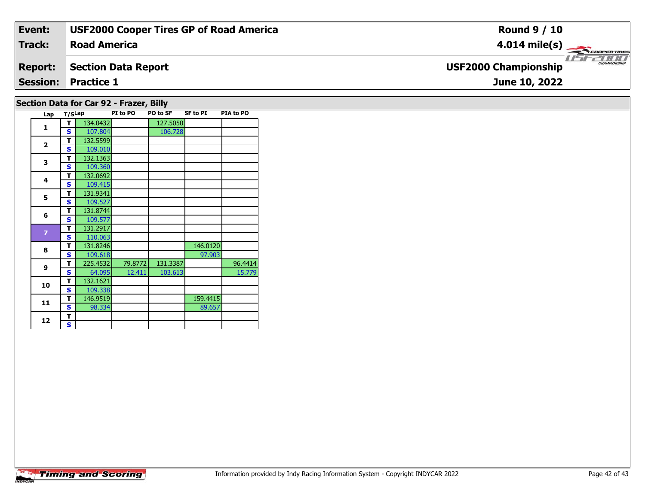| Event:         | <b>USF2000 Cooper Tires GP of Road America</b> | <b>Round 9 / 10</b>                         |
|----------------|------------------------------------------------|---------------------------------------------|
| Track:         | <b>Road America</b>                            | $4.014 \text{ mile(s)}$                     |
| <b>Report:</b> | Section Data Report                            | CHAMPIONSHIP<br><b>USF2000 Championship</b> |
|                | <b>Session: Practice 1</b>                     | June 10, 2022                               |
|                |                                                |                                             |

# **Section Data for Car 92 - Frazer, Billy**

|  | Lap            | T/SLap |          | PI to PO | PO to SF | <b>SF to PI</b> | PIA to PO |
|--|----------------|--------|----------|----------|----------|-----------------|-----------|
|  | 1              | т      | 134.0432 |          | 127.5050 |                 |           |
|  |                | Ś      | 107.804  |          | 106.728  |                 |           |
|  | $\overline{2}$ | т      | 132.5599 |          |          |                 |           |
|  |                | S      | 109.010  |          |          |                 |           |
|  | 3              | т      | 132.1363 |          |          |                 |           |
|  |                | S      | 109.360  |          |          |                 |           |
|  | 4              | T      | 132.0692 |          |          |                 |           |
|  |                | S      | 109.415  |          |          |                 |           |
|  | 5              | т      | 131.9341 |          |          |                 |           |
|  |                | Ś      | 109.527  |          |          |                 |           |
|  | 6              | T      | 131.8744 |          |          |                 |           |
|  |                | Ś      | 109.577  |          |          |                 |           |
|  | $\overline{7}$ | т      | 131.2917 |          |          |                 |           |
|  |                | S      | 110.063  |          |          |                 |           |
|  | 8              | т      | 131.8246 |          |          | 146.0120        |           |
|  |                | S      | 109.618  |          |          | 97.903          |           |
|  | 9              | т      | 225.4532 | 79.8772  | 131.3387 |                 | 96.4414   |
|  |                | S      | 64.095   | 12.411   | 103.613  |                 | 15.779    |
|  | 10             | т      | 132.1621 |          |          |                 |           |
|  |                | S      | 109.338  |          |          |                 |           |
|  | 11             | т      | 146.9519 |          |          | 159.4415        |           |
|  |                | S      | 98.334   |          |          | 89.657          |           |
|  | 12             | т      |          |          |          |                 |           |
|  |                | S      |          |          |          |                 |           |